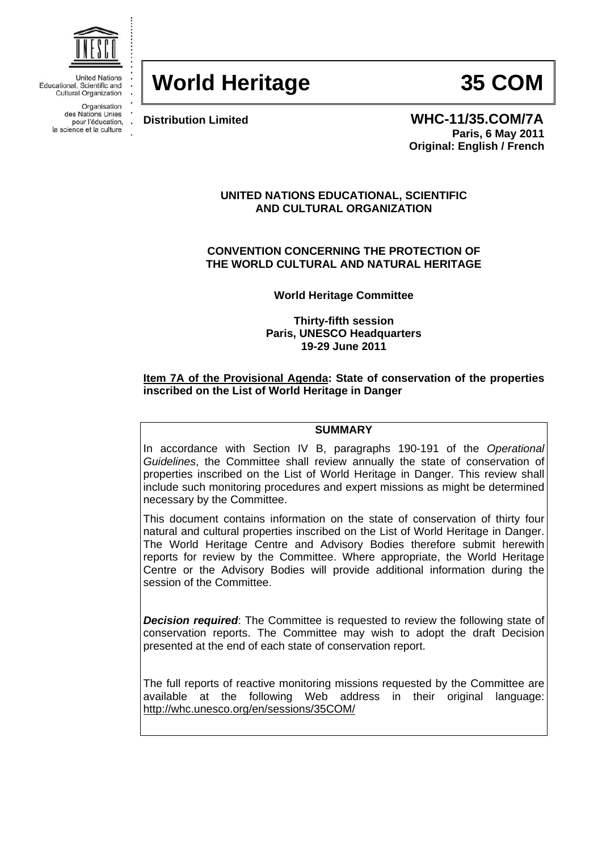

**United Nations** Educational, Scientific and **Cultural Organization** 

> Organisation des Nations Unies pour l'éducation, la science et la culture

# **World Heritage 35 COM**

**Distribution Limited WHC-11/35.COM/7A Paris, 6 May 2011 Original: English / French** 

### **UNITED NATIONS EDUCATIONAL, SCIENTIFIC AND CULTURAL ORGANIZATION**

**CONVENTION CONCERNING THE PROTECTION OF THE WORLD CULTURAL AND NATURAL HERITAGE** 

**World Heritage Committee** 

**Thirty-fifth session Paris, UNESCO Headquarters 19-29 June 2011** 

# **Item 7A of the Provisional Agenda: State of conservation of the properties inscribed on the List of World Heritage in Danger**

### **SUMMARY**

In accordance with Section IV B, paragraphs 190-191 of the *Operational Guidelines*, the Committee shall review annually the state of conservation of properties inscribed on the List of World Heritage in Danger. This review shall include such monitoring procedures and expert missions as might be determined necessary by the Committee.

This document contains information on the state of conservation of thirty four natural and cultural properties inscribed on the List of World Heritage in Danger. The World Heritage Centre and Advisory Bodies therefore submit herewith reports for review by the Committee. Where appropriate, the World Heritage Centre or the Advisory Bodies will provide additional information during the session of the Committee.

*Decision required*: The Committee is requested to review the following state of conservation reports. The Committee may wish to adopt the draft Decision presented at the end of each state of conservation report.

The full reports of reactive monitoring missions requested by the Committee are available at the following Web address in their original language: http://whc.unesco.org/en/sessions/35COM/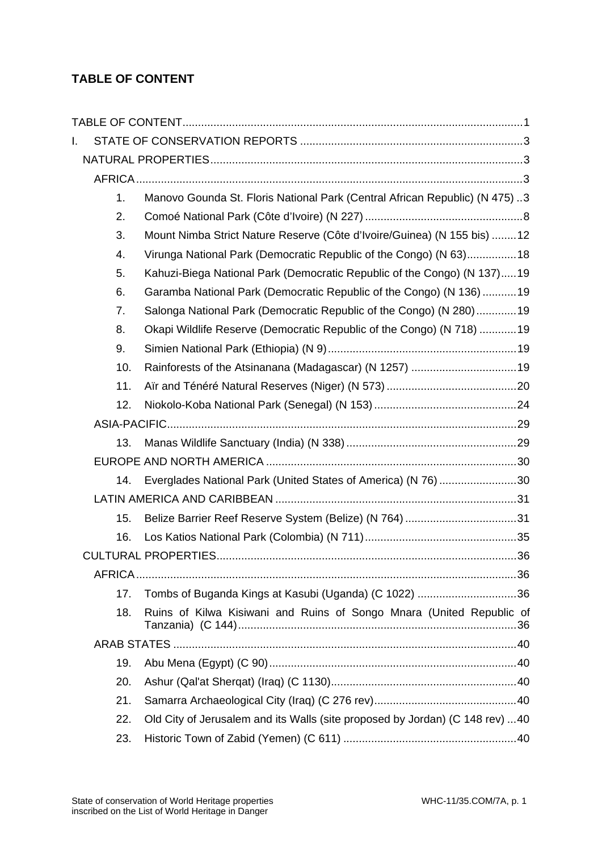# **TABLE OF CONTENT**

| I. |     |                                                                              |  |
|----|-----|------------------------------------------------------------------------------|--|
|    |     |                                                                              |  |
|    |     |                                                                              |  |
|    | 1.  | Manovo Gounda St. Floris National Park (Central African Republic) (N 475)3   |  |
|    | 2.  |                                                                              |  |
|    | 3.  | Mount Nimba Strict Nature Reserve (Côte d'Ivoire/Guinea) (N 155 bis) 12      |  |
|    | 4.  | Virunga National Park (Democratic Republic of the Congo) (N 63)18            |  |
|    | 5.  | Kahuzi-Biega National Park (Democratic Republic of the Congo) (N 137)19      |  |
|    | 6.  | Garamba National Park (Democratic Republic of the Congo) (N 136) 19          |  |
|    | 7.  | Salonga National Park (Democratic Republic of the Congo) (N 280)19           |  |
|    | 8.  | Okapi Wildlife Reserve (Democratic Republic of the Congo) (N 718) 19         |  |
|    | 9.  |                                                                              |  |
|    | 10. |                                                                              |  |
|    | 11. |                                                                              |  |
|    | 12. |                                                                              |  |
|    |     |                                                                              |  |
|    | 13. |                                                                              |  |
|    |     |                                                                              |  |
|    | 14. | Everglades National Park (United States of America) (N 76) 30                |  |
|    |     |                                                                              |  |
|    | 15. | Belize Barrier Reef Reserve System (Belize) (N 764) 31                       |  |
|    | 16. |                                                                              |  |
|    |     |                                                                              |  |
|    |     |                                                                              |  |
|    | 17. | Tombs of Buganda Kings at Kasubi (Uganda) (C 1022) 36                        |  |
|    | 18. | Ruins of Kilwa Kisiwani and Ruins of Songo Mnara (United Republic of         |  |
|    |     |                                                                              |  |
|    | 19. |                                                                              |  |
|    | 20. |                                                                              |  |
|    | 21. |                                                                              |  |
|    | 22. | Old City of Jerusalem and its Walls (site proposed by Jordan) (C 148 rev) 40 |  |
|    | 23. |                                                                              |  |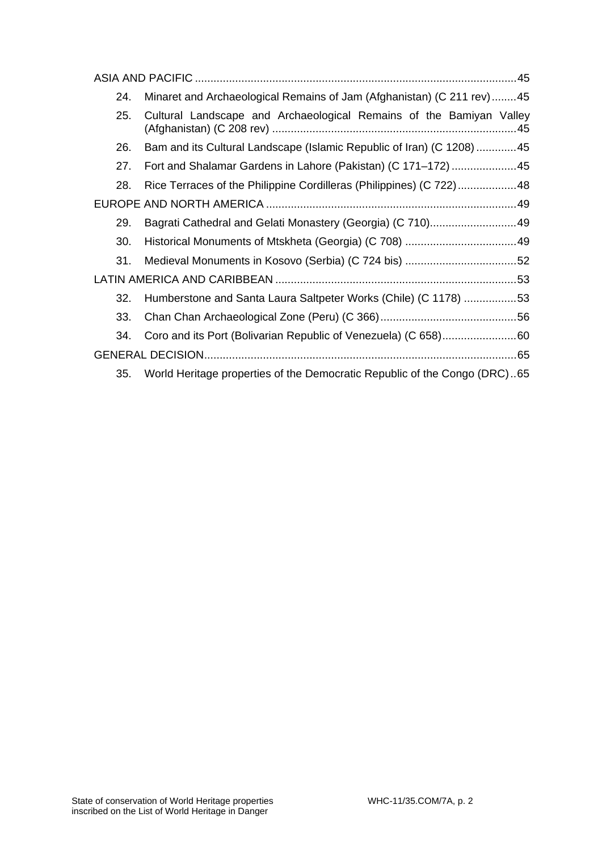| Minaret and Archaeological Remains of Jam (Afghanistan) (C 211 rev)45<br>24.<br>Cultural Landscape and Archaeological Remains of the Bamiyan Valley<br>25.<br>Bam and its Cultural Landscape (Islamic Republic of Iran) (C 1208) 45<br>26.<br>Fort and Shalamar Gardens in Lahore (Pakistan) (C 171-172)  45<br>27.<br>Rice Terraces of the Philippine Cordilleras (Philippines) (C 722)48<br>28.<br>Bagrati Cathedral and Gelati Monastery (Georgia) (C 710)49<br>29.<br>30.<br>31.<br>Humberstone and Santa Laura Saltpeter Works (Chile) (C 1178) 53<br>32.<br>33.<br>34. |  |  |  |  |  |
|------------------------------------------------------------------------------------------------------------------------------------------------------------------------------------------------------------------------------------------------------------------------------------------------------------------------------------------------------------------------------------------------------------------------------------------------------------------------------------------------------------------------------------------------------------------------------|--|--|--|--|--|
|                                                                                                                                                                                                                                                                                                                                                                                                                                                                                                                                                                              |  |  |  |  |  |
|                                                                                                                                                                                                                                                                                                                                                                                                                                                                                                                                                                              |  |  |  |  |  |
|                                                                                                                                                                                                                                                                                                                                                                                                                                                                                                                                                                              |  |  |  |  |  |
|                                                                                                                                                                                                                                                                                                                                                                                                                                                                                                                                                                              |  |  |  |  |  |
|                                                                                                                                                                                                                                                                                                                                                                                                                                                                                                                                                                              |  |  |  |  |  |
|                                                                                                                                                                                                                                                                                                                                                                                                                                                                                                                                                                              |  |  |  |  |  |
|                                                                                                                                                                                                                                                                                                                                                                                                                                                                                                                                                                              |  |  |  |  |  |
|                                                                                                                                                                                                                                                                                                                                                                                                                                                                                                                                                                              |  |  |  |  |  |
|                                                                                                                                                                                                                                                                                                                                                                                                                                                                                                                                                                              |  |  |  |  |  |
|                                                                                                                                                                                                                                                                                                                                                                                                                                                                                                                                                                              |  |  |  |  |  |
|                                                                                                                                                                                                                                                                                                                                                                                                                                                                                                                                                                              |  |  |  |  |  |
|                                                                                                                                                                                                                                                                                                                                                                                                                                                                                                                                                                              |  |  |  |  |  |
|                                                                                                                                                                                                                                                                                                                                                                                                                                                                                                                                                                              |  |  |  |  |  |
|                                                                                                                                                                                                                                                                                                                                                                                                                                                                                                                                                                              |  |  |  |  |  |
| World Heritage properties of the Democratic Republic of the Congo (DRC)65<br>35.                                                                                                                                                                                                                                                                                                                                                                                                                                                                                             |  |  |  |  |  |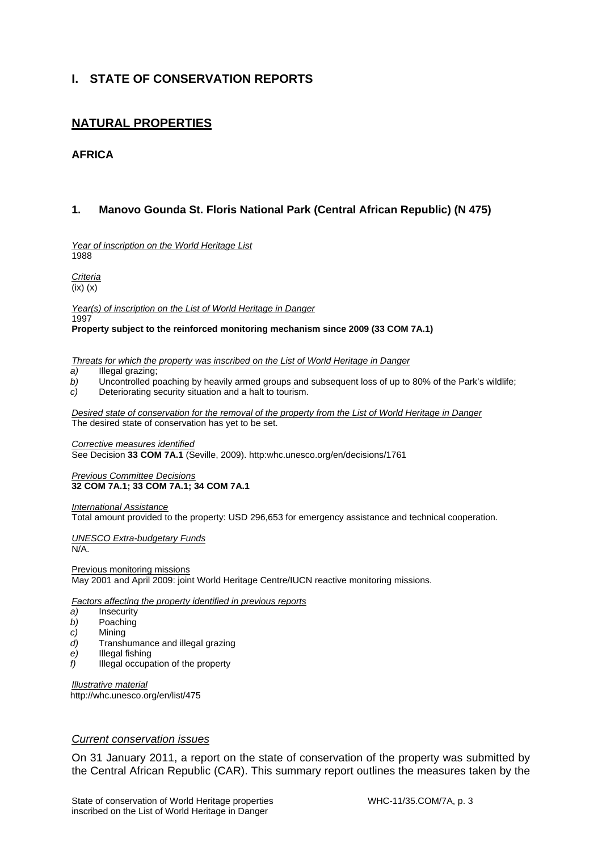# **I. STATE OF CONSERVATION REPORTS**

# **NATURAL PROPERTIES**

# **AFRICA**

# **1. Manovo Gounda St. Floris National Park (Central African Republic) (N 475)**

*Year of inscription on the World Heritage List*  1988

*Criteria* 

 $\overline{f(x)}(x)$ 

*Year(s) of inscription on the List of World Heritage in Danger*  1997

**Property subject to the reinforced monitoring mechanism since 2009 (33 COM 7A.1)** 

*Threats for which the property was inscribed on the List of World Heritage in Danger* 

- *a)* Illegal grazing;
- *b)* Uncontrolled poaching by heavily armed groups and subsequent loss of up to 80% of the Park's wildlife;<br>*c*) Deteriorating security situation and a halt to tourism.
- Deteriorating security situation and a halt to tourism.

*Desired state of conservation for the removal of the property from the List of World Heritage in Danger*  The desired state of conservation has yet to be set.

*Corrective measures identified*  See Decision **33 COM 7A.1** (Seville, 2009). http:whc.unesco.org/en/decisions/1761

#### *Previous Committee Decisions*  **32 COM 7A.1; 33 COM 7A.1; 34 COM 7A.1**

*International Assistance* 

Total amount provided to the property: USD 296,653 for emergency assistance and technical cooperation.

*UNESCO Extra-budgetary Funds*  N/A.

Previous monitoring missions May 2001 and April 2009: joint World Heritage Centre/IUCN reactive monitoring missions.

*Factors affecting the property identified in previous reports* 

- *a)* Insecurity
- *b)* Poaching
- *c)* Mining
- *d)* Transhumance and illegal grazing
- *e)* Illegal fishing
- *f)* Illegal occupation of the property

*Illustrative material*  http://whc.unesco.org/en/list/475

### *Current conservation issues*

On 31 January 2011, a report on the state of conservation of the property was submitted by the Central African Republic (CAR). This summary report outlines the measures taken by the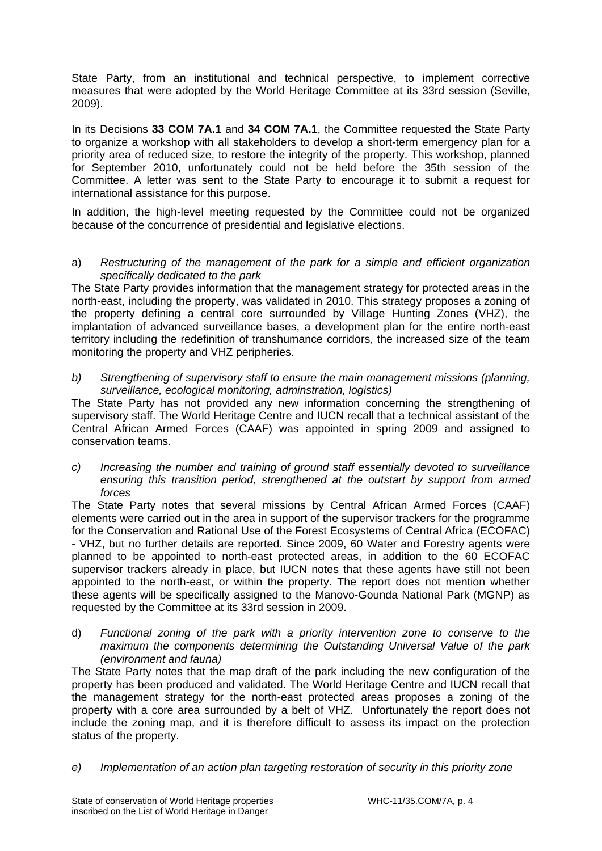State Party, from an institutional and technical perspective, to implement corrective measures that were adopted by the World Heritage Committee at its 33rd session (Seville, 2009).

In its Decisions **33 COM 7A.1** and **34 COM 7A.1**, the Committee requested the State Party to organize a workshop with all stakeholders to develop a short-term emergency plan for a priority area of reduced size, to restore the integrity of the property. This workshop, planned for September 2010, unfortunately could not be held before the 35th session of the Committee. A letter was sent to the State Party to encourage it to submit a request for international assistance for this purpose.

In addition, the high-level meeting requested by the Committee could not be organized because of the concurrence of presidential and legislative elections.

### a) *Restructuring of the management of the park for a simple and efficient organization specifically dedicated to the park*

The State Party provides information that the management strategy for protected areas in the north-east, including the property, was validated in 2010. This strategy proposes a zoning of the property defining a central core surrounded by Village Hunting Zones (VHZ), the implantation of advanced surveillance bases, a development plan for the entire north-east territory including the redefinition of transhumance corridors, the increased size of the team monitoring the property and VHZ peripheries.

### *b) Strengthening of supervisory staff to ensure the main management missions (planning, surveillance, ecological monitoring, adminstration, logistics)*

The State Party has not provided any new information concerning the strengthening of supervisory staff. The World Heritage Centre and IUCN recall that a technical assistant of the Central African Armed Forces (CAAF) was appointed in spring 2009 and assigned to conservation teams.

*c) Increasing the number and training of ground staff essentially devoted to surveillance ensuring this transition period, strengthened at the outstart by support from armed forces* 

The State Party notes that several missions by Central African Armed Forces (CAAF) elements were carried out in the area in support of the supervisor trackers for the programme for the Conservation and Rational Use of the Forest Ecosystems of Central Africa (ECOFAC) - VHZ, but no further details are reported. Since 2009, 60 Water and Forestry agents were planned to be appointed to north-east protected areas, in addition to the 60 ECOFAC supervisor trackers already in place, but IUCN notes that these agents have still not been appointed to the north-east, or within the property. The report does not mention whether these agents will be specifically assigned to the Manovo-Gounda National Park (MGNP) as requested by the Committee at its 33rd session in 2009.

d) *Functional zoning of the park with a priority intervention zone to conserve to the maximum the components determining the Outstanding Universal Value of the park (environment and fauna)* 

The State Party notes that the map draft of the park including the new configuration of the property has been produced and validated. The World Heritage Centre and IUCN recall that the management strategy for the north-east protected areas proposes a zoning of the property with a core area surrounded by a belt of VHZ. Unfortunately the report does not include the zoning map, and it is therefore difficult to assess its impact on the protection status of the property.

*e) Implementation of an action plan targeting restoration of security in this priority zone*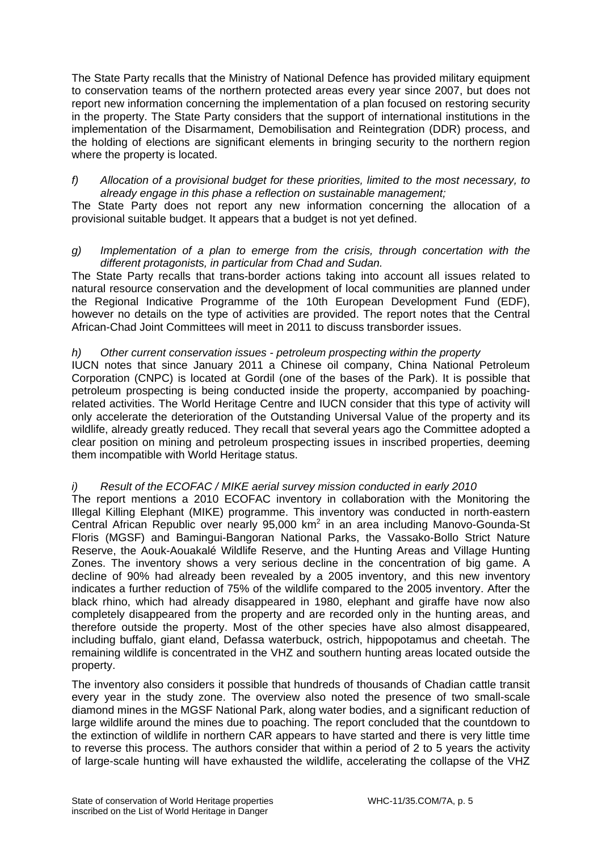The State Party recalls that the Ministry of National Defence has provided military equipment to conservation teams of the northern protected areas every year since 2007, but does not report new information concerning the implementation of a plan focused on restoring security in the property. The State Party considers that the support of international institutions in the implementation of the Disarmament, Demobilisation and Reintegration (DDR) process, and the holding of elections are significant elements in bringing security to the northern region where the property is located.

### *f) Allocation of a provisional budget for these priorities, limited to the most necessary, to already engage in this phase a reflection on sustainable management;*

The State Party does not report any new information concerning the allocation of a provisional suitable budget. It appears that a budget is not yet defined.

### *g) Implementation of a plan to emerge from the crisis, through concertation with the different protagonists, in particular from Chad and Sudan.*

The State Party recalls that trans-border actions taking into account all issues related to natural resource conservation and the development of local communities are planned under the Regional Indicative Programme of the 10th European Development Fund (EDF), however no details on the type of activities are provided. The report notes that the Central African-Chad Joint Committees will meet in 2011 to discuss transborder issues.

# *h) Other current conservation issues - petroleum prospecting within the property*

IUCN notes that since January 2011 a Chinese oil company, China National Petroleum Corporation (CNPC) is located at Gordil (one of the bases of the Park). It is possible that petroleum prospecting is being conducted inside the property, accompanied by poachingrelated activities. The World Heritage Centre and IUCN consider that this type of activity will only accelerate the deterioration of the Outstanding Universal Value of the property and its wildlife, already greatly reduced. They recall that several years ago the Committee adopted a clear position on mining and petroleum prospecting issues in inscribed properties, deeming them incompatible with World Heritage status.

# *i) Result of the ECOFAC / MIKE aerial survey mission conducted in early 2010*

The report mentions a 2010 ECOFAC inventory in collaboration with the Monitoring the Illegal Killing Elephant (MIKE) programme. This inventory was conducted in north-eastern Central African Republic over nearly 95,000 km<sup>2</sup> in an area including Manovo-Gounda-St Floris (MGSF) and Bamingui-Bangoran National Parks, the Vassako-Bollo Strict Nature Reserve, the Aouk-Aouakalé Wildlife Reserve, and the Hunting Areas and Village Hunting Zones. The inventory shows a very serious decline in the concentration of big game. A decline of 90% had already been revealed by a 2005 inventory, and this new inventory indicates a further reduction of 75% of the wildlife compared to the 2005 inventory. After the black rhino, which had already disappeared in 1980, elephant and giraffe have now also completely disappeared from the property and are recorded only in the hunting areas, and therefore outside the property. Most of the other species have also almost disappeared, including buffalo, giant eland, Defassa waterbuck, ostrich, hippopotamus and cheetah. The remaining wildlife is concentrated in the VHZ and southern hunting areas located outside the property.

The inventory also considers it possible that hundreds of thousands of Chadian cattle transit every year in the study zone. The overview also noted the presence of two small-scale diamond mines in the MGSF National Park, along water bodies, and a significant reduction of large wildlife around the mines due to poaching. The report concluded that the countdown to the extinction of wildlife in northern CAR appears to have started and there is very little time to reverse this process. The authors consider that within a period of 2 to 5 years the activity of large-scale hunting will have exhausted the wildlife, accelerating the collapse of the VHZ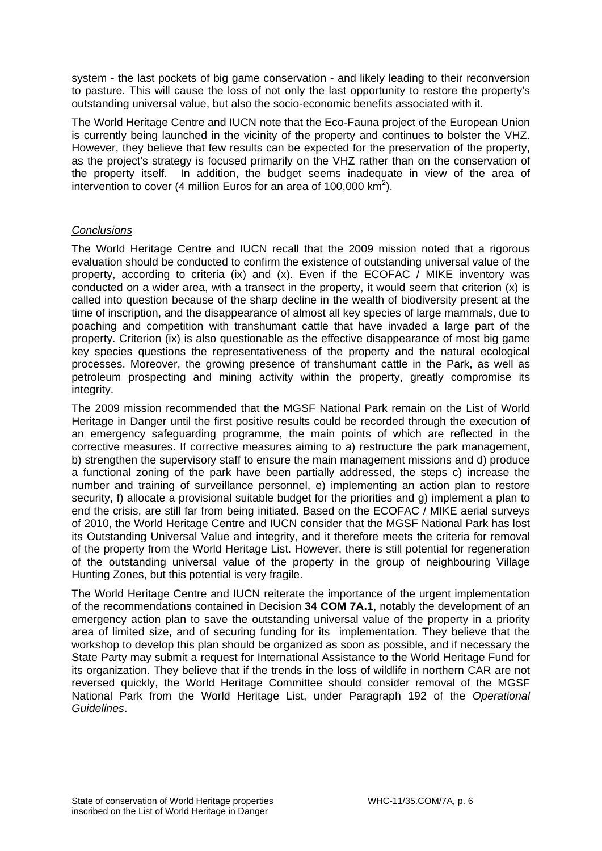system - the last pockets of big game conservation - and likely leading to their reconversion to pasture. This will cause the loss of not only the last opportunity to restore the property's outstanding universal value, but also the socio-economic benefits associated with it.

The World Heritage Centre and IUCN note that the Eco-Fauna project of the European Union is currently being launched in the vicinity of the property and continues to bolster the VHZ. However, they believe that few results can be expected for the preservation of the property, as the project's strategy is focused primarily on the VHZ rather than on the conservation of the property itself. In addition, the budget seems inadequate in view of the area of intervention to cover (4 million Euros for an area of 100,000  $\text{km}^2$ ).

# *Conclusions*

The World Heritage Centre and IUCN recall that the 2009 mission noted that a rigorous evaluation should be conducted to confirm the existence of outstanding universal value of the property, according to criteria (ix) and (x). Even if the ECOFAC  $\overline{\phantom{a}}$  MIKE inventory was conducted on a wider area, with a transect in the property, it would seem that criterion (x) is called into question because of the sharp decline in the wealth of biodiversity present at the time of inscription, and the disappearance of almost all key species of large mammals, due to poaching and competition with transhumant cattle that have invaded a large part of the property. Criterion (ix) is also questionable as the effective disappearance of most big game key species questions the representativeness of the property and the natural ecological processes. Moreover, the growing presence of transhumant cattle in the Park, as well as petroleum prospecting and mining activity within the property, greatly compromise its integrity.

The 2009 mission recommended that the MGSF National Park remain on the List of World Heritage in Danger until the first positive results could be recorded through the execution of an emergency safeguarding programme, the main points of which are reflected in the corrective measures. If corrective measures aiming to a) restructure the park management, b) strengthen the supervisory staff to ensure the main management missions and d) produce a functional zoning of the park have been partially addressed, the steps c) increase the number and training of surveillance personnel, e) implementing an action plan to restore security, f) allocate a provisional suitable budget for the priorities and g) implement a plan to end the crisis, are still far from being initiated. Based on the ECOFAC / MIKE aerial surveys of 2010, the World Heritage Centre and IUCN consider that the MGSF National Park has lost its Outstanding Universal Value and integrity, and it therefore meets the criteria for removal of the property from the World Heritage List. However, there is still potential for regeneration of the outstanding universal value of the property in the group of neighbouring Village Hunting Zones, but this potential is very fragile.

The World Heritage Centre and IUCN reiterate the importance of the urgent implementation of the recommendations contained in Decision **34 COM 7A.1**, notably the development of an emergency action plan to save the outstanding universal value of the property in a priority area of limited size, and of securing funding for its implementation. They believe that the workshop to develop this plan should be organized as soon as possible, and if necessary the State Party may submit a request for International Assistance to the World Heritage Fund for its organization. They believe that if the trends in the loss of wildlife in northern CAR are not reversed quickly, the World Heritage Committee should consider removal of the MGSF National Park from the World Heritage List, under Paragraph 192 of the *Operational Guidelines*.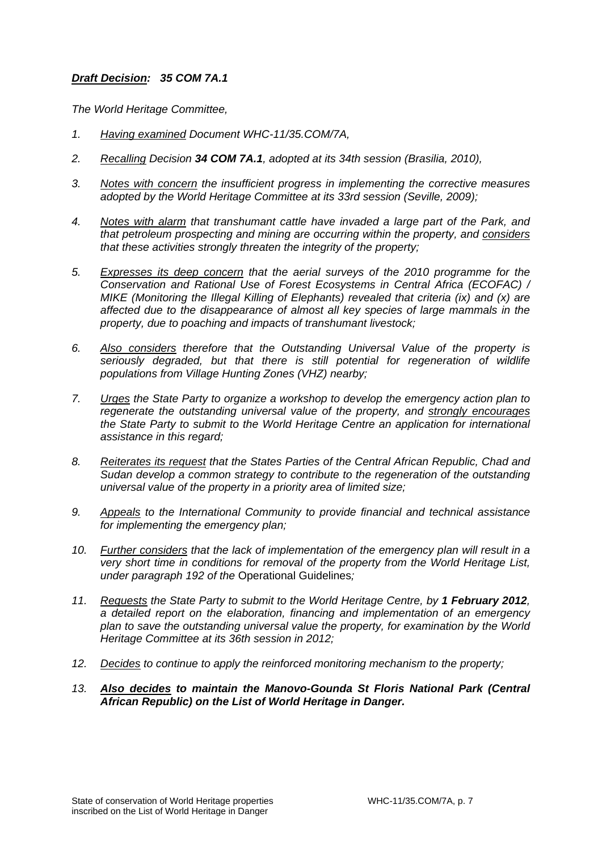# *Draft Decision: 35 COM 7A.1*

*The World Heritage Committee,* 

- *1. Having examined Document WHC-11/35.COM/7A,*
- *2. Recalling Decision 34 COM 7A.1, adopted at its 34th session (Brasilia, 2010),*
- *3. Notes with concern the insufficient progress in implementing the corrective measures adopted by the World Heritage Committee at its 33rd session (Seville, 2009);*
- *4. Notes with alarm that transhumant cattle have invaded a large part of the Park, and that petroleum prospecting and mining are occurring within the property, and considers that these activities strongly threaten the integrity of the property;*
- *5. Expresses its deep concern that the aerial surveys of the 2010 programme for the Conservation and Rational Use of Forest Ecosystems in Central Africa (ECOFAC) / MIKE (Monitoring the Illegal Killing of Elephants) revealed that criteria (ix) and (x) are affected due to the disappearance of almost all key species of large mammals in the property, due to poaching and impacts of transhumant livestock;*
- *6. Also considers therefore that the Outstanding Universal Value of the property is seriously degraded, but that there is still potential for regeneration of wildlife populations from Village Hunting Zones (VHZ) nearby;*
- *7. Urges the State Party to organize a workshop to develop the emergency action plan to regenerate the outstanding universal value of the property, and strongly encourages the State Party to submit to the World Heritage Centre an application for international assistance in this regard;*
- *8. Reiterates its request that the States Parties of the Central African Republic, Chad and Sudan develop a common strategy to contribute to the regeneration of the outstanding universal value of the property in a priority area of limited size;*
- *9. Appeals to the International Community to provide financial and technical assistance for implementing the emergency plan;*
- *10. Further considers that the lack of implementation of the emergency plan will result in a very short time in conditions for removal of the property from the World Heritage List, under paragraph 192 of the* Operational Guidelines*;*
- 11. Requests the State Party to submit to the World Heritage Centre, by 1 February 2012, *a detailed report on the elaboration, financing and implementation of an emergency plan to save the outstanding universal value the property, for examination by the World Heritage Committee at its 36th session in 2012;*
- *12. Decides to continue to apply the reinforced monitoring mechanism to the property;*
- *13. Also decides to maintain the Manovo-Gounda St Floris National Park (Central African Republic) on the List of World Heritage in Danger.*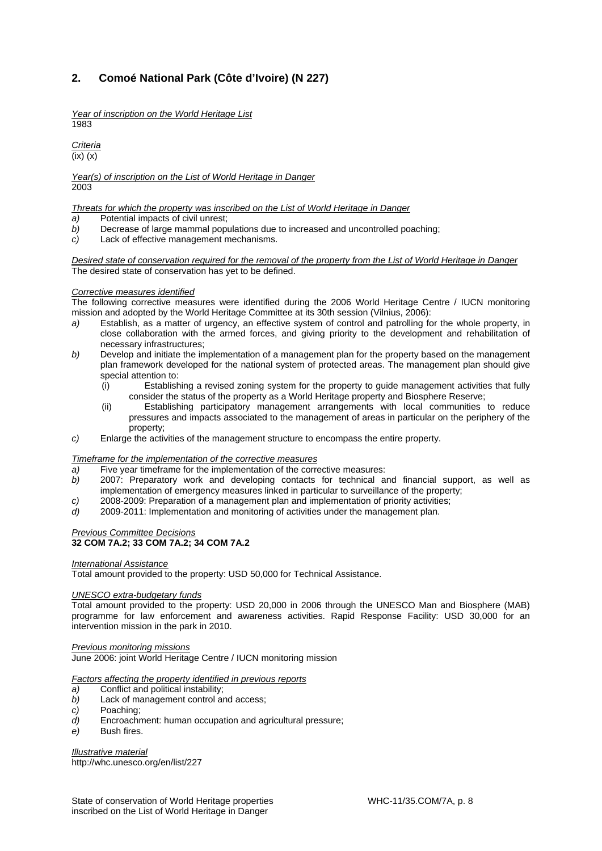# **2. Comoé National Park (Côte d'Ivoire) (N 227)**

*Year of inscription on the World Heritage List*  1983

*Criteria*  (ix) (x)

*Year(s) of inscription on the List of World Heritage in Danger*  2003

*Threats for which the property was inscribed on the List of World Heritage in Danger*

- *a)* Potential impacts of civil unrest;
- *b)* Decrease of large mammal populations due to increased and uncontrolled poaching;
- *c)* Lack of effective management mechanisms.

*Desired state of conservation required for the removal of the property from the List of World Heritage in Danger*  The desired state of conservation has yet to be defined.

#### *Corrective measures identified*

The following corrective measures were identified during the 2006 World Heritage Centre / IUCN monitoring mission and adopted by the World Heritage Committee at its 30th session (Vilnius, 2006):

- *a)* Establish, as a matter of urgency, an effective system of control and patrolling for the whole property, in close collaboration with the armed forces, and giving priority to the development and rehabilitation of necessary infrastructures;
- *b)* Develop and initiate the implementation of a management plan for the property based on the management plan framework developed for the national system of protected areas. The management plan should give special attention to:
	- (i) Establishing a revised zoning system for the property to guide management activities that fully consider the status of the property as a World Heritage property and Biosphere Reserve;
	- (ii) Establishing participatory management arrangements with local communities to reduce pressures and impacts associated to the management of areas in particular on the periphery of the property;
- *c)* Enlarge the activities of the management structure to encompass the entire property.

#### *Timeframe for the implementation of the corrective measures*

- *a)* Five year timeframe for the implementation of the corrective measures:
- *b)* 2007: Preparatory work and developing contacts for technical and financial support, as well as implementation of emergency measures linked in particular to surveillance of the property;
- *c)* 2008-2009: Preparation of a management plan and implementation of priority activities;
- *d)* 2009-2011: Implementation and monitoring of activities under the management plan.

#### *Previous Committee Decisions*  **32 COM 7A.2; 33 COM 7A.2; 34 COM 7A.2**

#### *International Assistance*

Total amount provided to the property: USD 50,000 for Technical Assistance.

#### *UNESCO extra-budgetary funds*

Total amount provided to the property: USD 20,000 in 2006 through the UNESCO Man and Biosphere (MAB) programme for law enforcement and awareness activities. Rapid Response Facility: USD 30,000 for an intervention mission in the park in 2010.

#### *Previous monitoring missions*

June 2006: joint World Heritage Centre / IUCN monitoring mission

#### *Factors affecting the property identified in previous reports*

- *a)* Conflict and political instability;
- *b)* Lack of management control and access;
- *c)* Poaching;
- *d)* Encroachment: human occupation and agricultural pressure;
- *e)* Bush fires.

*Illustrative material* 

http://whc.unesco.org/en/list/227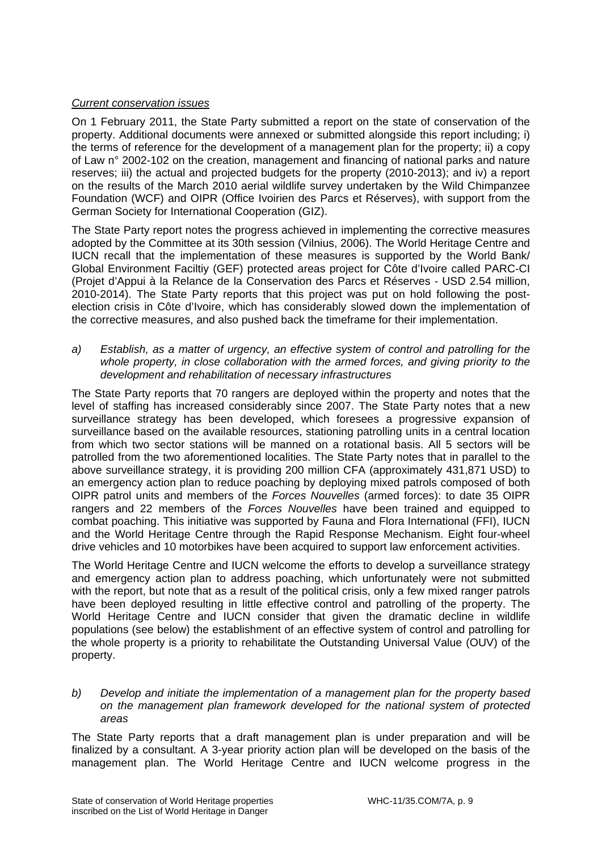# *Current conservation issues*

On 1 February 2011, the State Party submitted a report on the state of conservation of the property. Additional documents were annexed or submitted alongside this report including; i) the terms of reference for the development of a management plan for the property; ii) a copy of Law n° 2002-102 on the creation, management and financing of national parks and nature reserves; iii) the actual and projected budgets for the property (2010-2013); and iv) a report on the results of the March 2010 aerial wildlife survey undertaken by the Wild Chimpanzee Foundation (WCF) and OIPR (Office Ivoirien des Parcs et Réserves), with support from the German Society for International Cooperation (GIZ).

The State Party report notes the progress achieved in implementing the corrective measures adopted by the Committee at its 30th session (Vilnius, 2006). The World Heritage Centre and IUCN recall that the implementation of these measures is supported by the World Bank/ Global Environment Faciltiy (GEF) protected areas project for Côte d'Ivoire called PARC-CI (Projet d'Appui à la Relance de la Conservation des Parcs et Réserves - USD 2.54 million, 2010-2014). The State Party reports that this project was put on hold following the postelection crisis in Côte d'Ivoire, which has considerably slowed down the implementation of the corrective measures, and also pushed back the timeframe for their implementation.

*a) Establish, as a matter of urgency, an effective system of control and patrolling for the whole property, in close collaboration with the armed forces, and giving priority to the development and rehabilitation of necessary infrastructures* 

The State Party reports that 70 rangers are deployed within the property and notes that the level of staffing has increased considerably since 2007. The State Party notes that a new surveillance strategy has been developed, which foresees a progressive expansion of surveillance based on the available resources, stationing patrolling units in a central location from which two sector stations will be manned on a rotational basis. All 5 sectors will be patrolled from the two aforementioned localities. The State Party notes that in parallel to the above surveillance strategy, it is providing 200 million CFA (approximately 431,871 USD) to an emergency action plan to reduce poaching by deploying mixed patrols composed of both OIPR patrol units and members of the *Forces Nouvelles* (armed forces): to date 35 OIPR rangers and 22 members of the *Forces Nouvelles* have been trained and equipped to combat poaching. This initiative was supported by Fauna and Flora International (FFI), IUCN and the World Heritage Centre through the Rapid Response Mechanism. Eight four-wheel drive vehicles and 10 motorbikes have been acquired to support law enforcement activities.

The World Heritage Centre and IUCN welcome the efforts to develop a surveillance strategy and emergency action plan to address poaching, which unfortunately were not submitted with the report, but note that as a result of the political crisis, only a few mixed ranger patrols have been deployed resulting in little effective control and patrolling of the property. The World Heritage Centre and IUCN consider that given the dramatic decline in wildlife populations (see below) the establishment of an effective system of control and patrolling for the whole property is a priority to rehabilitate the Outstanding Universal Value (OUV) of the property.

*b) Develop and initiate the implementation of a management plan for the property based on the management plan framework developed for the national system of protected areas* 

The State Party reports that a draft management plan is under preparation and will be finalized by a consultant. A 3-year priority action plan will be developed on the basis of the management plan. The World Heritage Centre and IUCN welcome progress in the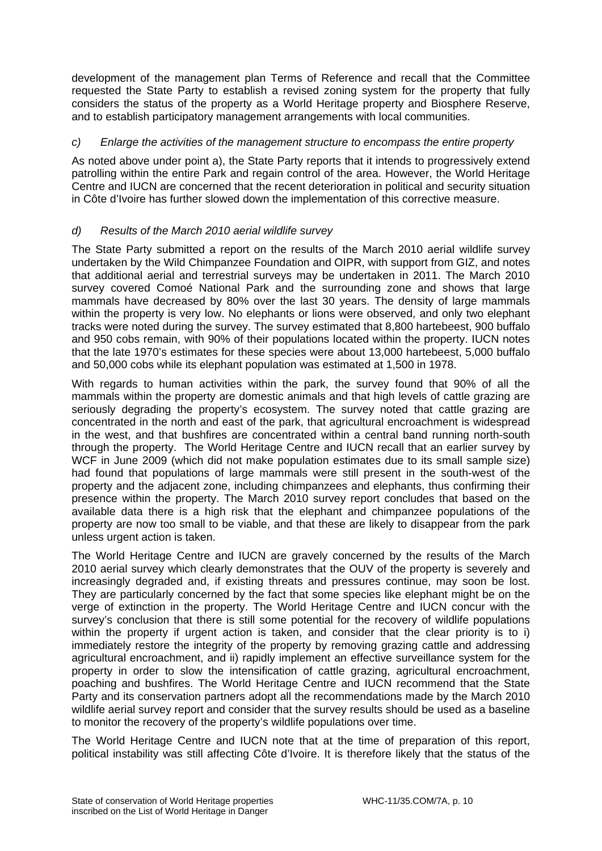development of the management plan Terms of Reference and recall that the Committee requested the State Party to establish a revised zoning system for the property that fully considers the status of the property as a World Heritage property and Biosphere Reserve, and to establish participatory management arrangements with local communities.

# *c) Enlarge the activities of the management structure to encompass the entire property*

As noted above under point a), the State Party reports that it intends to progressively extend patrolling within the entire Park and regain control of the area. However, the World Heritage Centre and IUCN are concerned that the recent deterioration in political and security situation in Côte d'Ivoire has further slowed down the implementation of this corrective measure.

# *d) Results of the March 2010 aerial wildlife survey*

The State Party submitted a report on the results of the March 2010 aerial wildlife survey undertaken by the Wild Chimpanzee Foundation and OIPR, with support from GIZ, and notes that additional aerial and terrestrial surveys may be undertaken in 2011. The March 2010 survey covered Comoé National Park and the surrounding zone and shows that large mammals have decreased by 80% over the last 30 years. The density of large mammals within the property is very low. No elephants or lions were observed, and only two elephant tracks were noted during the survey. The survey estimated that 8,800 hartebeest, 900 buffalo and 950 cobs remain, with 90% of their populations located within the property. IUCN notes that the late 1970's estimates for these species were about 13,000 hartebeest, 5,000 buffalo and 50,000 cobs while its elephant population was estimated at 1,500 in 1978.

With regards to human activities within the park, the survey found that 90% of all the mammals within the property are domestic animals and that high levels of cattle grazing are seriously degrading the property's ecosystem. The survey noted that cattle grazing are concentrated in the north and east of the park, that agricultural encroachment is widespread in the west, and that bushfires are concentrated within a central band running north-south through the property. The World Heritage Centre and IUCN recall that an earlier survey by WCF in June 2009 (which did not make population estimates due to its small sample size) had found that populations of large mammals were still present in the south-west of the property and the adjacent zone, including chimpanzees and elephants, thus confirming their presence within the property. The March 2010 survey report concludes that based on the available data there is a high risk that the elephant and chimpanzee populations of the property are now too small to be viable, and that these are likely to disappear from the park unless urgent action is taken.

The World Heritage Centre and IUCN are gravely concerned by the results of the March 2010 aerial survey which clearly demonstrates that the OUV of the property is severely and increasingly degraded and, if existing threats and pressures continue, may soon be lost. They are particularly concerned by the fact that some species like elephant might be on the verge of extinction in the property. The World Heritage Centre and IUCN concur with the survey's conclusion that there is still some potential for the recovery of wildlife populations within the property if urgent action is taken, and consider that the clear priority is to i) immediately restore the integrity of the property by removing grazing cattle and addressing agricultural encroachment, and ii) rapidly implement an effective surveillance system for the property in order to slow the intensification of cattle grazing, agricultural encroachment, poaching and bushfires. The World Heritage Centre and IUCN recommend that the State Party and its conservation partners adopt all the recommendations made by the March 2010 wildlife aerial survey report and consider that the survey results should be used as a baseline to monitor the recovery of the property's wildlife populations over time.

The World Heritage Centre and IUCN note that at the time of preparation of this report, political instability was still affecting Côte d'Ivoire. It is therefore likely that the status of the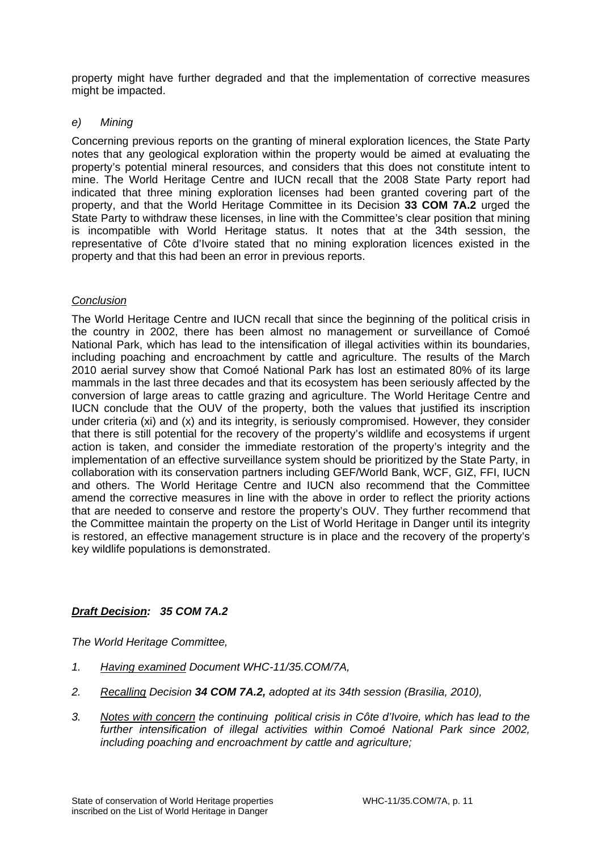property might have further degraded and that the implementation of corrective measures might be impacted.

# *e) Mining*

Concerning previous reports on the granting of mineral exploration licences, the State Party notes that any geological exploration within the property would be aimed at evaluating the property's potential mineral resources, and considers that this does not constitute intent to mine. The World Heritage Centre and IUCN recall that the 2008 State Party report had indicated that three mining exploration licenses had been granted covering part of the property, and that the World Heritage Committee in its Decision **33 COM 7A.2** urged the State Party to withdraw these licenses, in line with the Committee's clear position that mining is incompatible with World Heritage status. It notes that at the 34th session, the representative of Côte d'Ivoire stated that no mining exploration licences existed in the property and that this had been an error in previous reports.

# *Conclusion*

The World Heritage Centre and IUCN recall that since the beginning of the political crisis in the country in 2002, there has been almost no management or surveillance of Comoé National Park, which has lead to the intensification of illegal activities within its boundaries, including poaching and encroachment by cattle and agriculture. The results of the March 2010 aerial survey show that Comoé National Park has lost an estimated 80% of its large mammals in the last three decades and that its ecosystem has been seriously affected by the conversion of large areas to cattle grazing and agriculture. The World Heritage Centre and IUCN conclude that the OUV of the property, both the values that justified its inscription under criteria (xi) and (x) and its integrity, is seriously compromised. However, they consider that there is still potential for the recovery of the property's wildlife and ecosystems if urgent action is taken, and consider the immediate restoration of the property's integrity and the implementation of an effective surveillance system should be prioritized by the State Party, in collaboration with its conservation partners including GEF/World Bank, WCF, GIZ, FFI, IUCN and others. The World Heritage Centre and IUCN also recommend that the Committee amend the corrective measures in line with the above in order to reflect the priority actions that are needed to conserve and restore the property's OUV. They further recommend that the Committee maintain the property on the List of World Heritage in Danger until its integrity is restored, an effective management structure is in place and the recovery of the property's key wildlife populations is demonstrated.

# *Draft Decision: 35 COM 7A.2*

*The World Heritage Committee,* 

- *1. Having examined Document WHC-11/35.COM/7A,*
- *2. Recalling Decision 34 COM 7A.2, adopted at its 34th session (Brasilia, 2010),*
- *3. Notes with concern the continuing political crisis in Côte d'Ivoire, which has lead to the*  further intensification of illegal activities within Comoé National Park since 2002, *including poaching and encroachment by cattle and agriculture;*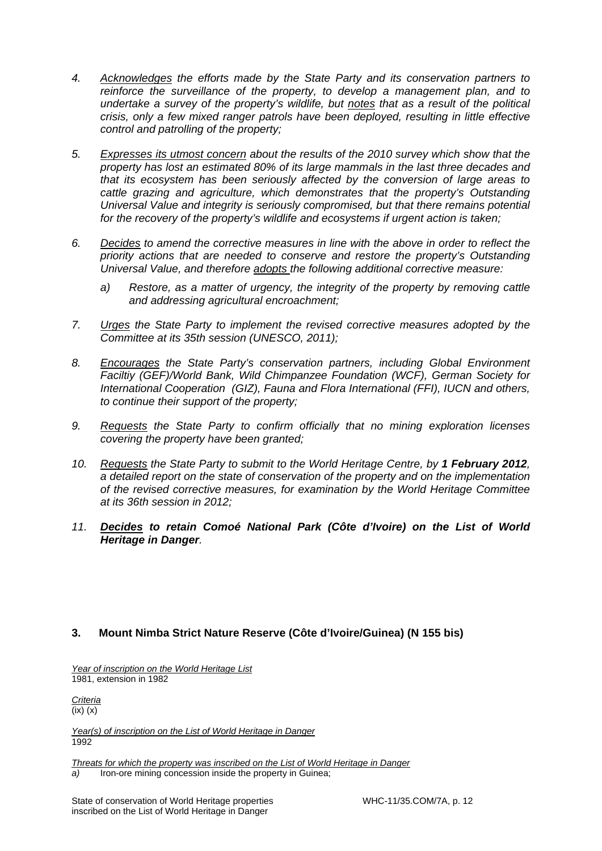- *4. Acknowledges the efforts made by the State Party and its conservation partners to reinforce the surveillance of the property, to develop a management plan, and to undertake a survey of the property's wildlife, but notes that as a result of the political crisis, only a few mixed ranger patrols have been deployed, resulting in little effective control and patrolling of the property;*
- *5. Expresses its utmost concern about the results of the 2010 survey which show that the property has lost an estimated 80% of its large mammals in the last three decades and that its ecosystem has been seriously affected by the conversion of large areas to cattle grazing and agriculture, which demonstrates that the property's Outstanding Universal Value and integrity is seriously compromised, but that there remains potential for the recovery of the property's wildlife and ecosystems if urgent action is taken;*
- *6. Decides to amend the corrective measures in line with the above in order to reflect the priority actions that are needed to conserve and restore the property's Outstanding Universal Value, and therefore adopts the following additional corrective measure:* 
	- *a) Restore, as a matter of urgency, the integrity of the property by removing cattle and addressing agricultural encroachment;*
- *7. Urges the State Party to implement the revised corrective measures adopted by the Committee at its 35th session (UNESCO, 2011);*
- *8. Encourages the State Party's conservation partners, including Global Environment Faciltiy (GEF)/World Bank, Wild Chimpanzee Foundation (WCF), German Society for International Cooperation (GIZ), Fauna and Flora International (FFI), IUCN and others, to continue their support of the property;*
- *9. Requests the State Party to confirm officially that no mining exploration licenses covering the property have been granted;*
- 10. Requests the State Party to submit to the World Heritage Centre, by 1 February 2012, *a detailed report on the state of conservation of the property and on the implementation of the revised corrective measures, for examination by the World Heritage Committee at its 36th session in 2012;*
- *11. Decides to retain Comoé National Park (Côte d'Ivoire) on the List of World Heritage in Danger.*

# **3. Mount Nimba Strict Nature Reserve (Côte d'Ivoire/Guinea) (N 155 bis)**

*Year of inscription on the World Heritage List*  1981, extension in 1982

*Criteria*  (ix) (x)

*Year(s) of inscription on the List of World Heritage in Danger*  1992

*Threats for which the property was inscribed on the List of World Heritage in Danger a)* Iron-ore mining concession inside the property in Guinea;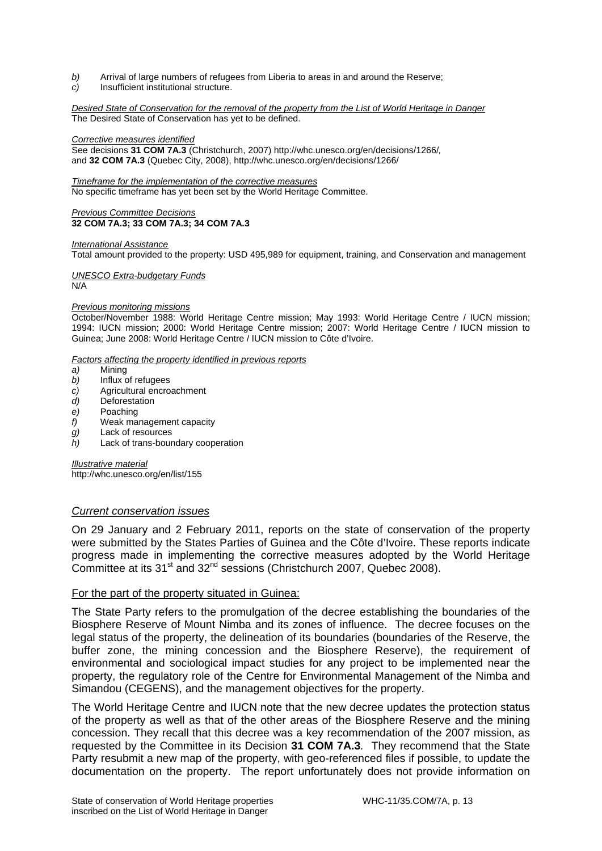- *b)* Arrival of large numbers of refugees from Liberia to areas in and around the Reserve;
- *c)* Insufficient institutional structure.

#### *Desired State of Conservation for the removal of the property from the List of World Heritage in Danger*  The Desired State of Conservation has yet to be defined.

#### *Corrective measures identified*

See decisions **31 COM 7A.3** (Christchurch, 2007) http://whc.unesco.org/en/decisions/1266/*,* and **32 COM 7A.3** (Quebec City, 2008), http://whc.unesco.org/en/decisions/1266/

*Timeframe for the implementation of the corrective measures*  No specific timeframe has yet been set by the World Heritage Committee.

#### *Previous Committee Decisions*  **32 COM 7A.3; 33 COM 7A.3; 34 COM 7A.3**

*International Assistance*  Total amount provided to the property: USD 495,989 for equipment, training, and Conservation and management

# *UNESCO Extra-budgetary Funds*

N/A

#### *Previous monitoring missions*

October/November 1988: World Heritage Centre mission; May 1993: World Heritage Centre / IUCN mission; 1994: IUCN mission; 2000: World Heritage Centre mission; 2007: World Heritage Centre / IUCN mission to Guinea; June 2008: World Heritage Centre / IUCN mission to Côte d'Ivoire.

*Factors affecting the property identified in previous reports* 

- *a)* Mining
- *b)* Influx of refugees
- *c)* Agricultural encroachment
- *d)* Deforestation
- *e)* Poaching
- *f)* Weak management capacity
- *g)* Lack of resources
- *h)* Lack of trans-boundary cooperation

*Illustrative material*  http://whc.unesco.org/en/list/155

#### *Current conservation issues*

On 29 January and 2 February 2011, reports on the state of conservation of the property were submitted by the States Parties of Guinea and the Côte d'Ivoire. These reports indicate progress made in implementing the corrective measures adopted by the World Heritage Committee at its 31<sup>st</sup> and 32<sup>nd</sup> sessions (Christchurch 2007, Quebec 2008).

### For the part of the property situated in Guinea:

The State Party refers to the promulgation of the decree establishing the boundaries of the Biosphere Reserve of Mount Nimba and its zones of influence. The decree focuses on the legal status of the property, the delineation of its boundaries (boundaries of the Reserve, the buffer zone, the mining concession and the Biosphere Reserve), the requirement of environmental and sociological impact studies for any project to be implemented near the property, the regulatory role of the Centre for Environmental Management of the Nimba and Simandou (CEGENS), and the management objectives for the property.

The World Heritage Centre and IUCN note that the new decree updates the protection status of the property as well as that of the other areas of the Biosphere Reserve and the mining concession. They recall that this decree was a key recommendation of the 2007 mission, as requested by the Committee in its Decision **31 COM 7A.3***.* They recommend that the State Party resubmit a new map of the property, with geo-referenced files if possible, to update the documentation on the property. The report unfortunately does not provide information on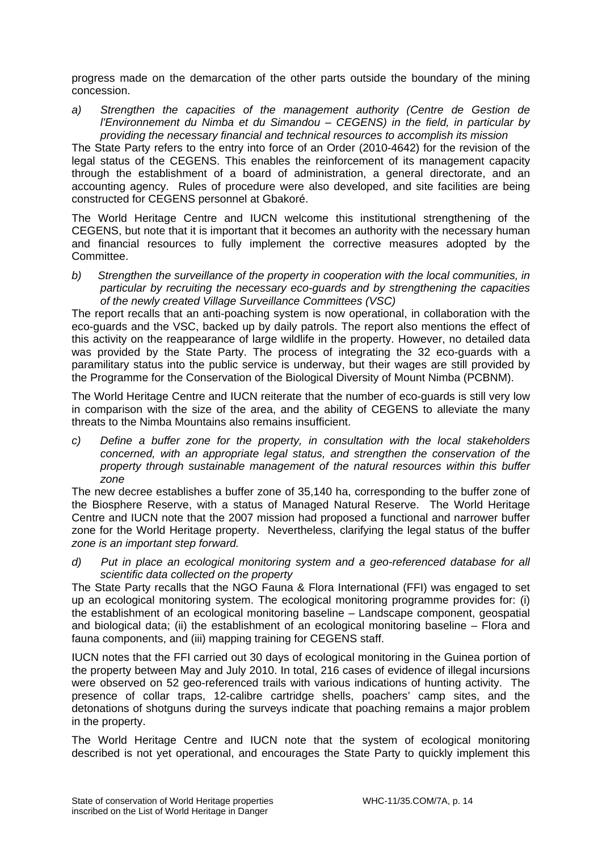progress made on the demarcation of the other parts outside the boundary of the mining concession.

*a) Strengthen the capacities of the management authority (Centre de Gestion de l'Environnement du Nimba et du Simandou – CEGENS) in the field, in particular by providing the necessary financial and technical resources to accomplish its mission* 

The State Party refers to the entry into force of an Order (2010-4642) for the revision of the legal status of the CEGENS. This enables the reinforcement of its management capacity through the establishment of a board of administration, a general directorate, and an accounting agency. Rules of procedure were also developed, and site facilities are being constructed for CEGENS personnel at Gbakoré.

The World Heritage Centre and IUCN welcome this institutional strengthening of the CEGENS, but note that it is important that it becomes an authority with the necessary human and financial resources to fully implement the corrective measures adopted by the Committee.

*b) Strengthen the surveillance of the property in cooperation with the local communities, in particular by recruiting the necessary eco-guards and by strengthening the capacities of the newly created Village Surveillance Committees (VSC)*

The report recalls that an anti-poaching system is now operational, in collaboration with the eco-guards and the VSC, backed up by daily patrols. The report also mentions the effect of this activity on the reappearance of large wildlife in the property. However, no detailed data was provided by the State Party. The process of integrating the 32 eco-guards with a paramilitary status into the public service is underway, but their wages are still provided by the Programme for the Conservation of the Biological Diversity of Mount Nimba (PCBNM).

The World Heritage Centre and IUCN reiterate that the number of eco-guards is still very low in comparison with the size of the area, and the ability of CEGENS to alleviate the many threats to the Nimba Mountains also remains insufficient.

*c) Define a buffer zone for the property, in consultation with the local stakeholders concerned, with an appropriate legal status, and strengthen the conservation of the property through sustainable management of the natural resources within this buffer zone*

The new decree establishes a buffer zone of 35,140 ha, corresponding to the buffer zone of the Biosphere Reserve, with a status of Managed Natural Reserve. The World Heritage Centre and IUCN note that the 2007 mission had proposed a functional and narrower buffer zone for the World Heritage property. Nevertheless, clarifying the legal status of the buffer *zone is an important step forward.* 

*d) Put in place an ecological monitoring system and a geo-referenced database for all scientific data collected on the property* 

The State Party recalls that the NGO Fauna & Flora International (FFI) was engaged to set up an ecological monitoring system. The ecological monitoring programme provides for: (i) the establishment of an ecological monitoring baseline – Landscape component, geospatial and biological data; (ii) the establishment of an ecological monitoring baseline – Flora and fauna components, and (iii) mapping training for CEGENS staff.

IUCN notes that the FFI carried out 30 days of ecological monitoring in the Guinea portion of the property between May and July 2010. In total, 216 cases of evidence of illegal incursions were observed on 52 geo-referenced trails with various indications of hunting activity. The presence of collar traps, 12-calibre cartridge shells, poachers' camp sites, and the detonations of shotguns during the surveys indicate that poaching remains a major problem in the property.

The World Heritage Centre and IUCN note that the system of ecological monitoring described is not yet operational, and encourages the State Party to quickly implement this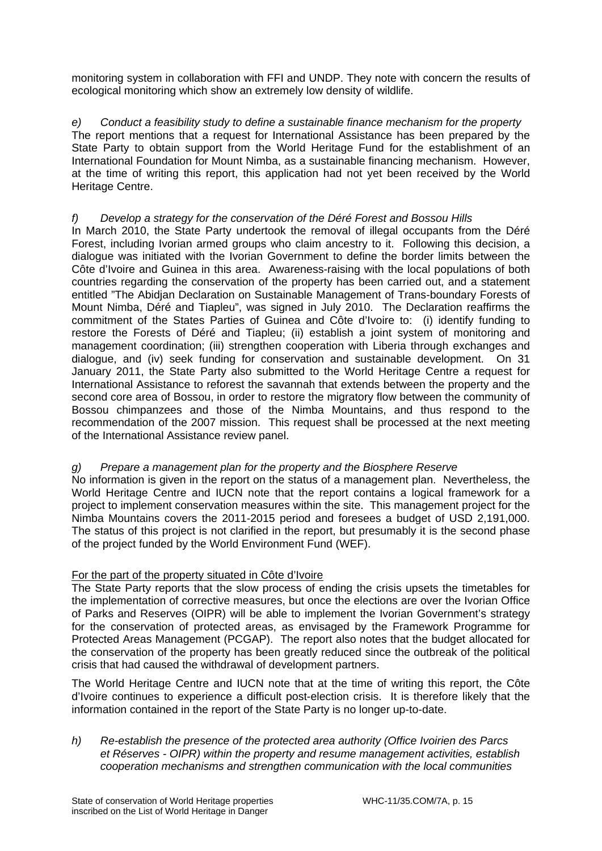monitoring system in collaboration with FFI and UNDP. They note with concern the results of ecological monitoring which show an extremely low density of wildlife.

*e) Conduct a feasibility study to define a sustainable finance mechanism for the property* The report mentions that a request for International Assistance has been prepared by the State Party to obtain support from the World Heritage Fund for the establishment of an International Foundation for Mount Nimba, as a sustainable financing mechanism. However, at the time of writing this report, this application had not yet been received by the World Heritage Centre.

# *f) Develop a strategy for the conservation of the Déré Forest and Bossou Hills*

In March 2010, the State Party undertook the removal of illegal occupants from the Déré Forest, including Ivorian armed groups who claim ancestry to it. Following this decision, a dialogue was initiated with the Ivorian Government to define the border limits between the Côte d'Ivoire and Guinea in this area. Awareness-raising with the local populations of both countries regarding the conservation of the property has been carried out, and a statement entitled "The Abidjan Declaration on Sustainable Management of Trans-boundary Forests of Mount Nimba, Déré and Tiapleu", was signed in July 2010. The Declaration reaffirms the commitment of the States Parties of Guinea and Côte d'Ivoire to: (i) identify funding to restore the Forests of Déré and Tiapleu; (ii) establish a joint system of monitoring and management coordination; (iii) strengthen cooperation with Liberia through exchanges and dialogue, and (iv) seek funding for conservation and sustainable development. On 31 January 2011, the State Party also submitted to the World Heritage Centre a request for International Assistance to reforest the savannah that extends between the property and the second core area of Bossou, in order to restore the migratory flow between the community of Bossou chimpanzees and those of the Nimba Mountains, and thus respond to the recommendation of the 2007 mission. This request shall be processed at the next meeting of the International Assistance review panel.

# *g) Prepare a management plan for the property and the Biosphere Reserve*

No information is given in the report on the status of a management plan. Nevertheless, the World Heritage Centre and IUCN note that the report contains a logical framework for a project to implement conservation measures within the site. This management project for the Nimba Mountains covers the 2011-2015 period and foresees a budget of USD 2,191,000. The status of this project is not clarified in the report, but presumably it is the second phase of the project funded by the World Environment Fund (WEF).

# For the part of the property situated in Côte d'Ivoire

The State Party reports that the slow process of ending the crisis upsets the timetables for the implementation of corrective measures, but once the elections are over the Ivorian Office of Parks and Reserves (OIPR) will be able to implement the Ivorian Government's strategy for the conservation of protected areas, as envisaged by the Framework Programme for Protected Areas Management (PCGAP). The report also notes that the budget allocated for the conservation of the property has been greatly reduced since the outbreak of the political crisis that had caused the withdrawal of development partners.

The World Heritage Centre and IUCN note that at the time of writing this report, the Côte d'Ivoire continues to experience a difficult post-election crisis. It is therefore likely that the information contained in the report of the State Party is no longer up-to-date.

*h) Re-establish the presence of the protected area authority (Office Ivoirien des Parcs et Réserves - OIPR) within the property and resume management activities, establish cooperation mechanisms and strengthen communication with the local communities*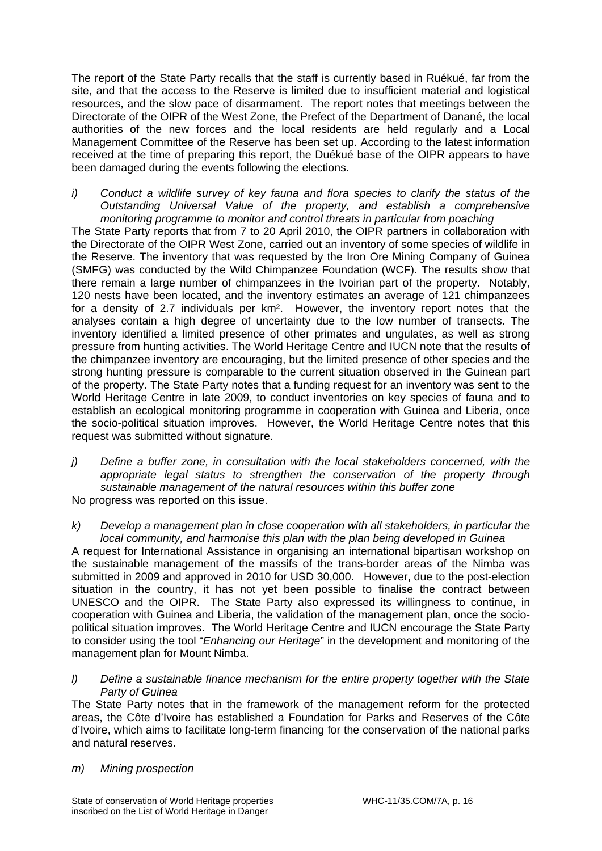The report of the State Party recalls that the staff is currently based in Ruékué, far from the site, and that the access to the Reserve is limited due to insufficient material and logistical resources, and the slow pace of disarmament. The report notes that meetings between the Directorate of the OIPR of the West Zone, the Prefect of the Department of Danané, the local authorities of the new forces and the local residents are held regularly and a Local Management Committee of the Reserve has been set up. According to the latest information received at the time of preparing this report, the Duékué base of the OIPR appears to have been damaged during the events following the elections.

*i) Conduct a wildlife survey of key fauna and flora species to clarify the status of the Outstanding Universal Value of the property, and establish a comprehensive monitoring programme to monitor and control threats in particular from poaching* 

The State Party reports that from 7 to 20 April 2010, the OIPR partners in collaboration with the Directorate of the OIPR West Zone, carried out an inventory of some species of wildlife in the Reserve. The inventory that was requested by the Iron Ore Mining Company of Guinea (SMFG) was conducted by the Wild Chimpanzee Foundation (WCF). The results show that there remain a large number of chimpanzees in the Ivoirian part of the property. Notably, 120 nests have been located, and the inventory estimates an average of 121 chimpanzees for a density of 2.7 individuals per km². However, the inventory report notes that the analyses contain a high degree of uncertainty due to the low number of transects. The inventory identified a limited presence of other primates and ungulates, as well as strong pressure from hunting activities. The World Heritage Centre and IUCN note that the results of the chimpanzee inventory are encouraging, but the limited presence of other species and the strong hunting pressure is comparable to the current situation observed in the Guinean part of the property. The State Party notes that a funding request for an inventory was sent to the World Heritage Centre in late 2009, to conduct inventories on key species of fauna and to establish an ecological monitoring programme in cooperation with Guinea and Liberia, once the socio-political situation improves. However, the World Heritage Centre notes that this request was submitted without signature.

- *j) Define a buffer zone, in consultation with the local stakeholders concerned, with the appropriate legal status to strengthen the conservation of the property through sustainable management of the natural resources within this buffer zone*  No progress was reported on this issue.
- *k) Develop a management plan in close cooperation with all stakeholders, in particular the local community, and harmonise this plan with the plan being developed in Guinea*

A request for International Assistance in organising an international bipartisan workshop on the sustainable management of the massifs of the trans-border areas of the Nimba was submitted in 2009 and approved in 2010 for USD 30,000. However, due to the post-election situation in the country, it has not yet been possible to finalise the contract between UNESCO and the OIPR. The State Party also expressed its willingness to continue, in cooperation with Guinea and Liberia, the validation of the management plan, once the sociopolitical situation improves. The World Heritage Centre and IUCN encourage the State Party to consider using the tool "*Enhancing our Heritage*" in the development and monitoring of the management plan for Mount Nimba.

*l) Define a sustainable finance mechanism for the entire property together with the State Party of Guinea* 

The State Party notes that in the framework of the management reform for the protected areas, the Côte d'Ivoire has established a Foundation for Parks and Reserves of the Côte d'Ivoire, which aims to facilitate long-term financing for the conservation of the national parks and natural reserves.

# *m) Mining prospection*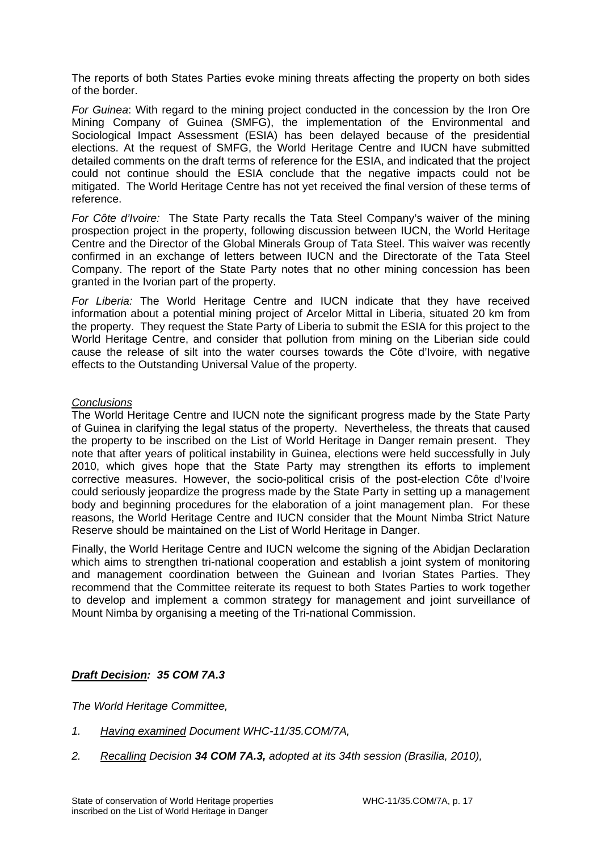The reports of both States Parties evoke mining threats affecting the property on both sides of the border.

*For Guinea*: With regard to the mining project conducted in the concession by the Iron Ore Mining Company of Guinea (SMFG), the implementation of the Environmental and Sociological Impact Assessment (ESIA) has been delayed because of the presidential elections. At the request of SMFG, the World Heritage Centre and IUCN have submitted detailed comments on the draft terms of reference for the ESIA, and indicated that the project could not continue should the ESIA conclude that the negative impacts could not be mitigated. The World Heritage Centre has not yet received the final version of these terms of reference.

*For Côte d'Ivoire:* The State Party recalls the Tata Steel Company's waiver of the mining prospection project in the property, following discussion between IUCN, the World Heritage Centre and the Director of the Global Minerals Group of Tata Steel. This waiver was recently confirmed in an exchange of letters between IUCN and the Directorate of the Tata Steel Company. The report of the State Party notes that no other mining concession has been granted in the Ivorian part of the property.

*For Liberia:* The World Heritage Centre and IUCN indicate that they have received information about a potential mining project of Arcelor Mittal in Liberia, situated 20 km from the property. They request the State Party of Liberia to submit the ESIA for this project to the World Heritage Centre, and consider that pollution from mining on the Liberian side could cause the release of silt into the water courses towards the Côte d'Ivoire, with negative effects to the Outstanding Universal Value of the property.

### *Conclusions*

The World Heritage Centre and IUCN note the significant progress made by the State Party of Guinea in clarifying the legal status of the property. Nevertheless, the threats that caused the property to be inscribed on the List of World Heritage in Danger remain present. They note that after years of political instability in Guinea, elections were held successfully in July 2010, which gives hope that the State Party may strengthen its efforts to implement corrective measures. However, the socio-political crisis of the post-election Côte d'Ivoire could seriously jeopardize the progress made by the State Party in setting up a management body and beginning procedures for the elaboration of a joint management plan. For these reasons, the World Heritage Centre and IUCN consider that the Mount Nimba Strict Nature Reserve should be maintained on the List of World Heritage in Danger.

Finally, the World Heritage Centre and IUCN welcome the signing of the Abidjan Declaration which aims to strengthen tri-national cooperation and establish a joint system of monitoring and management coordination between the Guinean and Ivorian States Parties. They recommend that the Committee reiterate its request to both States Parties to work together to develop and implement a common strategy for management and joint surveillance of Mount Nimba by organising a meeting of the Tri-national Commission.

# *Draft Decision: 35 COM 7A.3*

*The World Heritage Committee,* 

- *1. Having examined Document WHC-11/35.COM/7A,*
- *2. Recalling Decision 34 COM 7A.3, adopted at its 34th session (Brasilia, 2010),*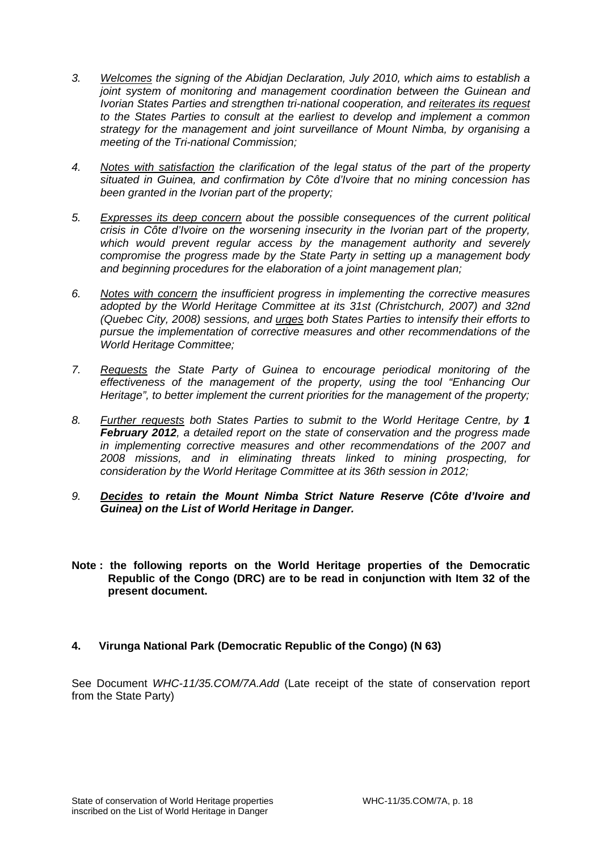- *3. Welcomes the signing of the Abidjan Declaration, July 2010, which aims to establish a joint system of monitoring and management coordination between the Guinean and Ivorian States Parties and strengthen tri-national cooperation, and reiterates its request to the States Parties to consult at the earliest to develop and implement a common strategy for the management and joint surveillance of Mount Nimba, by organising a meeting of the Tri-national Commission;*
- *4. Notes with satisfaction the clarification of the legal status of the part of the property situated in Guinea, and confirmation by Côte d'Ivoire that no mining concession has been granted in the Ivorian part of the property;*
- *5. Expresses its deep concern about the possible consequences of the current political crisis in Côte d'Ivoire on the worsening insecurity in the Ivorian part of the property, which would prevent regular access by the management authority and severely compromise the progress made by the State Party in setting up a management body and beginning procedures for the elaboration of a joint management plan;*
- *6. Notes with concern the insufficient progress in implementing the corrective measures adopted by the World Heritage Committee at its 31st (Christchurch, 2007) and 32nd (Quebec City, 2008) sessions, and urges both States Parties to intensify their efforts to pursue the implementation of corrective measures and other recommendations of the World Heritage Committee;*
- *7. Requests the State Party of Guinea to encourage periodical monitoring of the effectiveness of the management of the property, using the tool "Enhancing Our Heritage", to better implement the current priorities for the management of the property;*
- *8. Further requests both States Parties to submit to the World Heritage Centre, by 1 February 2012, a detailed report on the state of conservation and the progress made in implementing corrective measures and other recommendations of the 2007 and 2008 missions, and in eliminating threats linked to mining prospecting, for consideration by the World Heritage Committee at its 36th session in 2012;*
- *9. Decides to retain the Mount Nimba Strict Nature Reserve (Côte d'Ivoire and Guinea) on the List of World Heritage in Danger.*
- **Note : the following reports on the World Heritage properties of the Democratic Republic of the Congo (DRC) are to be read in conjunction with Item 32 of the present document.**

# **4. Virunga National Park (Democratic Republic of the Congo) (N 63)**

See Document *WHC-11/35.COM/7A.Add* (Late receipt of the state of conservation report from the State Party)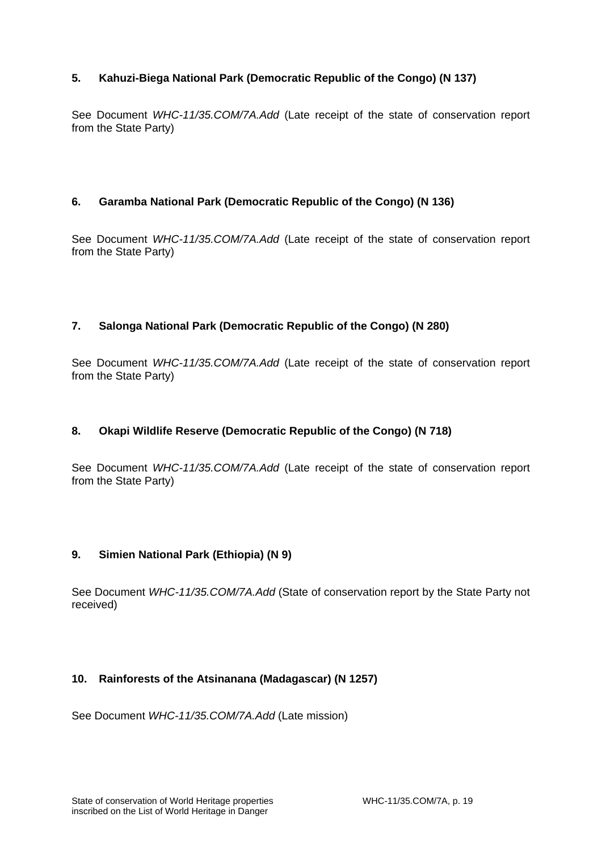# **5. Kahuzi-Biega National Park (Democratic Republic of the Congo) (N 137)**

See Document *WHC-11/35.COM/7A.Add* (Late receipt of the state of conservation report from the State Party)

# **6. Garamba National Park (Democratic Republic of the Congo) (N 136)**

See Document *WHC-11/35.COM/7A.Add* (Late receipt of the state of conservation report from the State Party)

# **7. Salonga National Park (Democratic Republic of the Congo) (N 280)**

See Document *WHC-11/35.COM/7A.Add* (Late receipt of the state of conservation report from the State Party)

# **8. Okapi Wildlife Reserve (Democratic Republic of the Congo) (N 718)**

See Document *WHC-11/35.COM/7A.Add* (Late receipt of the state of conservation report from the State Party)

# **9. Simien National Park (Ethiopia) (N 9)**

See Document *WHC-11/35.COM/7A.Add* (State of conservation report by the State Party not received)

# **10. Rainforests of the Atsinanana (Madagascar) (N 1257)**

See Document *WHC-11/35.COM/7A.Add* (Late mission)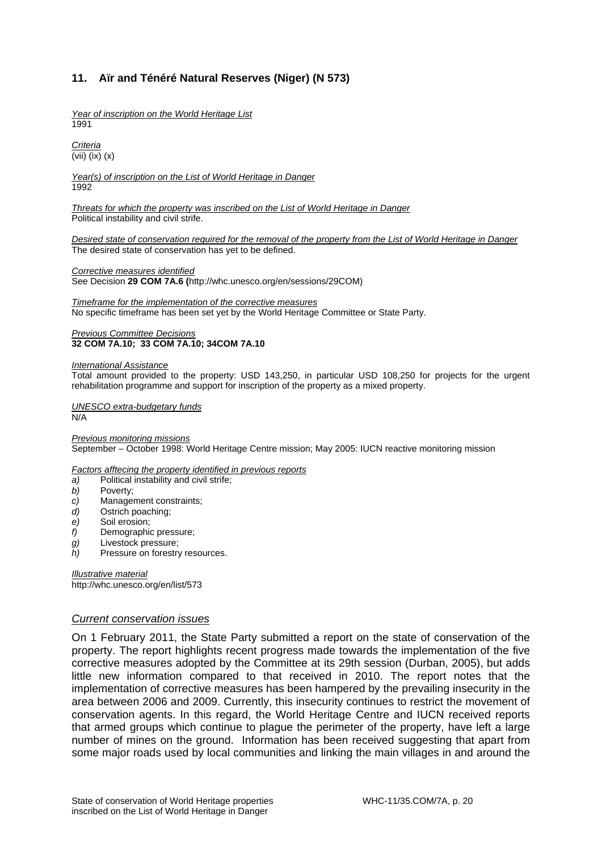# **11. Aïr and Ténéré Natural Reserves (Niger) (N 573)**

*Year of inscription on the World Heritage List*  1991

*Criteria*  (vii) (ix) (x)

*Year(s) of inscription on the List of World Heritage in Danger*  1992

*Threats for which the property was inscribed on the List of World Heritage in Danger*  Political instability and civil strife.

*Desired state of conservation required for the removal of the property from the List of World Heritage in Danger*  The desired state of conservation has yet to be defined.

*Corrective measures identified* 

See Decision **29 COM 7A.6 (**http://whc.unesco.org/en/sessions/29COM)

*Timeframe for the implementation of the corrective measures*  No specific timeframe has been set yet by the World Heritage Committee or State Party.

#### *Previous Committee Decisions*  **32 COM 7A.10; 33 COM 7A.10; 34COM 7A.10**

#### *International Assistance*

Total amount provided to the property: USD 143,250, in particular USD 108,250 for projects for the urgent rehabilitation programme and support for inscription of the property as a mixed property.

*UNESCO extra-budgetary funds*  N/A

*Previous monitoring missions*  September – October 1998: World Heritage Centre mission; May 2005: IUCN reactive monitoring mission

*Factors afftecing the property identified in previous reports* 

- *a)* Political instability and civil strife;
- *b)* Poverty;
- *c)* Management constraints;
- *d)* Ostrich poaching;
- *e)* Soil erosion;
- 
- *f)* Demographic pressure;<br>*g)* Livestock pressure; Livestock pressure;
- *h)* Pressure on forestry resources.

*Illustrative material*  http://whc.unesco.org/en/list/573

#### *Current conservation issues*

On 1 February 2011, the State Party submitted a report on the state of conservation of the property. The report highlights recent progress made towards the implementation of the five corrective measures adopted by the Committee at its 29th session (Durban, 2005), but adds little new information compared to that received in 2010. The report notes that the implementation of corrective measures has been hampered by the prevailing insecurity in the area between 2006 and 2009. Currently, this insecurity continues to restrict the movement of conservation agents. In this regard, the World Heritage Centre and IUCN received reports that armed groups which continue to plague the perimeter of the property, have left a large number of mines on the ground. Information has been received suggesting that apart from some major roads used by local communities and linking the main villages in and around the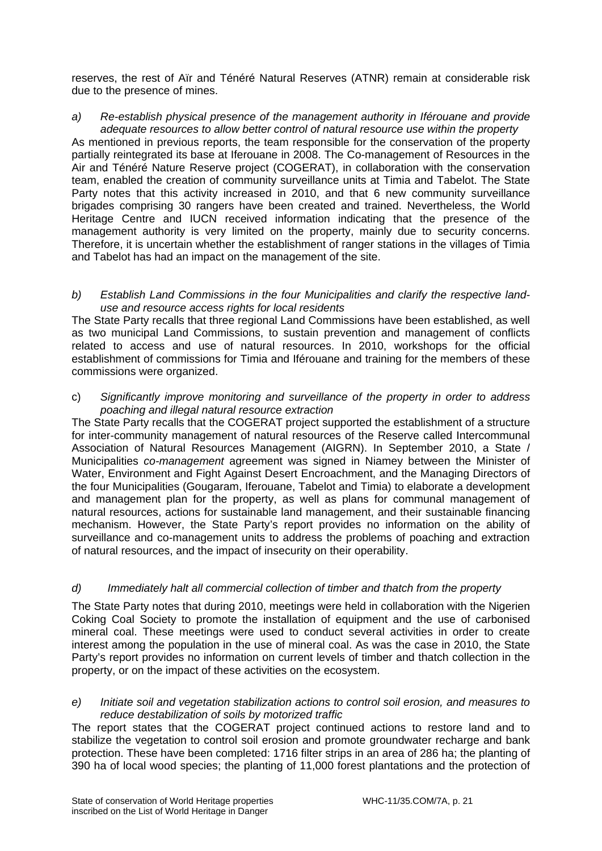reserves, the rest of Aïr and Ténéré Natural Reserves (ATNR) remain at considerable risk due to the presence of mines.

*a) Re-establish physical presence of the management authority in Iférouane and provide adequate resources to allow better control of natural resource use within the property* 

As mentioned in previous reports, the team responsible for the conservation of the property partially reintegrated its base at Iferouane in 2008. The Co-management of Resources in the Air and Ténéré Nature Reserve project (COGERAT), in collaboration with the conservation team, enabled the creation of community surveillance units at Timia and Tabelot. The State Party notes that this activity increased in 2010, and that 6 new community surveillance brigades comprising 30 rangers have been created and trained. Nevertheless, the World Heritage Centre and IUCN received information indicating that the presence of the management authority is very limited on the property, mainly due to security concerns. Therefore, it is uncertain whether the establishment of ranger stations in the villages of Timia and Tabelot has had an impact on the management of the site.

*b) Establish Land Commissions in the four Municipalities and clarify the respective landuse and resource access rights for local residents* 

The State Party recalls that three regional Land Commissions have been established, as well as two municipal Land Commissions, to sustain prevention and management of conflicts related to access and use of natural resources. In 2010, workshops for the official establishment of commissions for Timia and Iférouane and training for the members of these commissions were organized.

c) *Significantly improve monitoring and surveillance of the property in order to address poaching and illegal natural resource extraction*

The State Party recalls that the COGERAT project supported the establishment of a structure for inter-community management of natural resources of the Reserve called Intercommunal Association of Natural Resources Management (AIGRN). In September 2010, a State / Municipalities *co-management* agreement was signed in Niamey between the Minister of Water, Environment and Fight Against Desert Encroachment, and the Managing Directors of the four Municipalities (Gougaram, Iferouane, Tabelot and Timia) to elaborate a development and management plan for the property, as well as plans for communal management of natural resources, actions for sustainable land management, and their sustainable financing mechanism. However, the State Party's report provides no information on the ability of surveillance and co-management units to address the problems of poaching and extraction of natural resources, and the impact of insecurity on their operability.

# *d) Immediately halt all commercial collection of timber and thatch from the property*

The State Party notes that during 2010, meetings were held in collaboration with the Nigerien Coking Coal Society to promote the installation of equipment and the use of carbonised mineral coal. These meetings were used to conduct several activities in order to create interest among the population in the use of mineral coal. As was the case in 2010, the State Party's report provides no information on current levels of timber and thatch collection in the property, or on the impact of these activities on the ecosystem.

*e) Initiate soil and vegetation stabilization actions to control soil erosion, and measures to reduce destabilization of soils by motorized traffic* 

The report states that the COGERAT project continued actions to restore land and to stabilize the vegetation to control soil erosion and promote groundwater recharge and bank protection. These have been completed: 1716 filter strips in an area of 286 ha; the planting of 390 ha of local wood species; the planting of 11,000 forest plantations and the protection of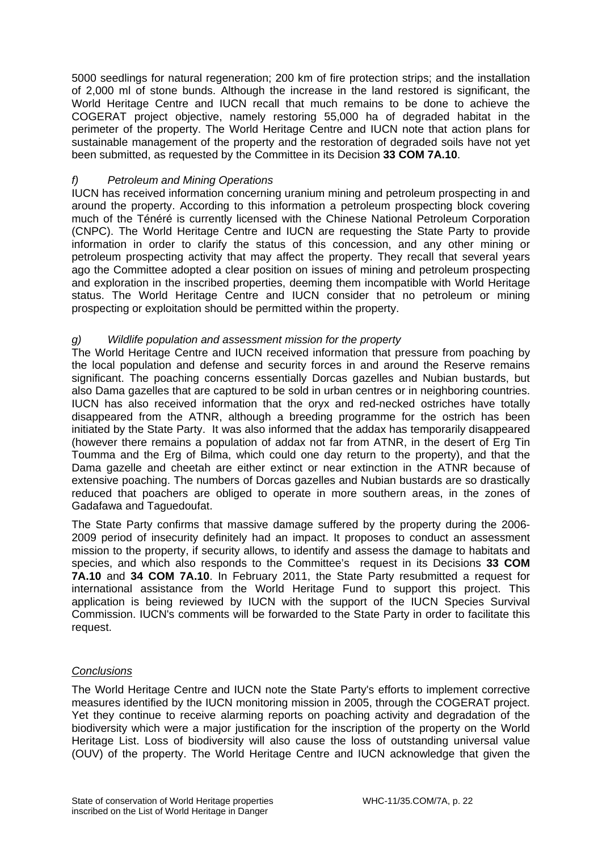5000 seedlings for natural regeneration; 200 km of fire protection strips; and the installation of 2,000 ml of stone bunds. Although the increase in the land restored is significant, the World Heritage Centre and IUCN recall that much remains to be done to achieve the COGERAT project objective, namely restoring 55,000 ha of degraded habitat in the perimeter of the property. The World Heritage Centre and IUCN note that action plans for sustainable management of the property and the restoration of degraded soils have not yet been submitted, as requested by the Committee in its Decision **33 COM 7A.10**.

# *f) Petroleum and Mining Operations*

IUCN has received information concerning uranium mining and petroleum prospecting in and around the property. According to this information a petroleum prospecting block covering much of the Ténéré is currently licensed with the Chinese National Petroleum Corporation (CNPC). The World Heritage Centre and IUCN are requesting the State Party to provide information in order to clarify the status of this concession, and any other mining or petroleum prospecting activity that may affect the property. They recall that several years ago the Committee adopted a clear position on issues of mining and petroleum prospecting and exploration in the inscribed properties, deeming them incompatible with World Heritage status. The World Heritage Centre and IUCN consider that no petroleum or mining prospecting or exploitation should be permitted within the property.

# *g) Wildlife population and assessment mission for the property*

The World Heritage Centre and IUCN received information that pressure from poaching by the local population and defense and security forces in and around the Reserve remains significant. The poaching concerns essentially Dorcas gazelles and Nubian bustards, but also Dama gazelles that are captured to be sold in urban centres or in neighboring countries. IUCN has also received information that the oryx and red-necked ostriches have totally disappeared from the ATNR, although a breeding programme for the ostrich has been initiated by the State Party. It was also informed that the addax has temporarily disappeared (however there remains a population of addax not far from ATNR, in the desert of Erg Tin Toumma and the Erg of Bilma, which could one day return to the property), and that the Dama gazelle and cheetah are either extinct or near extinction in the ATNR because of extensive poaching. The numbers of Dorcas gazelles and Nubian bustards are so drastically reduced that poachers are obliged to operate in more southern areas, in the zones of Gadafawa and Taguedoufat.

The State Party confirms that massive damage suffered by the property during the 2006- 2009 period of insecurity definitely had an impact. It proposes to conduct an assessment mission to the property, if security allows, to identify and assess the damage to habitats and species, and which also responds to the Committee's request in its Decisions **33 COM 7A.10** and **34 COM 7A.10**. In February 2011, the State Party resubmitted a request for international assistance from the World Heritage Fund to support this project. This application is being reviewed by IUCN with the support of the IUCN Species Survival Commission. IUCN's comments will be forwarded to the State Party in order to facilitate this request.

# *Conclusions*

The World Heritage Centre and IUCN note the State Party's efforts to implement corrective measures identified by the IUCN monitoring mission in 2005, through the COGERAT project. Yet they continue to receive alarming reports on poaching activity and degradation of the biodiversity which were a major justification for the inscription of the property on the World Heritage List. Loss of biodiversity will also cause the loss of outstanding universal value (OUV) of the property. The World Heritage Centre and IUCN acknowledge that given the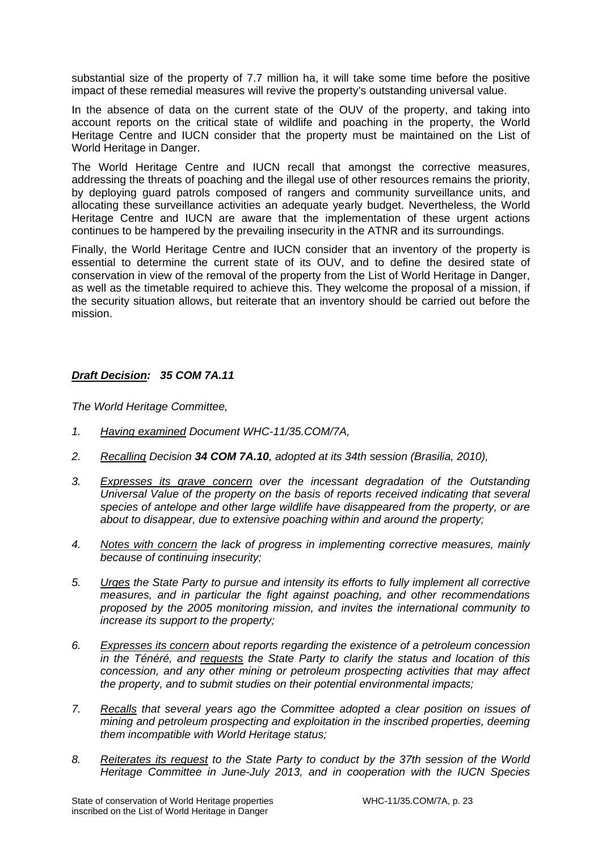substantial size of the property of 7.7 million ha, it will take some time before the positive impact of these remedial measures will revive the property's outstanding universal value.

In the absence of data on the current state of the OUV of the property, and taking into account reports on the critical state of wildlife and poaching in the property, the World Heritage Centre and IUCN consider that the property must be maintained on the List of World Heritage in Danger.

The World Heritage Centre and IUCN recall that amongst the corrective measures, addressing the threats of poaching and the illegal use of other resources remains the priority, by deploying guard patrols composed of rangers and community surveillance units, and allocating these surveillance activities an adequate yearly budget. Nevertheless, the World Heritage Centre and IUCN are aware that the implementation of these urgent actions continues to be hampered by the prevailing insecurity in the ATNR and its surroundings.

Finally, the World Heritage Centre and IUCN consider that an inventory of the property is essential to determine the current state of its OUV, and to define the desired state of conservation in view of the removal of the property from the List of World Heritage in Danger, as well as the timetable required to achieve this. They welcome the proposal of a mission, if the security situation allows, but reiterate that an inventory should be carried out before the mission.

# *Draft Decision: 35 COM 7A.11*

*The World Heritage Committee,* 

- *1. Having examined Document WHC-11/35.COM/7A,*
- *2. Recalling Decision 34 COM 7A.10, adopted at its 34th session (Brasilia, 2010),*
- *3. Expresses its grave concern over the incessant degradation of the Outstanding Universal Value of the property on the basis of reports received indicating that several species of antelope and other large wildlife have disappeared from the property, or are about to disappear, due to extensive poaching within and around the property;*
- *4. Notes with concern the lack of progress in implementing corrective measures, mainly because of continuing insecurity;*
- *5. Urges the State Party to pursue and intensity its efforts to fully implement all corrective measures, and in particular the fight against poaching, and other recommendations proposed by the 2005 monitoring mission, and invites the international community to increase its support to the property;*
- *6. Expresses its concern about reports regarding the existence of a petroleum concession in the Ténéré, and requests the State Party to clarify the status and location of this concession, and any other mining or petroleum prospecting activities that may affect the property, and to submit studies on their potential environmental impacts;*
- *7. Recalls that several years ago the Committee adopted a clear position on issues of mining and petroleum prospecting and exploitation in the inscribed properties, deeming them incompatible with World Heritage status;*
- *8. Reiterates its request to the State Party to conduct by the 37th session of the World Heritage Committee in June-July 2013, and in cooperation with the IUCN Species*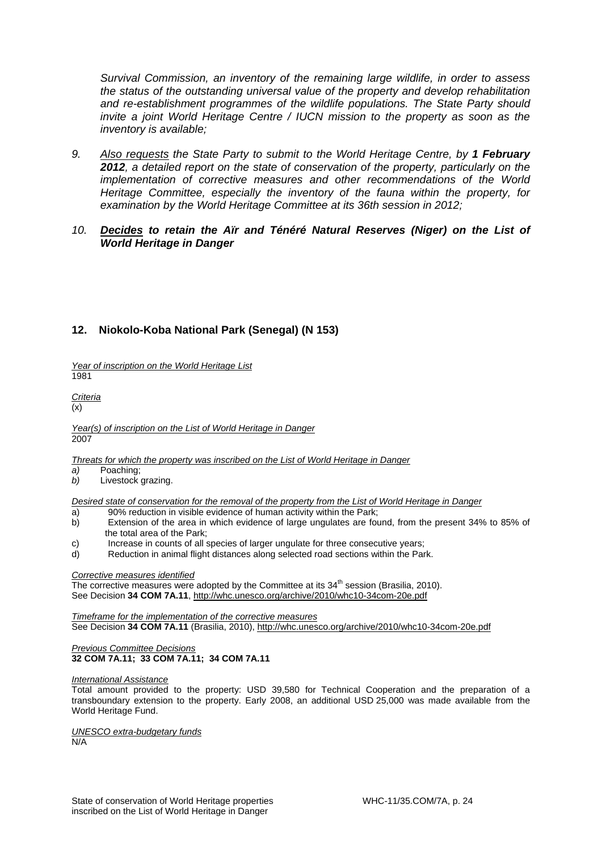*Survival Commission, an inventory of the remaining large wildlife, in order to assess the status of the outstanding universal value of the property and develop rehabilitation and re-establishment programmes of the wildlife populations. The State Party should invite a joint World Heritage Centre / IUCN mission to the property as soon as the inventory is available;* 

- 9. Also requests the State Party to submit to the World Heritage Centre, by 1 February *2012, a detailed report on the state of conservation of the property, particularly on the implementation of corrective measures and other recommendations of the World Heritage Committee, especially the inventory of the fauna within the property, for examination by the World Heritage Committee at its 36th session in 2012;*
- *10. Decides to retain the Aïr and Ténéré Natural Reserves (Niger) on the List of World Heritage in Danger*

# **12. Niokolo-Koba National Park (Senegal) (N 153)**

*Year of inscription on the World Heritage List*  1981

*Criteria*   $(x)$ 

*Year(s) of inscription on the List of World Heritage in Danger*  2007

*Threats for which the property was inscribed on the List of World Heritage in Danger* 

- a) Poaching;
- *b)* Livestock grazing.

*Desired state of conservation for the removal of the property from the List of World Heritage in Danger* 

- a) 90% reduction in visible evidence of human activity within the Park;
- b) Extension of the area in which evidence of large ungulates are found, from the present 34% to 85% of the total area of the Park;
- c) Increase in counts of all species of larger ungulate for three consecutive years;
- d) Reduction in animal flight distances along selected road sections within the Park.

#### *Corrective measures identified*

The corrective measures were adopted by the Committee at its  $34<sup>th</sup>$  session (Brasilia, 2010). See Decision **34 COM 7A.11**, http://whc.unesco.org/archive/2010/whc10-34com-20e.pdf

*Timeframe for the implementation of the corrective measures*  See Decision **34 COM 7A.11** (Brasilia, 2010), http://whc.unesco.org/archive/2010/whc10-34com-20e.pdf

#### *Previous Committee Decisions*  **32 COM 7A.11; 33 COM 7A.11; 34 COM 7A.11**

#### *International Assistance*

Total amount provided to the property: USD 39,580 for Technical Cooperation and the preparation of a transboundary extension to the property. Early 2008, an additional USD 25,000 was made available from the World Heritage Fund.

*UNESCO extra-budgetary funds*  N/A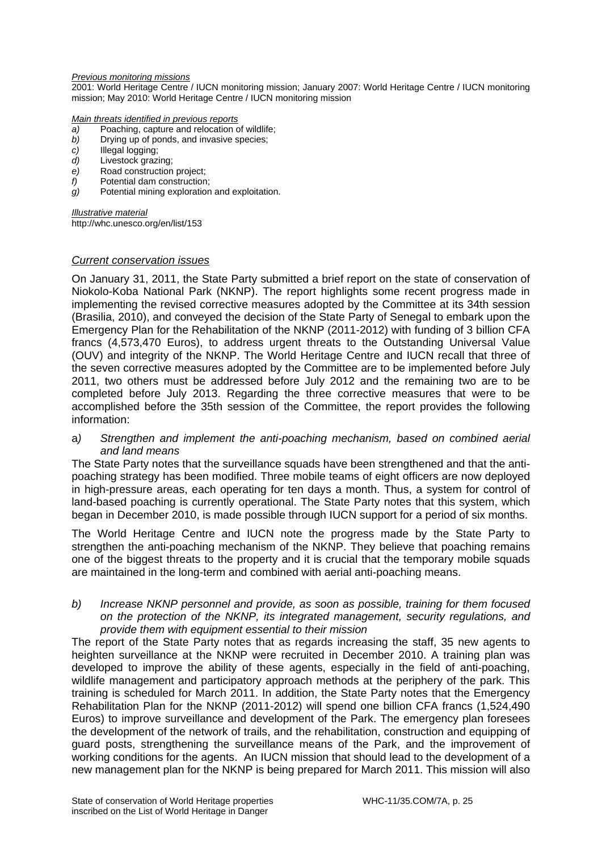#### *Previous monitoring missions*

2001: World Heritage Centre / IUCN monitoring mission; January 2007: World Heritage Centre / IUCN monitoring mission; May 2010: World Heritage Centre / IUCN monitoring mission

#### *Main threats identified in previous reports*

- *a)* Poaching, capture and relocation of wildlife;
- *b)* Drying up of ponds, and invasive species;
- *c)* Illegal logging;
- *d)* Livestock grazing;
- *e)* Road construction project;
- *f)* Potential dam construction;
- *g)* Potential mining exploration and exploitation.

*Illustrative material*  http://whc.unesco.org/en/list/153

### *Current conservation issues*

On January 31, 2011, the State Party submitted a brief report on the state of conservation of Niokolo-Koba National Park (NKNP). The report highlights some recent progress made in implementing the revised corrective measures adopted by the Committee at its 34th session (Brasilia, 2010), and conveyed the decision of the State Party of Senegal to embark upon the Emergency Plan for the Rehabilitation of the NKNP (2011-2012) with funding of 3 billion CFA francs (4,573,470 Euros), to address urgent threats to the Outstanding Universal Value (OUV) and integrity of the NKNP. The World Heritage Centre and IUCN recall that three of the seven corrective measures adopted by the Committee are to be implemented before July 2011, two others must be addressed before July 2012 and the remaining two are to be completed before July 2013. Regarding the three corrective measures that were to be accomplished before the 35th session of the Committee, the report provides the following information:

a*) Strengthen and implement the anti-poaching mechanism, based on combined aerial and land means* 

The State Party notes that the surveillance squads have been strengthened and that the antipoaching strategy has been modified. Three mobile teams of eight officers are now deployed in high-pressure areas, each operating for ten days a month. Thus, a system for control of land-based poaching is currently operational. The State Party notes that this system, which began in December 2010, is made possible through IUCN support for a period of six months.

The World Heritage Centre and IUCN note the progress made by the State Party to strengthen the anti-poaching mechanism of the NKNP. They believe that poaching remains one of the biggest threats to the property and it is crucial that the temporary mobile squads are maintained in the long-term and combined with aerial anti-poaching means.

*b) Increase NKNP personnel and provide, as soon as possible, training for them focused on the protection of the NKNP, its integrated management, security regulations, and provide them with equipment essential to their mission* 

The report of the State Party notes that as regards increasing the staff, 35 new agents to heighten surveillance at the NKNP were recruited in December 2010. A training plan was developed to improve the ability of these agents, especially in the field of anti-poaching, wildlife management and participatory approach methods at the periphery of the park. This training is scheduled for March 2011. In addition, the State Party notes that the Emergency Rehabilitation Plan for the NKNP (2011-2012) will spend one billion CFA francs (1,524,490 Euros) to improve surveillance and development of the Park. The emergency plan foresees the development of the network of trails, and the rehabilitation, construction and equipping of guard posts, strengthening the surveillance means of the Park, and the improvement of working conditions for the agents. An IUCN mission that should lead to the development of a new management plan for the NKNP is being prepared for March 2011. This mission will also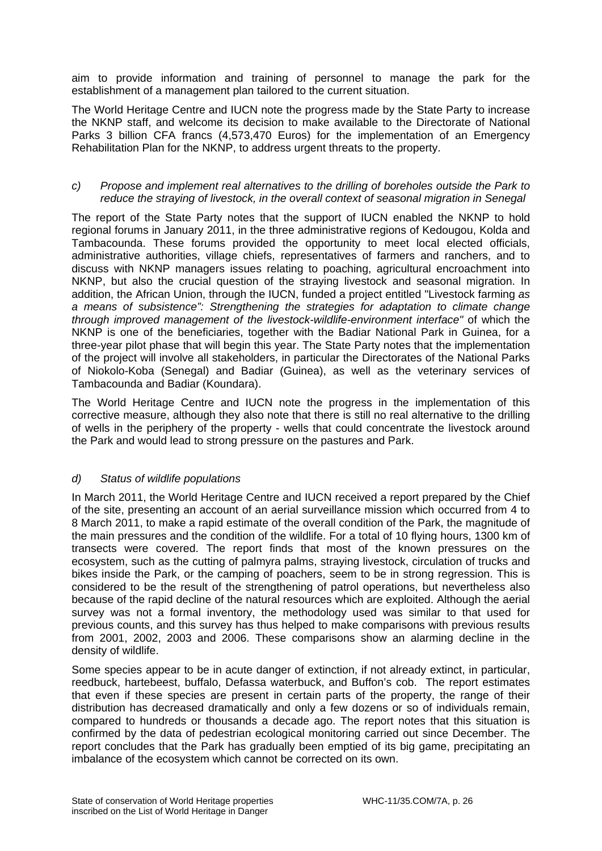aim to provide information and training of personnel to manage the park for the establishment of a management plan tailored to the current situation.

The World Heritage Centre and IUCN note the progress made by the State Party to increase the NKNP staff, and welcome its decision to make available to the Directorate of National Parks 3 billion CFA francs (4,573,470 Euros) for the implementation of an Emergency Rehabilitation Plan for the NKNP, to address urgent threats to the property.

# *c) Propose and implement real alternatives to the drilling of boreholes outside the Park to reduce the straying of livestock, in the overall context of seasonal migration in Senegal*

The report of the State Party notes that the support of IUCN enabled the NKNP to hold regional forums in January 2011, in the three administrative regions of Kedougou, Kolda and Tambacounda. These forums provided the opportunity to meet local elected officials, administrative authorities, village chiefs, representatives of farmers and ranchers, and to discuss with NKNP managers issues relating to poaching, agricultural encroachment into NKNP, but also the crucial question of the straying livestock and seasonal migration. In addition, the African Union, through the IUCN, funded a project entitled "Livestock farming *as a means of subsistence": Strengthening the strategies for adaptation to climate change through improved management of the livestock-wildlife-environment interface"* of which the NKNP is one of the beneficiaries, together with the Badiar National Park in Guinea, for a three-year pilot phase that will begin this year. The State Party notes that the implementation of the project will involve all stakeholders, in particular the Directorates of the National Parks of Niokolo-Koba (Senegal) and Badiar (Guinea), as well as the veterinary services of Tambacounda and Badiar (Koundara).

The World Heritage Centre and IUCN note the progress in the implementation of this corrective measure, although they also note that there is still no real alternative to the drilling of wells in the periphery of the property - wells that could concentrate the livestock around the Park and would lead to strong pressure on the pastures and Park.

# *d) Status of wildlife populations*

In March 2011, the World Heritage Centre and IUCN received a report prepared by the Chief of the site, presenting an account of an aerial surveillance mission which occurred from 4 to 8 March 2011, to make a rapid estimate of the overall condition of the Park, the magnitude of the main pressures and the condition of the wildlife. For a total of 10 flying hours, 1300 km of transects were covered. The report finds that most of the known pressures on the ecosystem, such as the cutting of palmyra palms, straying livestock, circulation of trucks and bikes inside the Park, or the camping of poachers, seem to be in strong regression. This is considered to be the result of the strengthening of patrol operations, but nevertheless also because of the rapid decline of the natural resources which are exploited. Although the aerial survey was not a formal inventory, the methodology used was similar to that used for previous counts, and this survey has thus helped to make comparisons with previous results from 2001, 2002, 2003 and 2006. These comparisons show an alarming decline in the density of wildlife.

Some species appear to be in acute danger of extinction, if not already extinct, in particular, reedbuck, hartebeest, buffalo, Defassa waterbuck, and Buffon's cob. The report estimates that even if these species are present in certain parts of the property, the range of their distribution has decreased dramatically and only a few dozens or so of individuals remain, compared to hundreds or thousands a decade ago. The report notes that this situation is confirmed by the data of pedestrian ecological monitoring carried out since December. The report concludes that the Park has gradually been emptied of its big game, precipitating an imbalance of the ecosystem which cannot be corrected on its own.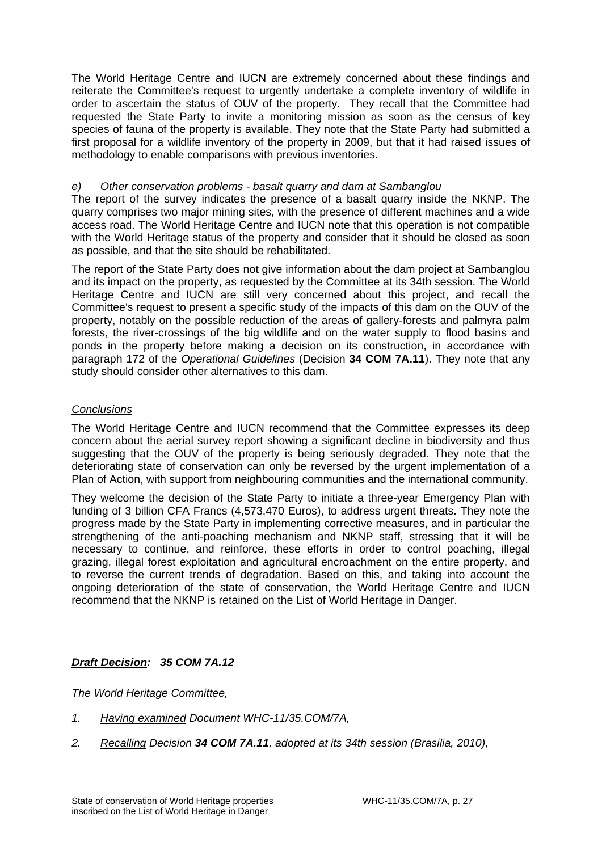The World Heritage Centre and IUCN are extremely concerned about these findings and reiterate the Committee's request to urgently undertake a complete inventory of wildlife in order to ascertain the status of OUV of the property. They recall that the Committee had requested the State Party to invite a monitoring mission as soon as the census of key species of fauna of the property is available. They note that the State Party had submitted a first proposal for a wildlife inventory of the property in 2009, but that it had raised issues of methodology to enable comparisons with previous inventories.

# *e) Other conservation problems - basalt quarry and dam at Sambanglou*

The report of the survey indicates the presence of a basalt quarry inside the NKNP. The quarry comprises two major mining sites, with the presence of different machines and a wide access road. The World Heritage Centre and IUCN note that this operation is not compatible with the World Heritage status of the property and consider that it should be closed as soon as possible, and that the site should be rehabilitated.

The report of the State Party does not give information about the dam project at Sambanglou and its impact on the property, as requested by the Committee at its 34th session. The World Heritage Centre and IUCN are still very concerned about this project, and recall the Committee's request to present a specific study of the impacts of this dam on the OUV of the property, notably on the possible reduction of the areas of gallery-forests and palmyra palm forests, the river-crossings of the big wildlife and on the water supply to flood basins and ponds in the property before making a decision on its construction, in accordance with paragraph 172 of the *Operational Guidelines* (Decision **34 COM 7A.11**). They note that any study should consider other alternatives to this dam.

# *Conclusions*

The World Heritage Centre and IUCN recommend that the Committee expresses its deep concern about the aerial survey report showing a significant decline in biodiversity and thus suggesting that the OUV of the property is being seriously degraded. They note that the deteriorating state of conservation can only be reversed by the urgent implementation of a Plan of Action, with support from neighbouring communities and the international community.

They welcome the decision of the State Party to initiate a three-year Emergency Plan with funding of 3 billion CFA Francs (4,573,470 Euros), to address urgent threats. They note the progress made by the State Party in implementing corrective measures, and in particular the strengthening of the anti-poaching mechanism and NKNP staff, stressing that it will be necessary to continue, and reinforce, these efforts in order to control poaching, illegal grazing, illegal forest exploitation and agricultural encroachment on the entire property, and to reverse the current trends of degradation. Based on this, and taking into account the ongoing deterioration of the state of conservation, the World Heritage Centre and IUCN recommend that the NKNP is retained on the List of World Heritage in Danger.

# *Draft Decision: 35 COM 7A.12*

*The World Heritage Committee,* 

- *1. Having examined Document WHC-11/35.COM/7A,*
- *2. Recalling Decision 34 COM 7A.11, adopted at its 34th session (Brasilia, 2010),*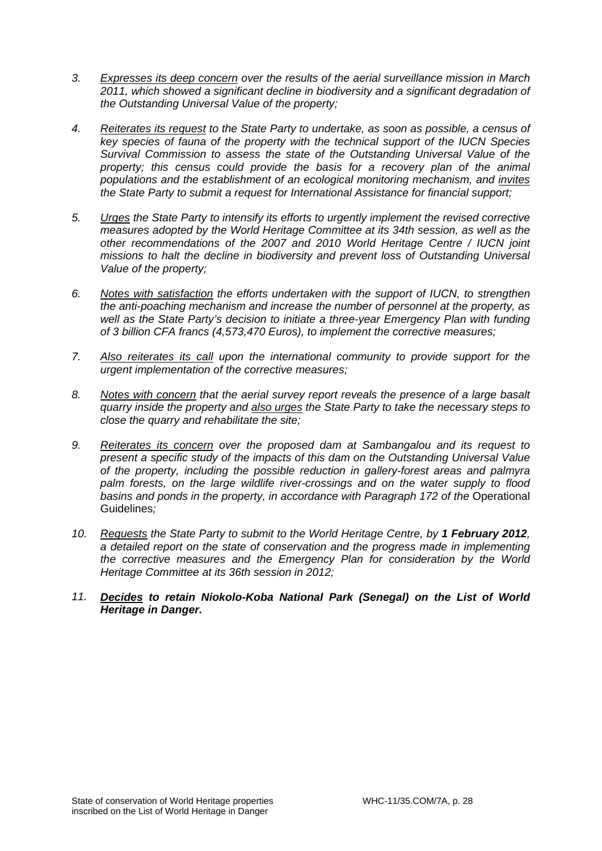- *3. Expresses its deep concern over the results of the aerial surveillance mission in March 2011, which showed a significant decline in biodiversity and a significant degradation of the Outstanding Universal Value of the property;*
- *4. Reiterates its request to the State Party to undertake, as soon as possible, a census of key species of fauna of the property with the technical support of the IUCN Species Survival Commission to assess the state of the Outstanding Universal Value of the property; this census could provide the basis for a recovery plan of the animal populations and the establishment of an ecological monitoring mechanism, and invites the State Party to submit a request for International Assistance for financial support;*
- *5. Urges the State Party to intensify its efforts to urgently implement the revised corrective measures adopted by the World Heritage Committee at its 34th session, as well as the other recommendations of the 2007 and 2010 World Heritage Centre / IUCN joint missions to halt the decline in biodiversity and prevent loss of Outstanding Universal Value of the property;*
- *6. Notes with satisfaction the efforts undertaken with the support of IUCN, to strengthen the anti-poaching mechanism and increase the number of personnel at the property, as well as the State Party's decision to initiate a three-year Emergency Plan with funding of 3 billion CFA francs (4,573,470 Euros), to implement the corrective measures;*
- *7. Also reiterates its call upon the international community to provide support for the urgent implementation of the corrective measures;*
- *8. Notes with concern that the aerial survey report reveals the presence of a large basalt quarry inside the property and also urges the State Party to take the necessary steps to close the quarry and rehabilitate the site;*
- *9. Reiterates its concern over the proposed dam at Sambangalou and its request to present a specific study of the impacts of this dam on the Outstanding Universal Value of the property, including the possible reduction in gallery-forest areas and palmyra palm forests, on the large wildlife river-crossings and on the water supply to flood*  basins and ponds in the property, in accordance with Paragraph 172 of the Operational Guidelines*;*
- 10. Requests the State Party to submit to the World Heritage Centre, by 1 February 2012. *a detailed report on the state of conservation and the progress made in implementing the corrective measures and the Emergency Plan for consideration by the World Heritage Committee at its 36th session in 2012;*
- *11. Decides to retain Niokolo-Koba National Park (Senegal) on the List of World Heritage in Danger.*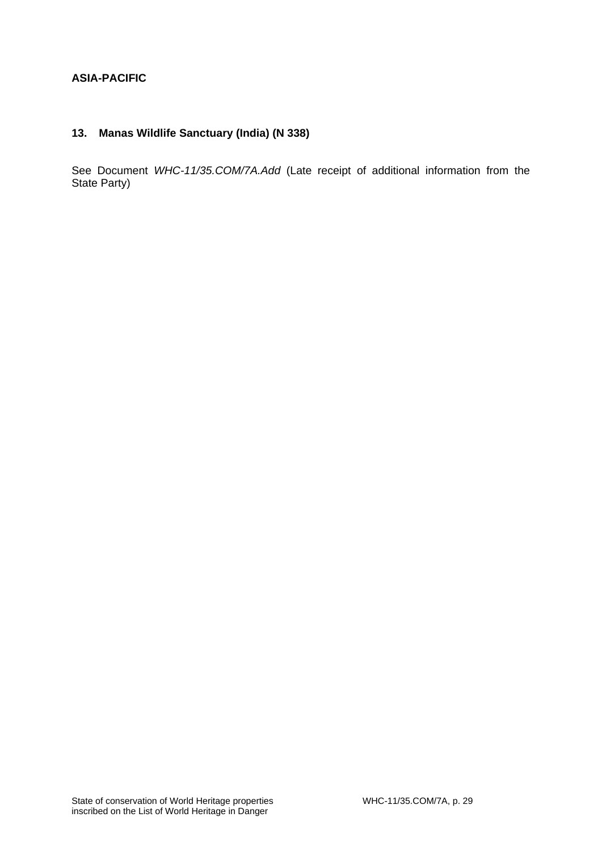# **ASIA-PACIFIC**

# **13. Manas Wildlife Sanctuary (India) (N 338)**

See Document *WHC-11/35.COM/7A.Add* (Late receipt of additional information from the State Party)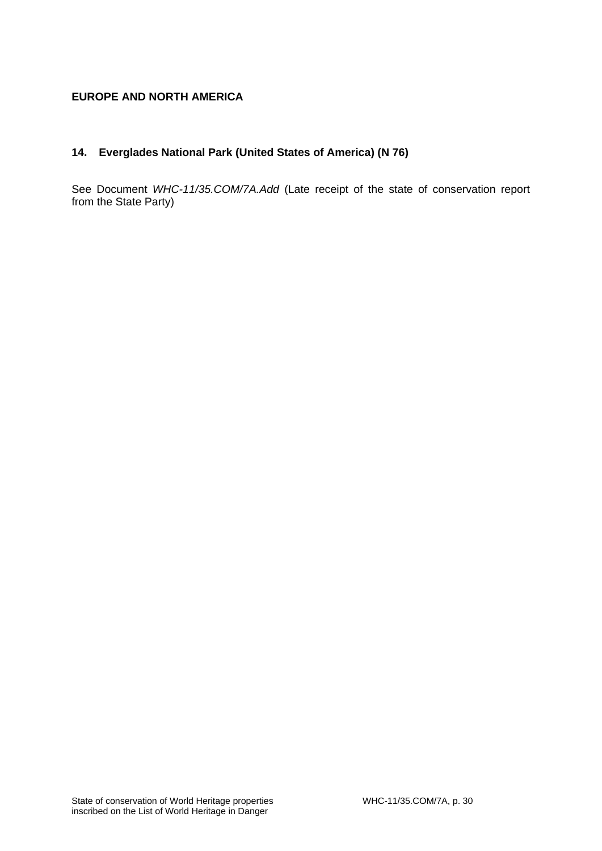# **EUROPE AND NORTH AMERICA**

# **14. Everglades National Park (United States of America) (N 76)**

See Document *WHC-11/35.COM/7A.Add* (Late receipt of the state of conservation report from the State Party)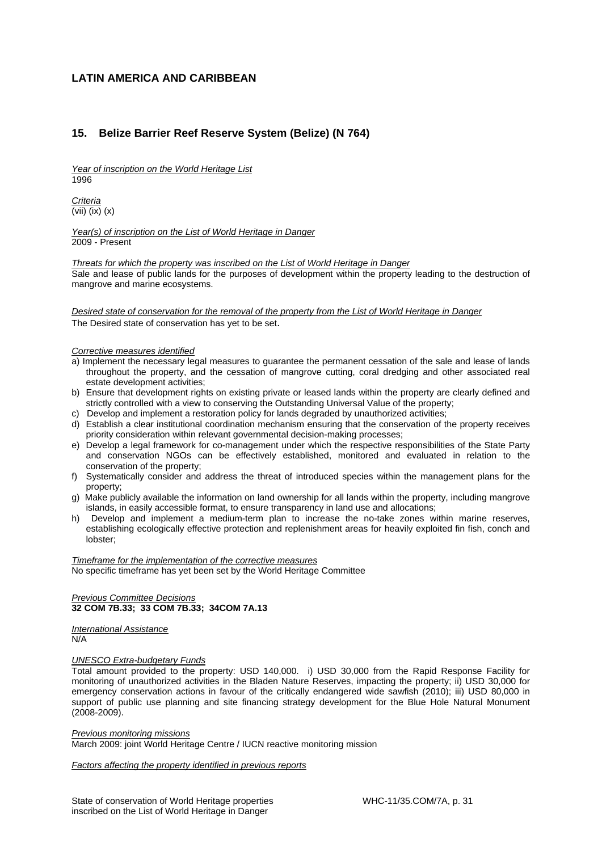### **LATIN AMERICA AND CARIBBEAN**

### **15. Belize Barrier Reef Reserve System (Belize) (N 764)**

*Year of inscription on the World Heritage List*  1996

*Criteria*  (vii) (ix) (x)

*Year(s) of inscription on the List of World Heritage in Danger*  2009 - Present

*Threats for which the property was inscribed on the List of World Heritage in Danger*  Sale and lease of public lands for the purposes of development within the property leading to the destruction of mangrove and marine ecosystems.

*Desired state of conservation for the removal of the property from the List of World Heritage in Danger*  The Desired state of conservation has yet to be set.

#### *Corrective measures identified*

- a) Implement the necessary legal measures to guarantee the permanent cessation of the sale and lease of lands throughout the property, and the cessation of mangrove cutting, coral dredging and other associated real estate development activities;
- b) Ensure that development rights on existing private or leased lands within the property are clearly defined and strictly controlled with a view to conserving the Outstanding Universal Value of the property;
- c) Develop and implement a restoration policy for lands degraded by unauthorized activities;
- d) Establish a clear institutional coordination mechanism ensuring that the conservation of the property receives priority consideration within relevant governmental decision-making processes;
- e) Develop a legal framework for co-management under which the respective responsibilities of the State Party and conservation NGOs can be effectively established, monitored and evaluated in relation to the conservation of the property;
- f) Systematically consider and address the threat of introduced species within the management plans for the property;
- g) Make publicly available the information on land ownership for all lands within the property, including mangrove islands, in easily accessible format, to ensure transparency in land use and allocations;
- h) Develop and implement a medium-term plan to increase the no-take zones within marine reserves, establishing ecologically effective protection and replenishment areas for heavily exploited fin fish, conch and lobster;

*Timeframe for the implementation of the corrective measures*  No specific timeframe has yet been set by the World Heritage Committee

#### *Previous Committee Decisions*  **32 COM 7B.33; 33 COM 7B.33; 34COM 7A.13**

*International Assistance*  N/A

#### *UNESCO Extra-budgetary Funds*

Total amount provided to the property: USD 140,000. i) USD 30,000 from the Rapid Response Facility for monitoring of unauthorized activities in the Bladen Nature Reserves, impacting the property; ii) USD 30,000 for emergency conservation actions in favour of the critically endangered wide sawfish (2010); iii) USD 80,000 in support of public use planning and site financing strategy development for the Blue Hole Natural Monument (2008-2009).

#### *Previous monitoring missions*

March 2009: joint World Heritage Centre / IUCN reactive monitoring mission

*Factors affecting the property identified in previous reports*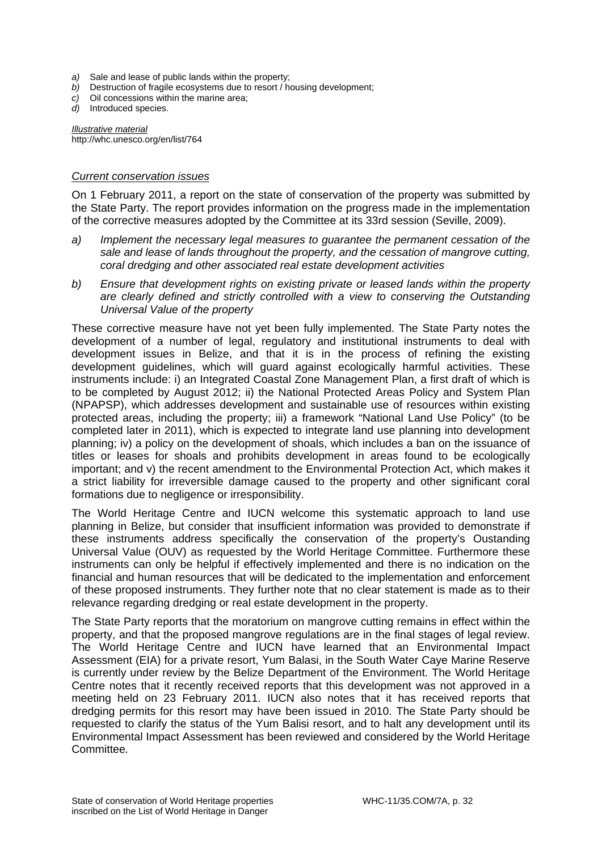- *a)* Sale and lease of public lands within the property;
- *b)* Destruction of fragile ecosystems due to resort / housing development;
- *c)* Oil concessions within the marine area;
- *d)* Introduced species.

*Illustrative material*  http://whc.unesco.org/en/list/764

### *Current conservation issues*

On 1 February 2011, a report on the state of conservation of the property was submitted by the State Party. The report provides information on the progress made in the implementation of the corrective measures adopted by the Committee at its 33rd session (Seville, 2009).

- *a) Implement the necessary legal measures to guarantee the permanent cessation of the sale and lease of lands throughout the property, and the cessation of mangrove cutting, coral dredging and other associated real estate development activities*
- *b) Ensure that development rights on existing private or leased lands within the property are clearly defined and strictly controlled with a view to conserving the Outstanding Universal Value of the property*

These corrective measure have not yet been fully implemented. The State Party notes the development of a number of legal, regulatory and institutional instruments to deal with development issues in Belize, and that it is in the process of refining the existing development guidelines, which will guard against ecologically harmful activities. These instruments include: i) an Integrated Coastal Zone Management Plan, a first draft of which is to be completed by August 2012; ii) the National Protected Areas Policy and System Plan (NPAPSP), which addresses development and sustainable use of resources within existing protected areas, including the property; iii) a framework "National Land Use Policy" (to be completed later in 2011), which is expected to integrate land use planning into development planning; iv) a policy on the development of shoals, which includes a ban on the issuance of titles or leases for shoals and prohibits development in areas found to be ecologically important; and v) the recent amendment to the Environmental Protection Act, which makes it a strict liability for irreversible damage caused to the property and other significant coral formations due to negligence or irresponsibility.

The World Heritage Centre and IUCN welcome this systematic approach to land use planning in Belize, but consider that insufficient information was provided to demonstrate if these instruments address specifically the conservation of the property's Oustanding Universal Value (OUV) as requested by the World Heritage Committee. Furthermore these instruments can only be helpful if effectively implemented and there is no indication on the financial and human resources that will be dedicated to the implementation and enforcement of these proposed instruments. They further note that no clear statement is made as to their relevance regarding dredging or real estate development in the property.

The State Party reports that the moratorium on mangrove cutting remains in effect within the property, and that the proposed mangrove regulations are in the final stages of legal review. The World Heritage Centre and IUCN have learned that an Environmental Impact Assessment (EIA) for a private resort, Yum Balasi, in the South Water Caye Marine Reserve is currently under review by the Belize Department of the Environment. The World Heritage Centre notes that it recently received reports that this development was not approved in a meeting held on 23 February 2011. IUCN also notes that it has received reports that dredging permits for this resort may have been issued in 2010. The State Party should be requested to clarify the status of the Yum Balisi resort, and to halt any development until its Environmental Impact Assessment has been reviewed and considered by the World Heritage Committee*.*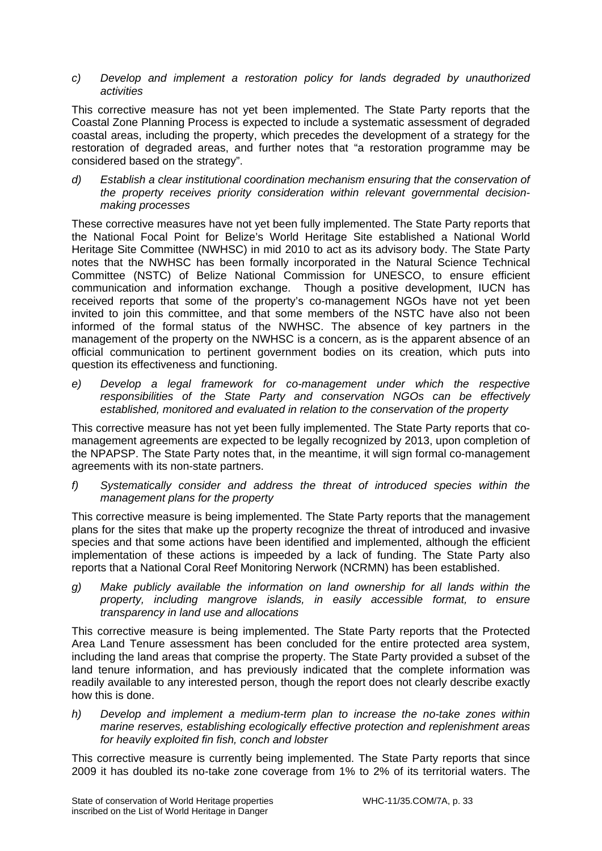### *c) Develop and implement a restoration policy for lands degraded by unauthorized activities*

This corrective measure has not yet been implemented. The State Party reports that the Coastal Zone Planning Process is expected to include a systematic assessment of degraded coastal areas, including the property, which precedes the development of a strategy for the restoration of degraded areas, and further notes that "a restoration programme may be considered based on the strategy".

*d) Establish a clear institutional coordination mechanism ensuring that the conservation of the property receives priority consideration within relevant governmental decisionmaking processes* 

These corrective measures have not yet been fully implemented. The State Party reports that the National Focal Point for Belize's World Heritage Site established a National World Heritage Site Committee (NWHSC) in mid 2010 to act as its advisory body. The State Party notes that the NWHSC has been formally incorporated in the Natural Science Technical Committee (NSTC) of Belize National Commission for UNESCO, to ensure efficient communication and information exchange. Though a positive development, IUCN has received reports that some of the property's co-management NGOs have not yet been invited to join this committee, and that some members of the NSTC have also not been informed of the formal status of the NWHSC. The absence of key partners in the management of the property on the NWHSC is a concern, as is the apparent absence of an official communication to pertinent government bodies on its creation, which puts into question its effectiveness and functioning.

*e) Develop a legal framework for co-management under which the respective responsibilities of the State Party and conservation NGOs can be effectively established, monitored and evaluated in relation to the conservation of the property* 

This corrective measure has not yet been fully implemented. The State Party reports that comanagement agreements are expected to be legally recognized by 2013, upon completion of the NPAPSP. The State Party notes that, in the meantime, it will sign formal co-management agreements with its non-state partners.

*f) Systematically consider and address the threat of introduced species within the management plans for the property* 

This corrective measure is being implemented. The State Party reports that the management plans for the sites that make up the property recognize the threat of introduced and invasive species and that some actions have been identified and implemented, although the efficient implementation of these actions is impeeded by a lack of funding. The State Party also reports that a National Coral Reef Monitoring Nerwork (NCRMN) has been established.

*g) Make publicly available the information on land ownership for all lands within the property, including mangrove islands, in easily accessible format, to ensure transparency in land use and allocations* 

This corrective measure is being implemented. The State Party reports that the Protected Area Land Tenure assessment has been concluded for the entire protected area system, including the land areas that comprise the property. The State Party provided a subset of the land tenure information, and has previously indicated that the complete information was readily available to any interested person, though the report does not clearly describe exactly how this is done.

*h) Develop and implement a medium-term plan to increase the no-take zones within marine reserves, establishing ecologically effective protection and replenishment areas for heavily exploited fin fish, conch and lobster* 

This corrective measure is currently being implemented. The State Party reports that since 2009 it has doubled its no-take zone coverage from 1% to 2% of its territorial waters. The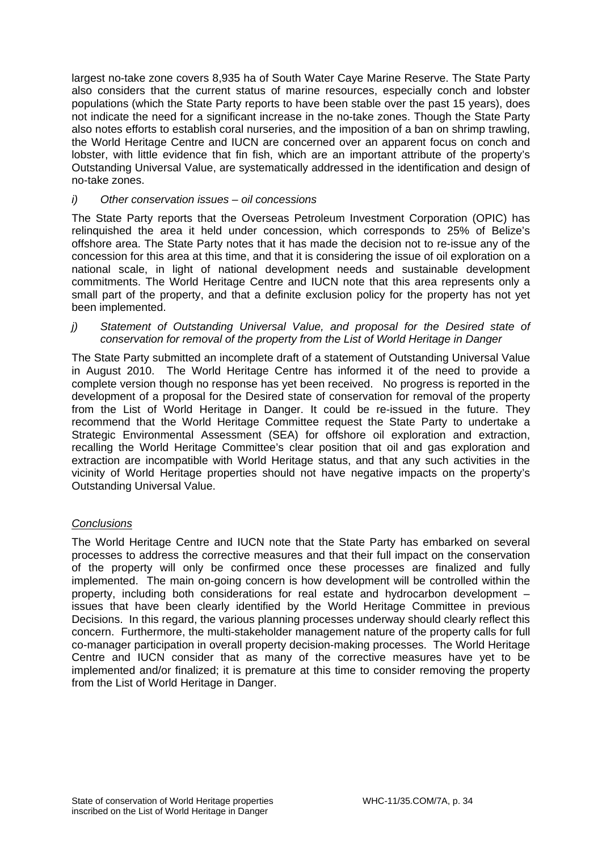largest no-take zone covers 8,935 ha of South Water Caye Marine Reserve. The State Party also considers that the current status of marine resources, especially conch and lobster populations (which the State Party reports to have been stable over the past 15 years), does not indicate the need for a significant increase in the no-take zones. Though the State Party also notes efforts to establish coral nurseries, and the imposition of a ban on shrimp trawling, the World Heritage Centre and IUCN are concerned over an apparent focus on conch and lobster, with little evidence that fin fish, which are an important attribute of the property's Outstanding Universal Value, are systematically addressed in the identification and design of no-take zones.

### *i) Other conservation issues – oil concessions*

The State Party reports that the Overseas Petroleum Investment Corporation (OPIC) has relinquished the area it held under concession, which corresponds to 25% of Belize's offshore area. The State Party notes that it has made the decision not to re-issue any of the concession for this area at this time, and that it is considering the issue of oil exploration on a national scale, in light of national development needs and sustainable development commitments. The World Heritage Centre and IUCN note that this area represents only a small part of the property, and that a definite exclusion policy for the property has not yet been implemented.

*j)* Statement of Outstanding Universal Value, and proposal for the Desired state of *conservation for removal of the property from the List of World Heritage in Danger*

The State Party submitted an incomplete draft of a statement of Outstanding Universal Value in August 2010. The World Heritage Centre has informed it of the need to provide a complete version though no response has yet been received. No progress is reported in the development of a proposal for the Desired state of conservation for removal of the property from the List of World Heritage in Danger. It could be re-issued in the future. They recommend that the World Heritage Committee request the State Party to undertake a Strategic Environmental Assessment (SEA) for offshore oil exploration and extraction, recalling the World Heritage Committee's clear position that oil and gas exploration and extraction are incompatible with World Heritage status, and that any such activities in the vicinity of World Heritage properties should not have negative impacts on the property's Outstanding Universal Value.

# *Conclusions*

The World Heritage Centre and IUCN note that the State Party has embarked on several processes to address the corrective measures and that their full impact on the conservation of the property will only be confirmed once these processes are finalized and fully implemented. The main on-going concern is how development will be controlled within the property, including both considerations for real estate and hydrocarbon development – issues that have been clearly identified by the World Heritage Committee in previous Decisions. In this regard, the various planning processes underway should clearly reflect this concern. Furthermore, the multi-stakeholder management nature of the property calls for full co-manager participation in overall property decision-making processes. The World Heritage Centre and IUCN consider that as many of the corrective measures have yet to be implemented and/or finalized; it is premature at this time to consider removing the property from the List of World Heritage in Danger.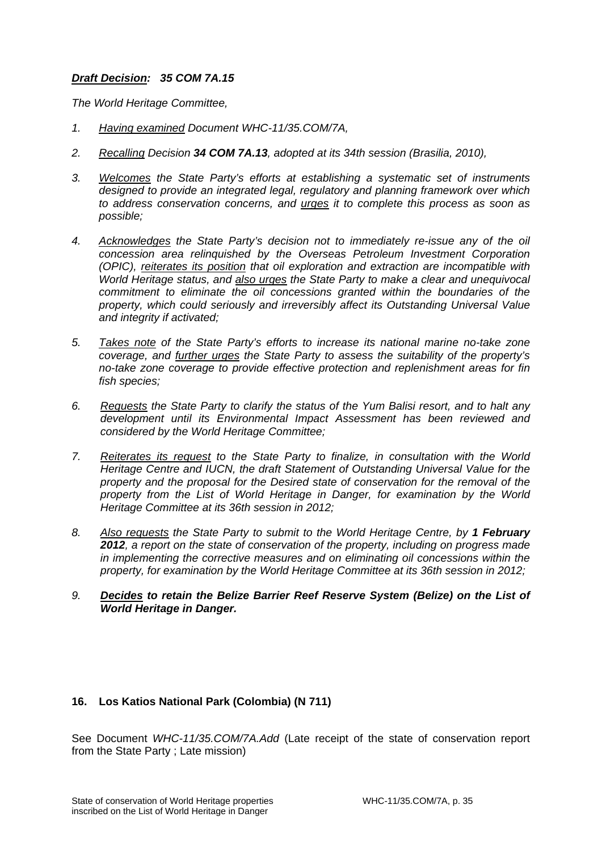# *Draft Decision: 35 COM 7A.15*

*The World Heritage Committee,* 

- *1. Having examined Document WHC-11/35.COM/7A,*
- *2. Recalling Decision 34 COM 7A.13, adopted at its 34th session (Brasilia, 2010),*
- *3. Welcomes the State Party's efforts at establishing a systematic set of instruments designed to provide an integrated legal, regulatory and planning framework over which to address conservation concerns, and urges it to complete this process as soon as possible;*
- *4. Acknowledges the State Party's decision not to immediately re-issue any of the oil concession area relinquished by the Overseas Petroleum Investment Corporation (OPIC), reiterates its position that oil exploration and extraction are incompatible with World Heritage status, and also urges the State Party to make a clear and unequivocal commitment to eliminate the oil concessions granted within the boundaries of the property, which could seriously and irreversibly affect its Outstanding Universal Value and integrity if activated;*
- *5. Takes note of the State Party's efforts to increase its national marine no-take zone coverage, and further urges the State Party to assess the suitability of the property's no-take zone coverage to provide effective protection and replenishment areas for fin fish species;*
- *6. Requests the State Party to clarify the status of the Yum Balisi resort, and to halt any development until its Environmental Impact Assessment has been reviewed and considered by the World Heritage Committee;*
- *7. Reiterates its request to the State Party to finalize, in consultation with the World Heritage Centre and IUCN, the draft Statement of Outstanding Universal Value for the property and the proposal for the Desired state of conservation for the removal of the property from the List of World Heritage in Danger, for examination by the World Heritage Committee at its 36th session in 2012;*
- *8. Also requests the State Party to submit to the World Heritage Centre, by 1 February 2012, a report on the state of conservation of the property, including on progress made in implementing the corrective measures and on eliminating oil concessions within the property, for examination by the World Heritage Committee at its 36th session in 2012;*
- *9. Decides to retain the Belize Barrier Reef Reserve System (Belize) on the List of World Heritage in Danger.*

# **16. Los Katios National Park (Colombia) (N 711)**

See Document *WHC-11/35.COM/7A.Add* (Late receipt of the state of conservation report from the State Party ; Late mission)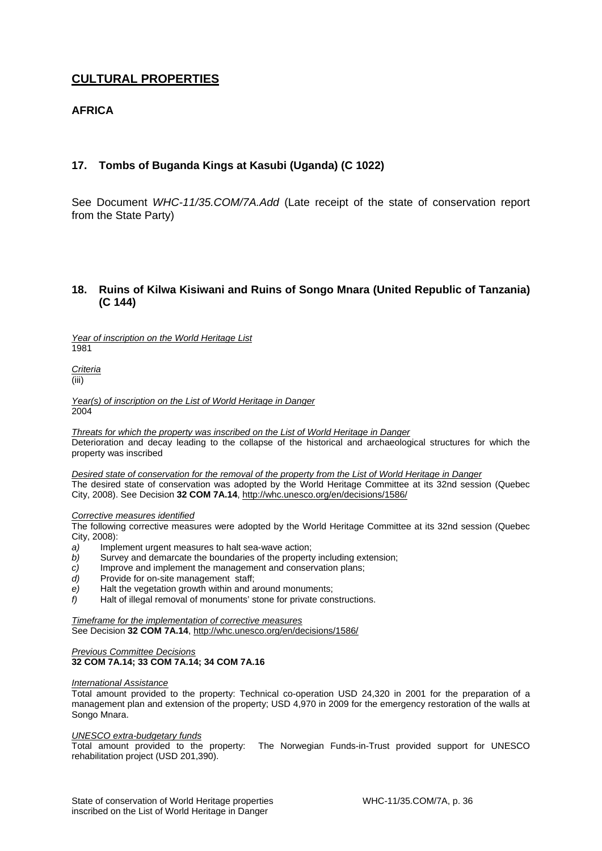# **CULTURAL PROPERTIES**

# **AFRICA**

# **17. Tombs of Buganda Kings at Kasubi (Uganda) (C 1022)**

See Document *WHC-11/35.COM/7A.Add* (Late receipt of the state of conservation report from the State Party)

### **18. Ruins of Kilwa Kisiwani and Ruins of Songo Mnara (United Republic of Tanzania) (C 144)**

*Year of inscription on the World Heritage List* 

1981

*Criteria*  (iii)

*Year(s) of inscription on the List of World Heritage in Danger*  2004

*Threats for which the property was inscribed on the List of World Heritage in Danger*  Deterioration and decay leading to the collapse of the historical and archaeological structures for which the property was inscribed

*Desired state of conservation for the removal of the property from the List of World Heritage in Danger*  The desired state of conservation was adopted by the World Heritage Committee at its 32nd session (Quebec City, 2008). See Decision **32 COM 7A.14**, http://whc.unesco.org/en/decisions/1586/

#### *Corrective measures identified*

The following corrective measures were adopted by the World Heritage Committee at its 32nd session (Quebec City, 2008):

- *a)* Implement urgent measures to halt sea-wave action;
- *b)* Survey and demarcate the boundaries of the property including extension;
- *c)* Improve and implement the management and conservation plans;
- *d)* Provide for on-site management staff;
- *e)* Halt the vegetation growth within and around monuments;
- *f)* Halt of illegal removal of monuments' stone for private constructions.

*Timeframe for the implementation of corrective measures*  See Decision **32 COM 7A.14**, http://whc.unesco.org/en/decisions/1586/

#### *Previous Committee Decisions*  **32 COM 7A.14; 33 COM 7A.14; 34 COM 7A.16**

#### *International Assistance*

Total amount provided to the property: Technical co-operation USD 24,320 in 2001 for the preparation of a management plan and extension of the property; USD 4,970 in 2009 for the emergency restoration of the walls at Songo Mnara.

#### *UNESCO extra-budgetary funds*

Total amount provided to the property: The Norwegian Funds-in-Trust provided support for UNESCO rehabilitation project (USD 201,390).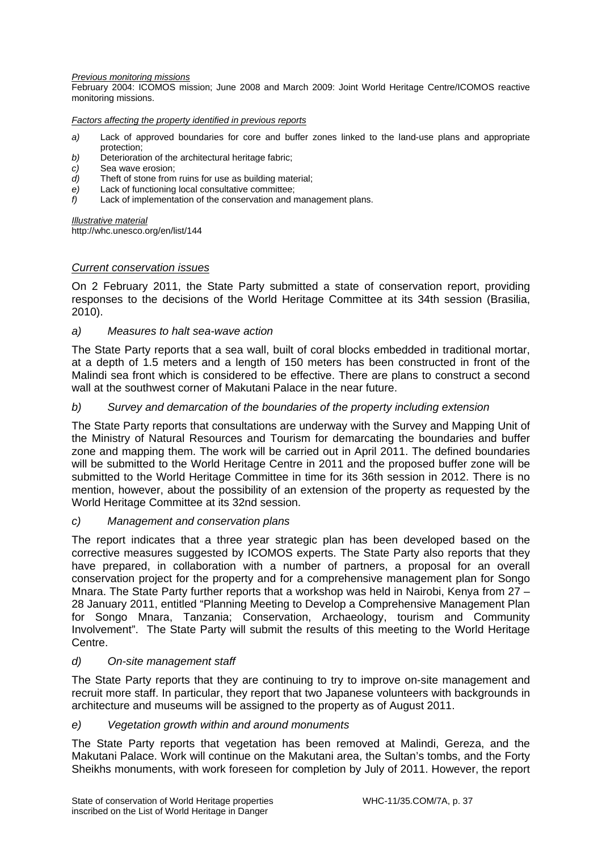#### *Previous monitoring missions*

February 2004: ICOMOS mission; June 2008 and March 2009: Joint World Heritage Centre/ICOMOS reactive monitoring missions.

*Factors affecting the property identified in previous reports* 

- *a)* Lack of approved boundaries for core and buffer zones linked to the land-use plans and appropriate protection;
- *b)* Deterioration of the architectural heritage fabric;
- *c)* Sea wave erosion;
- *d)* Theft of stone from ruins for use as building material;
- *e)* Lack of functioning local consultative committee;
- *f)* Lack of implementation of the conservation and management plans.

*Illustrative material* 

http://whc.unesco.org/en/list/144

### *Current conservation issues*

On 2 February 2011, the State Party submitted a state of conservation report, providing responses to the decisions of the World Heritage Committee at its 34th session (Brasilia, 2010).

### *a) Measures to halt sea-wave action*

The State Party reports that a sea wall, built of coral blocks embedded in traditional mortar, at a depth of 1.5 meters and a length of 150 meters has been constructed in front of the Malindi sea front which is considered to be effective. There are plans to construct a second wall at the southwest corner of Makutani Palace in the near future.

### *b) Survey and demarcation of the boundaries of the property including extension*

The State Party reports that consultations are underway with the Survey and Mapping Unit of the Ministry of Natural Resources and Tourism for demarcating the boundaries and buffer zone and mapping them. The work will be carried out in April 2011. The defined boundaries will be submitted to the World Heritage Centre in 2011 and the proposed buffer zone will be submitted to the World Heritage Committee in time for its 36th session in 2012. There is no mention, however, about the possibility of an extension of the property as requested by the World Heritage Committee at its 32nd session.

### *c) Management and conservation plans*

The report indicates that a three year strategic plan has been developed based on the corrective measures suggested by ICOMOS experts. The State Party also reports that they have prepared, in collaboration with a number of partners, a proposal for an overall conservation project for the property and for a comprehensive management plan for Songo Mnara. The State Party further reports that a workshop was held in Nairobi, Kenya from 27 – 28 January 2011, entitled "Planning Meeting to Develop a Comprehensive Management Plan for Songo Mnara, Tanzania; Conservation, Archaeology, tourism and Community Involvement". The State Party will submit the results of this meeting to the World Heritage Centre.

### *d) On-site management staff*

The State Party reports that they are continuing to try to improve on-site management and recruit more staff. In particular, they report that two Japanese volunteers with backgrounds in architecture and museums will be assigned to the property as of August 2011.

### *e) Vegetation growth within and around monuments*

The State Party reports that vegetation has been removed at Malindi, Gereza, and the Makutani Palace. Work will continue on the Makutani area, the Sultan's tombs, and the Forty Sheikhs monuments, with work foreseen for completion by July of 2011. However, the report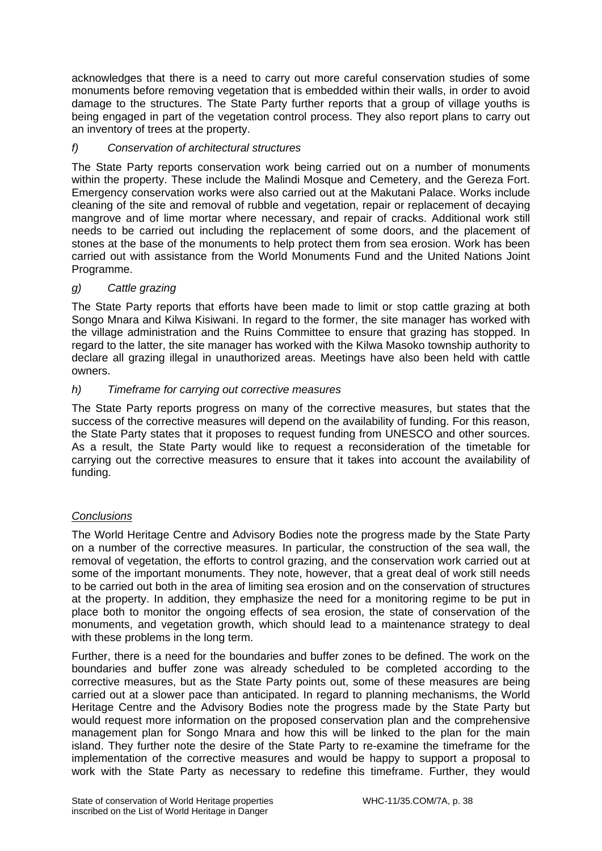acknowledges that there is a need to carry out more careful conservation studies of some monuments before removing vegetation that is embedded within their walls, in order to avoid damage to the structures. The State Party further reports that a group of village youths is being engaged in part of the vegetation control process. They also report plans to carry out an inventory of trees at the property.

# *f) Conservation of architectural structures*

The State Party reports conservation work being carried out on a number of monuments within the property. These include the Malindi Mosque and Cemetery, and the Gereza Fort. Emergency conservation works were also carried out at the Makutani Palace. Works include cleaning of the site and removal of rubble and vegetation, repair or replacement of decaying mangrove and of lime mortar where necessary, and repair of cracks. Additional work still needs to be carried out including the replacement of some doors, and the placement of stones at the base of the monuments to help protect them from sea erosion. Work has been carried out with assistance from the World Monuments Fund and the United Nations Joint Programme.

# *g) Cattle grazing*

The State Party reports that efforts have been made to limit or stop cattle grazing at both Songo Mnara and Kilwa Kisiwani. In regard to the former, the site manager has worked with the village administration and the Ruins Committee to ensure that grazing has stopped. In regard to the latter, the site manager has worked with the Kilwa Masoko township authority to declare all grazing illegal in unauthorized areas. Meetings have also been held with cattle owners.

# *h) Timeframe for carrying out corrective measures*

The State Party reports progress on many of the corrective measures, but states that the success of the corrective measures will depend on the availability of funding. For this reason, the State Party states that it proposes to request funding from UNESCO and other sources. As a result, the State Party would like to request a reconsideration of the timetable for carrying out the corrective measures to ensure that it takes into account the availability of funding.

# *Conclusions*

The World Heritage Centre and Advisory Bodies note the progress made by the State Party on a number of the corrective measures. In particular, the construction of the sea wall, the removal of vegetation, the efforts to control grazing, and the conservation work carried out at some of the important monuments. They note, however, that a great deal of work still needs to be carried out both in the area of limiting sea erosion and on the conservation of structures at the property. In addition, they emphasize the need for a monitoring regime to be put in place both to monitor the ongoing effects of sea erosion, the state of conservation of the monuments, and vegetation growth, which should lead to a maintenance strategy to deal with these problems in the long term.

Further, there is a need for the boundaries and buffer zones to be defined. The work on the boundaries and buffer zone was already scheduled to be completed according to the corrective measures, but as the State Party points out, some of these measures are being carried out at a slower pace than anticipated. In regard to planning mechanisms, the World Heritage Centre and the Advisory Bodies note the progress made by the State Party but would request more information on the proposed conservation plan and the comprehensive management plan for Songo Mnara and how this will be linked to the plan for the main island. They further note the desire of the State Party to re-examine the timeframe for the implementation of the corrective measures and would be happy to support a proposal to work with the State Party as necessary to redefine this timeframe. Further, they would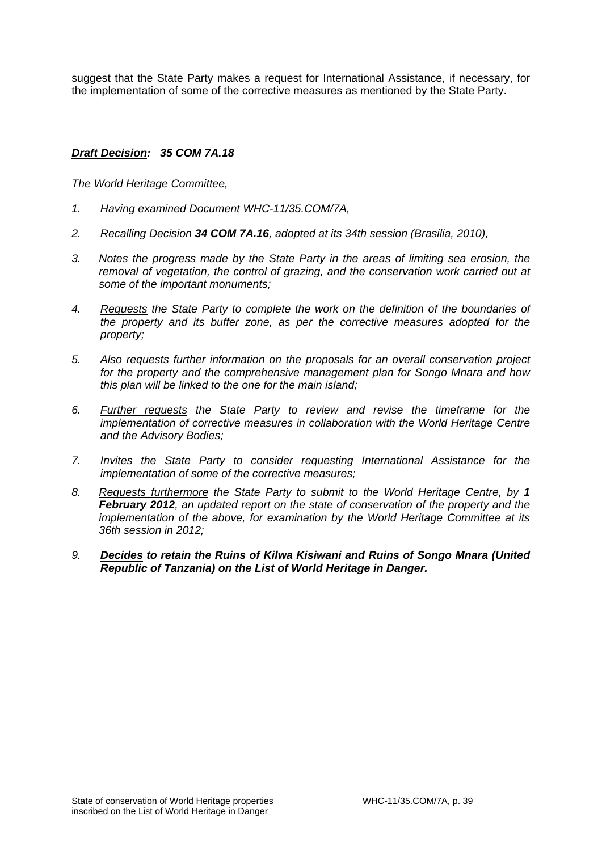suggest that the State Party makes a request for International Assistance, if necessary, for the implementation of some of the corrective measures as mentioned by the State Party.

# *Draft Decision: 35 COM 7A.18*

*The World Heritage Committee,* 

- *1. Having examined Document WHC-11/35.COM/7A,*
- *2. Recalling Decision 34 COM 7A.16, adopted at its 34th session (Brasilia, 2010),*
- *3. Notes the progress made by the State Party in the areas of limiting sea erosion, the removal of vegetation, the control of grazing, and the conservation work carried out at some of the important monuments;*
- *4. Requests the State Party to complete the work on the definition of the boundaries of the property and its buffer zone, as per the corrective measures adopted for the property;*
- *5. Also requests further information on the proposals for an overall conservation project for the property and the comprehensive management plan for Songo Mnara and how this plan will be linked to the one for the main island;*
- *6. Further requests the State Party to review and revise the timeframe for the implementation of corrective measures in collaboration with the World Heritage Centre and the Advisory Bodies;*
- *7. Invites the State Party to consider requesting International Assistance for the implementation of some of the corrective measures;*
- *8. Requests furthermore the State Party to submit to the World Heritage Centre, by 1 February 2012, an updated report on the state of conservation of the property and the implementation of the above, for examination by the World Heritage Committee at its 36th session in 2012;*
- *9. Decides to retain the Ruins of Kilwa Kisiwani and Ruins of Songo Mnara (United Republic of Tanzania) on the List of World Heritage in Danger.*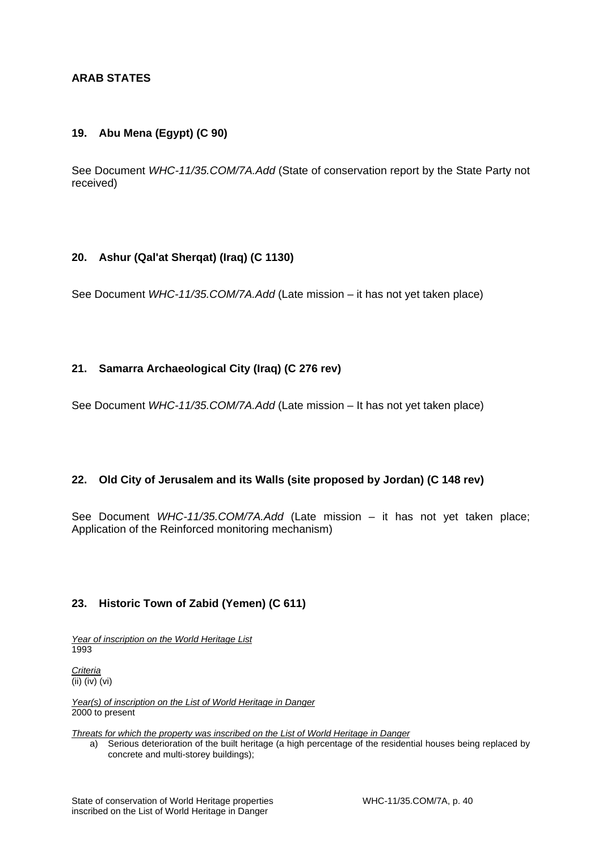# **ARAB STATES**

# **19. Abu Mena (Egypt) (C 90)**

See Document *WHC-11/35.COM/7A.Add* (State of conservation report by the State Party not received)

# **20. Ashur (Qal'at Sherqat) (Iraq) (C 1130)**

See Document *WHC-11/35.COM/7A.Add* (Late mission – it has not yet taken place)

# **21. Samarra Archaeological City (Iraq) (C 276 rev)**

See Document *WHC-11/35.COM/7A.Add* (Late mission – It has not yet taken place)

# **22. Old City of Jerusalem and its Walls (site proposed by Jordan) (C 148 rev)**

See Document *WHC-11/35.COM/7A.Add* (Late mission – it has not yet taken place; Application of the Reinforced monitoring mechanism)

# **23. Historic Town of Zabid (Yemen) (C 611)**

*Year of inscription on the World Heritage List*  1993

*Criteria*  (ii) (iv) (vi)

*Year(s) of inscription on the List of World Heritage in Danger*  2000 to present

*Threats for which the property was inscribed on the List of World Heritage in Danger* 

a) Serious deterioration of the built heritage (a high percentage of the residential houses being replaced by concrete and multi-storey buildings);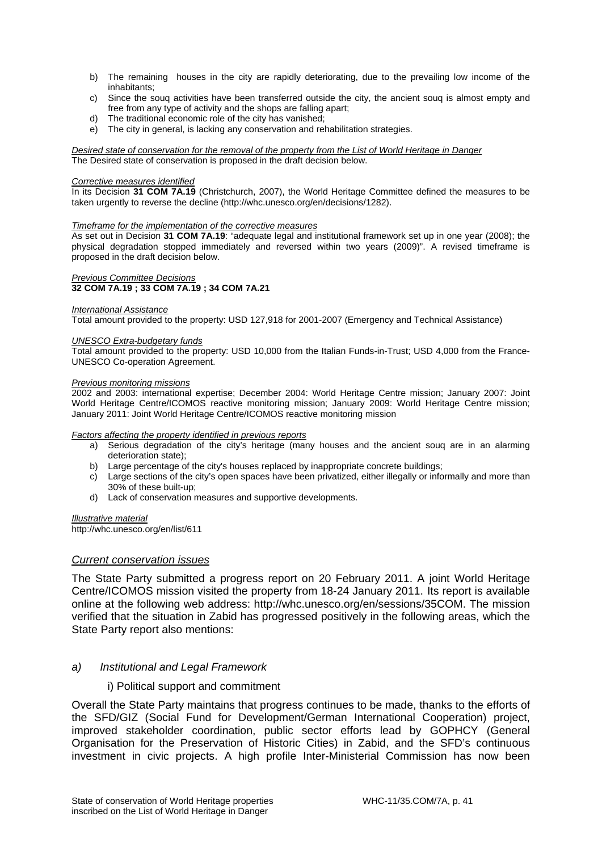- b) The remaining houses in the city are rapidly deteriorating, due to the prevailing low income of the inhabitants;
- c) Since the souq activities have been transferred outside the city, the ancient souq is almost empty and free from any type of activity and the shops are falling apart;
- d) The traditional economic role of the city has vanished;
- e) The city in general, is lacking any conservation and rehabilitation strategies.

*Desired state of conservation for the removal of the property from the List of World Heritage in Danger*  The Desired state of conservation is proposed in the draft decision below.

#### *Corrective measures identified*

In its Decision **31 COM 7A.19** (Christchurch, 2007), the World Heritage Committee defined the measures to be taken urgently to reverse the decline (http://whc.unesco.org/en/decisions/1282).

#### *Timeframe for the implementation of the corrective measures*

As set out in Decision **31 COM 7A.19**: "adequate legal and institutional framework set up in one year (2008); the physical degradation stopped immediately and reversed within two years (2009)". A revised timeframe is proposed in the draft decision below.

#### *Previous Committee Decisions*  **32 COM 7A.19 ; 33 COM 7A.19 ; 34 COM 7A.21**

#### *International Assistance*

Total amount provided to the property: USD 127,918 for 2001-2007 (Emergency and Technical Assistance)

#### *UNESCO Extra-budgetary funds*

Total amount provided to the property: USD 10,000 from the Italian Funds-in-Trust; USD 4,000 from the France-UNESCO Co-operation Agreement.

#### *Previous monitoring missions*

2002 and 2003: international expertise; December 2004: World Heritage Centre mission; January 2007: Joint World Heritage Centre/ICOMOS reactive monitoring mission; January 2009: World Heritage Centre mission; January 2011: Joint World Heritage Centre/ICOMOS reactive monitoring mission

#### *Factors affecting the property identified in previous reports*

- a) Serious degradation of the city's heritage (many houses and the ancient souq are in an alarming deterioration state);
- b) Large percentage of the city's houses replaced by inappropriate concrete buildings;
- c) Large sections of the city's open spaces have been privatized, either illegally or informally and more than 30% of these built-up;
- d) Lack of conservation measures and supportive developments.

#### *Illustrative material*

http://whc.unesco.org/en/list/611

# *Current conservation issues*

The State Party submitted a progress report on 20 February 2011. A joint World Heritage Centre/ICOMOS mission visited the property from 18-24 January 2011. Its report is available online at the following web address: http://whc.unesco.org/en/sessions/35COM. The mission verified that the situation in Zabid has progressed positively in the following areas, which the State Party report also mentions:

#### *a) Institutional and Legal Framework*

#### i) Political support and commitment

Overall the State Party maintains that progress continues to be made, thanks to the efforts of the SFD/GIZ (Social Fund for Development/German International Cooperation) project, improved stakeholder coordination, public sector efforts lead by GOPHCY (General Organisation for the Preservation of Historic Cities) in Zabid, and the SFD's continuous investment in civic projects. A high profile Inter-Ministerial Commission has now been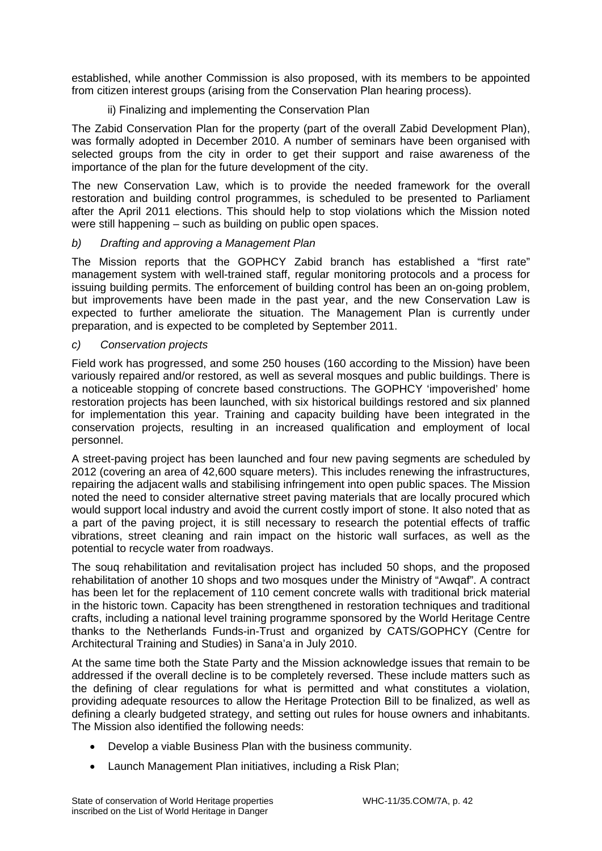established, while another Commission is also proposed, with its members to be appointed from citizen interest groups (arising from the Conservation Plan hearing process).

# ii) Finalizing and implementing the Conservation Plan

The Zabid Conservation Plan for the property (part of the overall Zabid Development Plan), was formally adopted in December 2010. A number of seminars have been organised with selected groups from the city in order to get their support and raise awareness of the importance of the plan for the future development of the city.

The new Conservation Law, which is to provide the needed framework for the overall restoration and building control programmes, is scheduled to be presented to Parliament after the April 2011 elections. This should help to stop violations which the Mission noted were still happening – such as building on public open spaces.

# *b) Drafting and approving a Management Plan*

The Mission reports that the GOPHCY Zabid branch has established a "first rate" management system with well-trained staff, regular monitoring protocols and a process for issuing building permits. The enforcement of building control has been an on-going problem, but improvements have been made in the past year, and the new Conservation Law is expected to further ameliorate the situation. The Management Plan is currently under preparation, and is expected to be completed by September 2011.

# *c) Conservation projects*

Field work has progressed, and some 250 houses (160 according to the Mission) have been variously repaired and/or restored, as well as several mosques and public buildings. There is a noticeable stopping of concrete based constructions. The GOPHCY 'impoverished' home restoration projects has been launched, with six historical buildings restored and six planned for implementation this year. Training and capacity building have been integrated in the conservation projects, resulting in an increased qualification and employment of local personnel.

A street-paving project has been launched and four new paving segments are scheduled by 2012 (covering an area of 42,600 square meters). This includes renewing the infrastructures, repairing the adjacent walls and stabilising infringement into open public spaces. The Mission noted the need to consider alternative street paving materials that are locally procured which would support local industry and avoid the current costly import of stone. It also noted that as a part of the paving project, it is still necessary to research the potential effects of traffic vibrations, street cleaning and rain impact on the historic wall surfaces, as well as the potential to recycle water from roadways.

The souq rehabilitation and revitalisation project has included 50 shops, and the proposed rehabilitation of another 10 shops and two mosques under the Ministry of "Awqaf". A contract has been let for the replacement of 110 cement concrete walls with traditional brick material in the historic town. Capacity has been strengthened in restoration techniques and traditional crafts, including a national level training programme sponsored by the World Heritage Centre thanks to the Netherlands Funds-in-Trust and organized by CATS/GOPHCY (Centre for Architectural Training and Studies) in Sana'a in July 2010.

At the same time both the State Party and the Mission acknowledge issues that remain to be addressed if the overall decline is to be completely reversed. These include matters such as the defining of clear regulations for what is permitted and what constitutes a violation, providing adequate resources to allow the Heritage Protection Bill to be finalized, as well as defining a clearly budgeted strategy, and setting out rules for house owners and inhabitants. The Mission also identified the following needs:

- Develop a viable Business Plan with the business community.
- Launch Management Plan initiatives, including a Risk Plan;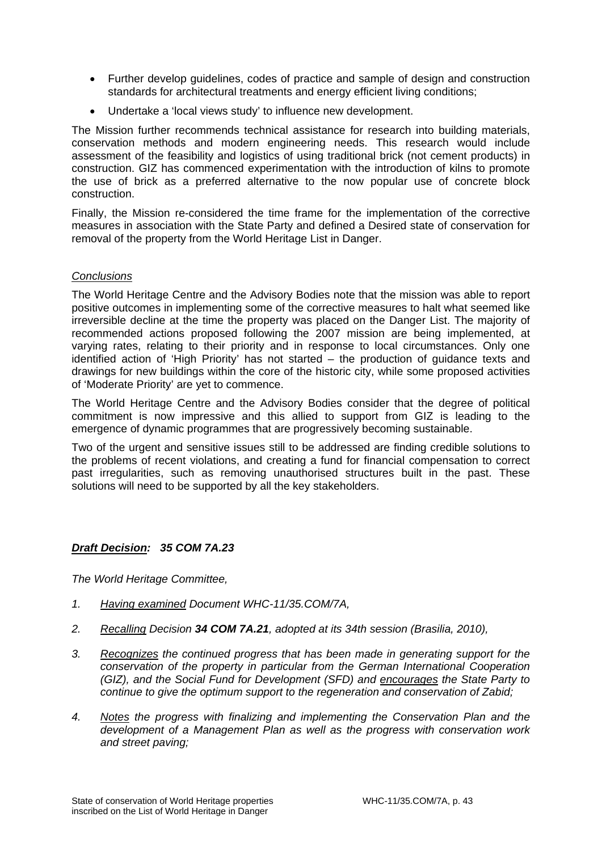- Further develop guidelines, codes of practice and sample of design and construction standards for architectural treatments and energy efficient living conditions;
- Undertake a 'local views study' to influence new development.

The Mission further recommends technical assistance for research into building materials, conservation methods and modern engineering needs. This research would include assessment of the feasibility and logistics of using traditional brick (not cement products) in construction. GIZ has commenced experimentation with the introduction of kilns to promote the use of brick as a preferred alternative to the now popular use of concrete block construction.

Finally, the Mission re-considered the time frame for the implementation of the corrective measures in association with the State Party and defined a Desired state of conservation for removal of the property from the World Heritage List in Danger.

# *Conclusions*

The World Heritage Centre and the Advisory Bodies note that the mission was able to report positive outcomes in implementing some of the corrective measures to halt what seemed like irreversible decline at the time the property was placed on the Danger List. The majority of recommended actions proposed following the 2007 mission are being implemented, at varying rates, relating to their priority and in response to local circumstances. Only one identified action of 'High Priority' has not started – the production of guidance texts and drawings for new buildings within the core of the historic city, while some proposed activities of 'Moderate Priority' are yet to commence.

The World Heritage Centre and the Advisory Bodies consider that the degree of political commitment is now impressive and this allied to support from GIZ is leading to the emergence of dynamic programmes that are progressively becoming sustainable.

Two of the urgent and sensitive issues still to be addressed are finding credible solutions to the problems of recent violations, and creating a fund for financial compensation to correct past irregularities, such as removing unauthorised structures built in the past. These solutions will need to be supported by all the key stakeholders.

# *Draft Decision: 35 COM 7A.23*

*The World Heritage Committee,* 

- *1. Having examined Document WHC-11/35.COM/7A,*
- *2. Recalling Decision 34 COM 7A.21, adopted at its 34th session (Brasilia, 2010),*
- *3. Recognizes the continued progress that has been made in generating support for the conservation of the property in particular from the German International Cooperation (GIZ), and the Social Fund for Development (SFD) and encourages the State Party to continue to give the optimum support to the regeneration and conservation of Zabid;*
- *4. Notes the progress with finalizing and implementing the Conservation Plan and the development of a Management Plan as well as the progress with conservation work and street paving;*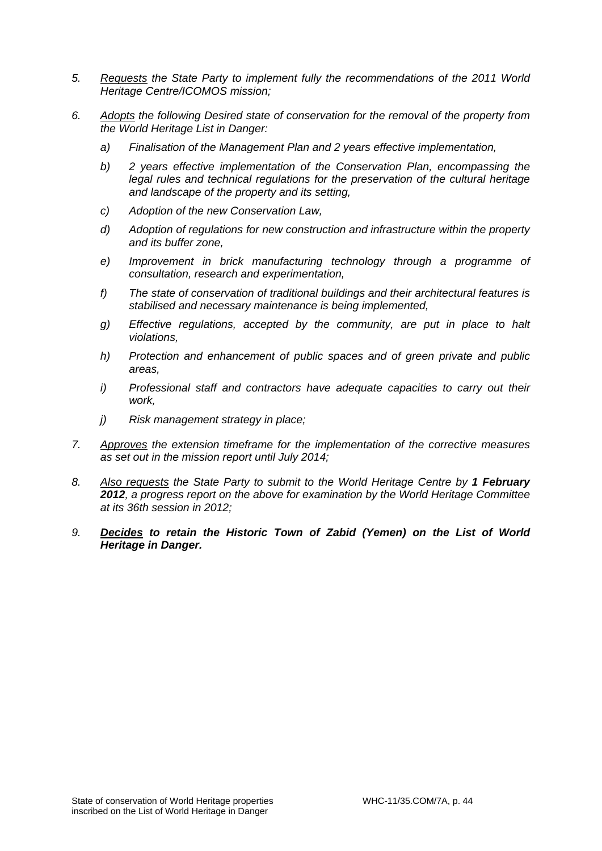- *5. Requests the State Party to implement fully the recommendations of the 2011 World Heritage Centre/ICOMOS mission;*
- *6. Adopts the following Desired state of conservation for the removal of the property from the World Heritage List in Danger:* 
	- *a) Finalisation of the Management Plan and 2 years effective implementation,*
	- *b) 2 years effective implementation of the Conservation Plan, encompassing the legal rules and technical regulations for the preservation of the cultural heritage and landscape of the property and its setting,*
	- *c) Adoption of the new Conservation Law,*
	- *d) Adoption of regulations for new construction and infrastructure within the property and its buffer zone,*
	- *e) Improvement in brick manufacturing technology through a programme of consultation, research and experimentation,*
	- *f) The state of conservation of traditional buildings and their architectural features is stabilised and necessary maintenance is being implemented,*
	- *g) Effective regulations, accepted by the community, are put in place to halt violations,*
	- *h) Protection and enhancement of public spaces and of green private and public areas,*
	- *i) Professional staff and contractors have adequate capacities to carry out their work,*
	- *j) Risk management strategy in place;*
- *7. Approves the extension timeframe for the implementation of the corrective measures as set out in the mission report until July 2014;*
- *8. Also requests the State Party to submit to the World Heritage Centre by 1 February 2012, a progress report on the above for examination by the World Heritage Committee at its 36th session in 2012;*
- *9. Decides to retain the Historic Town of Zabid (Yemen) on the List of World Heritage in Danger.*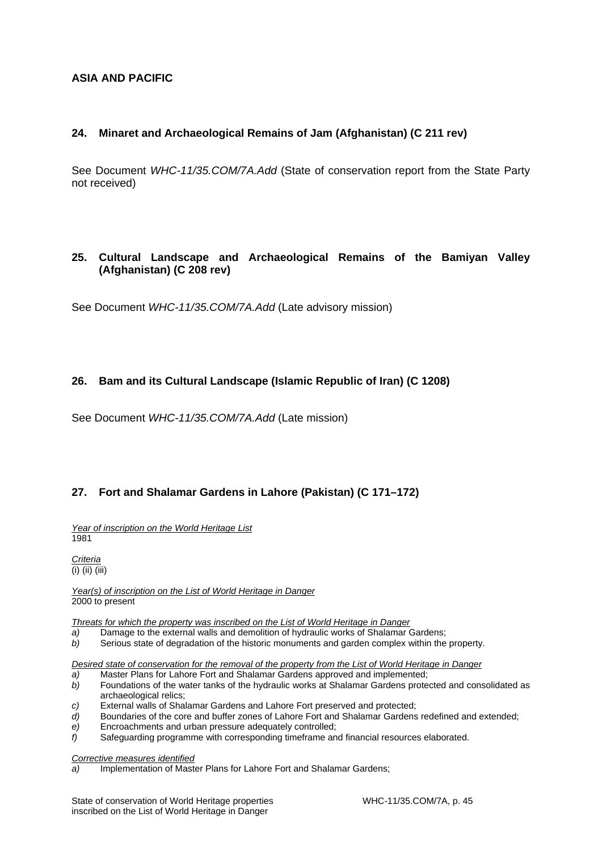# **ASIA AND PACIFIC**

# **24. Minaret and Archaeological Remains of Jam (Afghanistan) (C 211 rev)**

See Document *WHC-11/35.COM/7A.Add* (State of conservation report from the State Party not received)

# **25. Cultural Landscape and Archaeological Remains of the Bamiyan Valley (Afghanistan) (C 208 rev)**

See Document *WHC-11/35.COM/7A.Add* (Late advisory mission)

# **26. Bam and its Cultural Landscape (Islamic Republic of Iran) (C 1208)**

See Document *WHC-11/35.COM/7A.Add* (Late mission)

# **27. Fort and Shalamar Gardens in Lahore (Pakistan) (C 171–172)**

*Year of inscription on the World Heritage List*  1981

*Criteria*   $\overline{(i)}$  (ii) (iii)

*Year(s) of inscription on the List of World Heritage in Danger*  2000 to present

*Threats for which the property was inscribed on the List of World Heritage in Danger* 

- *a)* Damage to the external walls and demolition of hydraulic works of Shalamar Gardens;
- *b)* Serious state of degradation of the historic monuments and garden complex within the property.

*Desired state of conservation for the removal of the property from the List of World Heritage in Danger* 

- *a)* Master Plans for Lahore Fort and Shalamar Gardens approved and implemented;
- *b)* Foundations of the water tanks of the hydraulic works at Shalamar Gardens protected and consolidated as archaeological relics;
- *c)* External walls of Shalamar Gardens and Lahore Fort preserved and protected;
- *d*) Boundaries of the core and buffer zones of Lahore Fort and Shalamar Gardens redefined and extended;
- *e)* Encroachments and urban pressure adequately controlled;
- *f)* Safeguarding programme with corresponding timeframe and financial resources elaborated.

*Corrective measures identified* 

*a)* Implementation of Master Plans for Lahore Fort and Shalamar Gardens;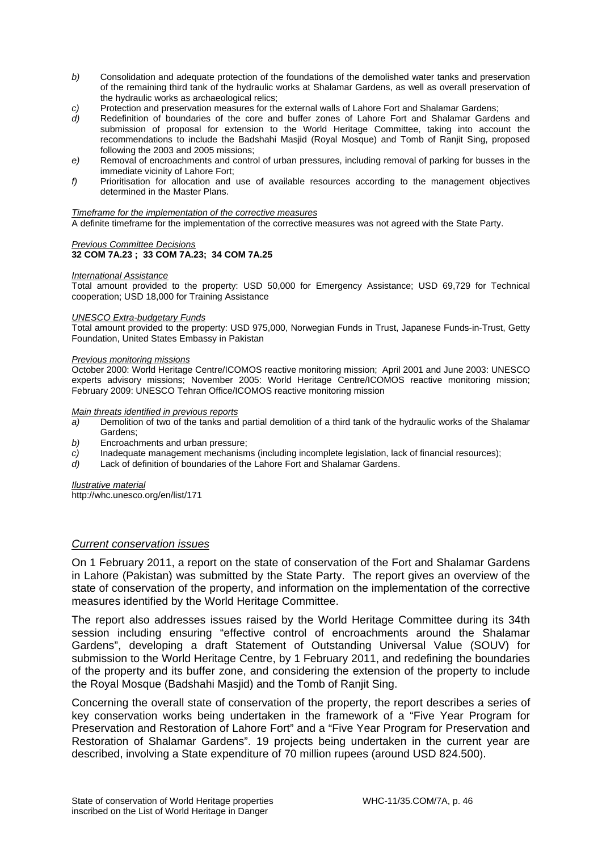- *b)* Consolidation and adequate protection of the foundations of the demolished water tanks and preservation of the remaining third tank of the hydraulic works at Shalamar Gardens, as well as overall preservation of the hydraulic works as archaeological relics;
- *c)* Protection and preservation measures for the external walls of Lahore Fort and Shalamar Gardens;
- *d)* Redefinition of boundaries of the core and buffer zones of Lahore Fort and Shalamar Gardens and submission of proposal for extension to the World Heritage Committee, taking into account the recommendations to include the Badshahi Masjid (Royal Mosque) and Tomb of Ranjit Sing, proposed following the 2003 and 2005 missions;
- *e)* Removal of encroachments and control of urban pressures, including removal of parking for busses in the immediate vicinity of Lahore Fort;
- *f)* Prioritisation for allocation and use of available resources according to the management objectives determined in the Master Plans.

#### *Timeframe for the implementation of the corrective measures*

A definite timeframe for the implementation of the corrective measures was not agreed with the State Party.

#### *Previous Committee Decisions*  **32 COM 7A.23 ; 33 COM 7A.23; 34 COM 7A.25**

#### *International Assistance*

Total amount provided to the property: USD 50,000 for Emergency Assistance; USD 69,729 for Technical cooperation; USD 18,000 for Training Assistance

#### *UNESCO Extra-budgetary Funds*

Total amount provided to the property: USD 975,000, Norwegian Funds in Trust, Japanese Funds-in-Trust, Getty Foundation, United States Embassy in Pakistan

#### *Previous monitoring missions*

October 2000: World Heritage Centre/ICOMOS reactive monitoring mission; April 2001 and June 2003: UNESCO experts advisory missions; November 2005: World Heritage Centre/ICOMOS reactive monitoring mission; February 2009: UNESCO Tehran Office/ICOMOS reactive monitoring mission

#### *Main threats identified in previous reports*

- *a)* Demolition of two of the tanks and partial demolition of a third tank of the hydraulic works of the Shalamar Gardens;
- *b)* Encroachments and urban pressure;
- *c*) Inadequate management mechanisms (including incomplete legislation, lack of financial resources);<br>d) I ack of definition of boundaries of the Lahore Fort and Shalamar Gardens.
- Lack of definition of boundaries of the Lahore Fort and Shalamar Gardens.

#### *Ilustrative material*

http://whc.unesco.org/en/list/171

#### *Current conservation issues*

On 1 February 2011, a report on the state of conservation of the Fort and Shalamar Gardens in Lahore (Pakistan) was submitted by the State Party. The report gives an overview of the state of conservation of the property, and information on the implementation of the corrective measures identified by the World Heritage Committee.

The report also addresses issues raised by the World Heritage Committee during its 34th session including ensuring "effective control of encroachments around the Shalamar Gardens", developing a draft Statement of Outstanding Universal Value (SOUV) for submission to the World Heritage Centre, by 1 February 2011, and redefining the boundaries of the property and its buffer zone, and considering the extension of the property to include the Royal Mosque (Badshahi Masjid) and the Tomb of Ranjit Sing.

Concerning the overall state of conservation of the property, the report describes a series of key conservation works being undertaken in the framework of a "Five Year Program for Preservation and Restoration of Lahore Fort" and a "Five Year Program for Preservation and Restoration of Shalamar Gardens". 19 projects being undertaken in the current year are described, involving a State expenditure of 70 million rupees (around USD 824.500).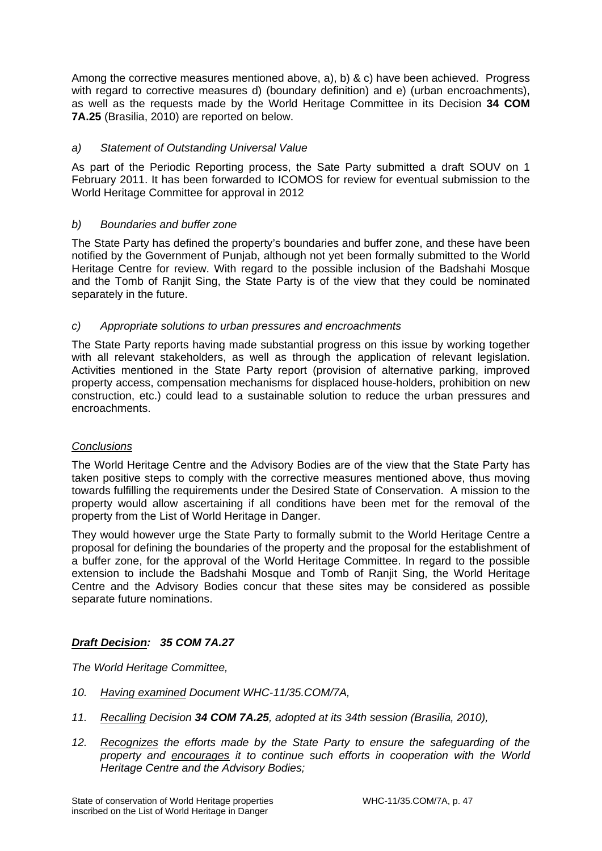Among the corrective measures mentioned above, a), b) & c) have been achieved. Progress with regard to corrective measures d) (boundary definition) and e) (urban encroachments), as well as the requests made by the World Heritage Committee in its Decision **34 COM 7A.25** (Brasilia, 2010) are reported on below.

# *a) Statement of Outstanding Universal Value*

As part of the Periodic Reporting process, the Sate Party submitted a draft SOUV on 1 February 2011. It has been forwarded to ICOMOS for review for eventual submission to the World Heritage Committee for approval in 2012

# *b) Boundaries and buffer zone*

The State Party has defined the property's boundaries and buffer zone, and these have been notified by the Government of Punjab, although not yet been formally submitted to the World Heritage Centre for review. With regard to the possible inclusion of the Badshahi Mosque and the Tomb of Ranjit Sing, the State Party is of the view that they could be nominated separately in the future.

# *c) Appropriate solutions to urban pressures and encroachments*

The State Party reports having made substantial progress on this issue by working together with all relevant stakeholders, as well as through the application of relevant legislation. Activities mentioned in the State Party report (provision of alternative parking, improved property access, compensation mechanisms for displaced house-holders, prohibition on new construction, etc.) could lead to a sustainable solution to reduce the urban pressures and encroachments.

# *Conclusions*

The World Heritage Centre and the Advisory Bodies are of the view that the State Party has taken positive steps to comply with the corrective measures mentioned above, thus moving towards fulfilling the requirements under the Desired State of Conservation. A mission to the property would allow ascertaining if all conditions have been met for the removal of the property from the List of World Heritage in Danger.

They would however urge the State Party to formally submit to the World Heritage Centre a proposal for defining the boundaries of the property and the proposal for the establishment of a buffer zone, for the approval of the World Heritage Committee. In regard to the possible extension to include the Badshahi Mosque and Tomb of Ranjit Sing, the World Heritage Centre and the Advisory Bodies concur that these sites may be considered as possible separate future nominations.

# *Draft Decision: 35 COM 7A.27*

*The World Heritage Committee,* 

- *10. Having examined Document WHC-11/35.COM/7A,*
- *11. Recalling Decision 34 COM 7A.25, adopted at its 34th session (Brasilia, 2010),*
- *12. Recognizes the efforts made by the State Party to ensure the safeguarding of the property and encourages it to continue such efforts in cooperation with the World Heritage Centre and the Advisory Bodies;*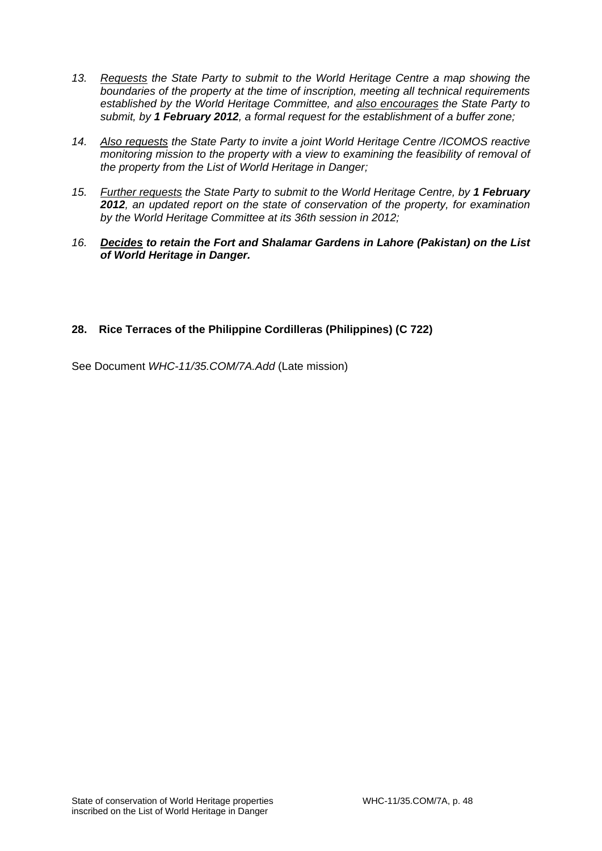- *13. Requests the State Party to submit to the World Heritage Centre a map showing the boundaries of the property at the time of inscription, meeting all technical requirements established by the World Heritage Committee, and also encourages the State Party to submit, by 1 February 2012, a formal request for the establishment of a buffer zone;*
- *14. Also requests the State Party to invite a joint World Heritage Centre /ICOMOS reactive monitoring mission to the property with a view to examining the feasibility of removal of the property from the List of World Heritage in Danger;*
- *15. Further requests the State Party to submit to the World Heritage Centre, by 1 February 2012, an updated report on the state of conservation of the property, for examination by the World Heritage Committee at its 36th session in 2012;*
- *16. Decides to retain the Fort and Shalamar Gardens in Lahore (Pakistan) on the List of World Heritage in Danger.*

# **28. Rice Terraces of the Philippine Cordilleras (Philippines) (C 722)**

See Document *WHC-11/35.COM/7A.Add* (Late mission)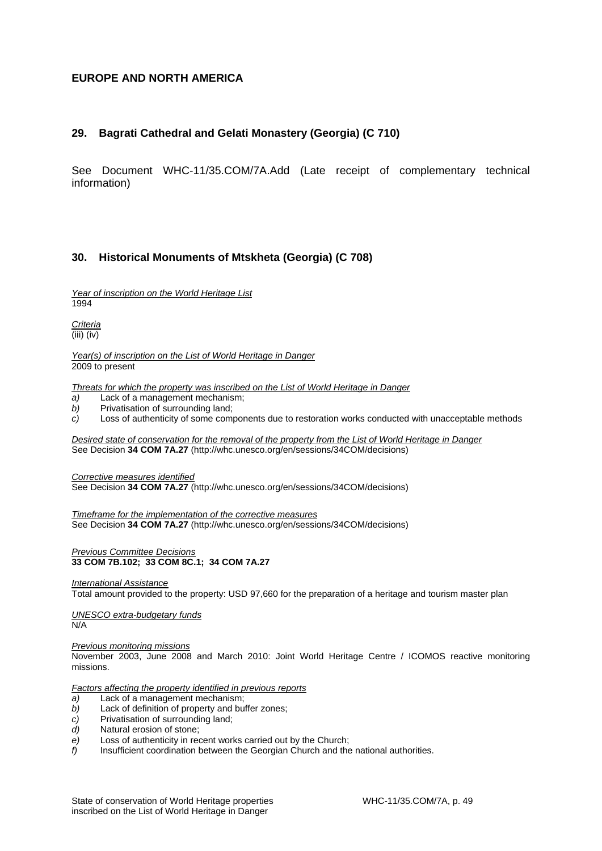# **EUROPE AND NORTH AMERICA**

# **29. Bagrati Cathedral and Gelati Monastery (Georgia) (C 710)**

See Document WHC-11/35.COM/7A.Add (Late receipt of complementary technical information)

# **30. Historical Monuments of Mtskheta (Georgia) (C 708)**

*Year of inscription on the World Heritage List*  1994

*Criteria*  (iii) (iv)

*Year(s) of inscription on the List of World Heritage in Danger*  2009 to present

*Threats for which the property was inscribed on the List of World Heritage in Danger* 

- *a)* Lack of a management mechanism;
- *b)* Privatisation of surrounding land;
- *c)* Loss of authenticity of some components due to restoration works conducted with unacceptable methods

*Desired state of conservation for the removal of the property from the List of World Heritage in Danger*  See Decision **34 COM 7A.27** (http://whc.unesco.org/en/sessions/34COM/decisions)

*Corrective measures identified*  See Decision **34 COM 7A.27** (http://whc.unesco.org/en/sessions/34COM/decisions)

*Timeframe for the implementation of the corrective measures*  See Decision **34 COM 7A.27** (http://whc.unesco.org/en/sessions/34COM/decisions)

*Previous Committee Decisions*  **33 COM 7B.102; 33 COM 8C.1; 34 COM 7A.27**

*International Assistance* 

Total amount provided to the property: USD 97,660 for the preparation of a heritage and tourism master plan

*UNESCO extra-budgetary funds*  N/A

*Previous monitoring missions*  November 2003, June 2008 and March 2010: Joint World Heritage Centre / ICOMOS reactive monitoring missions.

*Factors affecting the property identified in previous reports* 

- *a)* Lack of a management mechanism;
- *b)* Lack of definition of property and buffer zones;
- *c)* Privatisation of surrounding land;
- *d)* Natural erosion of stone;
- *e)* Loss of authenticity in recent works carried out by the Church;
- *f)* Insufficient coordination between the Georgian Church and the national authorities.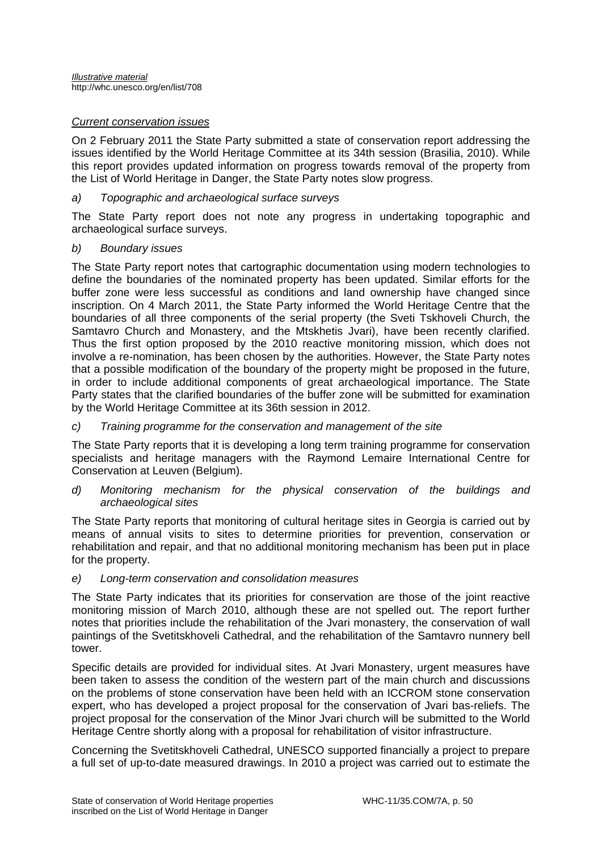# *Current conservation issues*

On 2 February 2011 the State Party submitted a state of conservation report addressing the issues identified by the World Heritage Committee at its 34th session (Brasilia, 2010). While this report provides updated information on progress towards removal of the property from the List of World Heritage in Danger, the State Party notes slow progress.

### *a) Topographic and archaeological surface surveys*

The State Party report does not note any progress in undertaking topographic and archaeological surface surveys.

### *b) Boundary issues*

The State Party report notes that cartographic documentation using modern technologies to define the boundaries of the nominated property has been updated. Similar efforts for the buffer zone were less successful as conditions and land ownership have changed since inscription. On 4 March 2011, the State Party informed the World Heritage Centre that the boundaries of all three components of the serial property (the Sveti Tskhoveli Church, the Samtavro Church and Monastery, and the Mtskhetis Jvari), have been recently clarified. Thus the first option proposed by the 2010 reactive monitoring mission, which does not involve a re-nomination, has been chosen by the authorities. However, the State Party notes that a possible modification of the boundary of the property might be proposed in the future, in order to include additional components of great archaeological importance. The State Party states that the clarified boundaries of the buffer zone will be submitted for examination by the World Heritage Committee at its 36th session in 2012.

### *c) Training programme for the conservation and management of the site*

The State Party reports that it is developing a long term training programme for conservation specialists and heritage managers with the Raymond Lemaire International Centre for Conservation at Leuven (Belgium).

*d) Monitoring mechanism for the physical conservation of the buildings and archaeological sites* 

The State Party reports that monitoring of cultural heritage sites in Georgia is carried out by means of annual visits to sites to determine priorities for prevention, conservation or rehabilitation and repair, and that no additional monitoring mechanism has been put in place for the property.

# *e) Long-term conservation and consolidation measures*

The State Party indicates that its priorities for conservation are those of the joint reactive monitoring mission of March 2010, although these are not spelled out. The report further notes that priorities include the rehabilitation of the Jvari monastery, the conservation of wall paintings of the Svetitskhoveli Cathedral, and the rehabilitation of the Samtavro nunnery bell tower.

Specific details are provided for individual sites. At Jvari Monastery, urgent measures have been taken to assess the condition of the western part of the main church and discussions on the problems of stone conservation have been held with an ICCROM stone conservation expert, who has developed a project proposal for the conservation of Jvari bas-reliefs. The project proposal for the conservation of the Minor Jvari church will be submitted to the World Heritage Centre shortly along with a proposal for rehabilitation of visitor infrastructure.

Concerning the Svetitskhoveli Cathedral, UNESCO supported financially a project to prepare a full set of up-to-date measured drawings. In 2010 a project was carried out to estimate the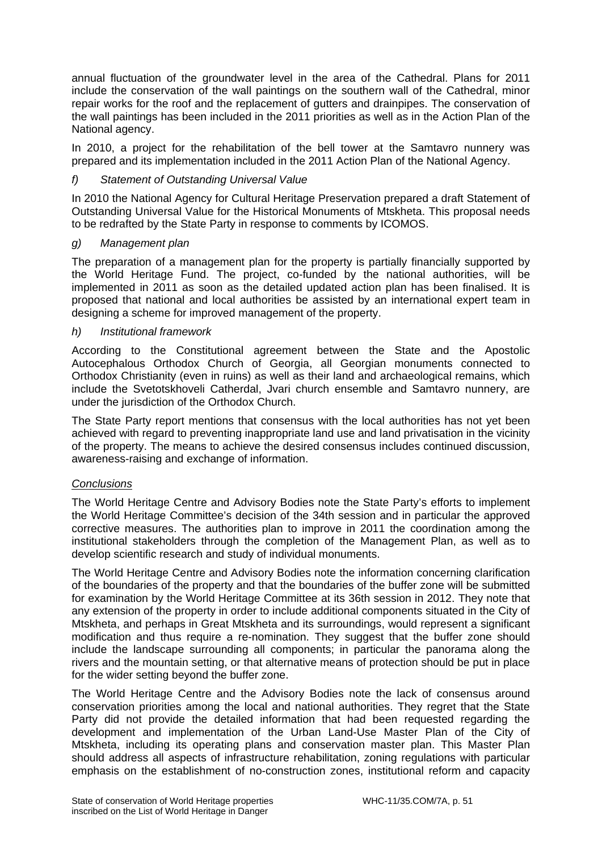annual fluctuation of the groundwater level in the area of the Cathedral. Plans for 2011 include the conservation of the wall paintings on the southern wall of the Cathedral, minor repair works for the roof and the replacement of gutters and drainpipes. The conservation of the wall paintings has been included in the 2011 priorities as well as in the Action Plan of the National agency.

In 2010, a project for the rehabilitation of the bell tower at the Samtavro nunnery was prepared and its implementation included in the 2011 Action Plan of the National Agency.

# *f) Statement of Outstanding Universal Value*

In 2010 the National Agency for Cultural Heritage Preservation prepared a draft Statement of Outstanding Universal Value for the Historical Monuments of Mtskheta. This proposal needs to be redrafted by the State Party in response to comments by ICOMOS.

# *g) Management plan*

The preparation of a management plan for the property is partially financially supported by the World Heritage Fund. The project, co-funded by the national authorities, will be implemented in 2011 as soon as the detailed updated action plan has been finalised. It is proposed that national and local authorities be assisted by an international expert team in designing a scheme for improved management of the property.

# *h) Institutional framework*

According to the Constitutional agreement between the State and the Apostolic Autocephalous Orthodox Church of Georgia, all Georgian monuments connected to Orthodox Christianity (even in ruins) as well as their land and archaeological remains, which include the Svetotskhoveli Catherdal, Jvari church ensemble and Samtavro nunnery, are under the jurisdiction of the Orthodox Church.

The State Party report mentions that consensus with the local authorities has not yet been achieved with regard to preventing inappropriate land use and land privatisation in the vicinity of the property. The means to achieve the desired consensus includes continued discussion, awareness-raising and exchange of information.

# *Conclusions*

The World Heritage Centre and Advisory Bodies note the State Party's efforts to implement the World Heritage Committee's decision of the 34th session and in particular the approved corrective measures. The authorities plan to improve in 2011 the coordination among the institutional stakeholders through the completion of the Management Plan, as well as to develop scientific research and study of individual monuments.

The World Heritage Centre and Advisory Bodies note the information concerning clarification of the boundaries of the property and that the boundaries of the buffer zone will be submitted for examination by the World Heritage Committee at its 36th session in 2012. They note that any extension of the property in order to include additional components situated in the City of Mtskheta, and perhaps in Great Mtskheta and its surroundings, would represent a significant modification and thus require a re-nomination. They suggest that the buffer zone should include the landscape surrounding all components; in particular the panorama along the rivers and the mountain setting, or that alternative means of protection should be put in place for the wider setting beyond the buffer zone.

The World Heritage Centre and the Advisory Bodies note the lack of consensus around conservation priorities among the local and national authorities. They regret that the State Party did not provide the detailed information that had been requested regarding the development and implementation of the Urban Land-Use Master Plan of the City of Mtskheta, including its operating plans and conservation master plan. This Master Plan should address all aspects of infrastructure rehabilitation, zoning regulations with particular emphasis on the establishment of no-construction zones, institutional reform and capacity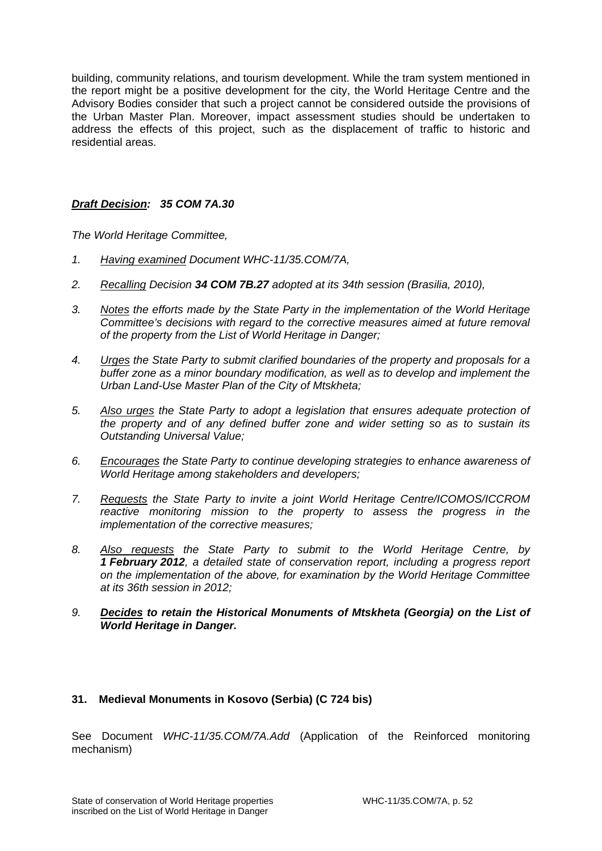building, community relations, and tourism development. While the tram system mentioned in the report might be a positive development for the city, the World Heritage Centre and the Advisory Bodies consider that such a project cannot be considered outside the provisions of the Urban Master Plan. Moreover, impact assessment studies should be undertaken to address the effects of this project, such as the displacement of traffic to historic and residential areas.

# *Draft Decision: 35 COM 7A.30*

*The World Heritage Committee,* 

- *1. Having examined Document WHC-11/35.COM/7A,*
- *2. Recalling Decision 34 COM 7B.27 adopted at its 34th session (Brasilia, 2010),*
- *3. Notes the efforts made by the State Party in the implementation of the World Heritage Committee's decisions with regard to the corrective measures aimed at future removal of the property from the List of World Heritage in Danger;*
- *4. Urges the State Party to submit clarified boundaries of the property and proposals for a buffer zone as a minor boundary modification, as well as to develop and implement the Urban Land-Use Master Plan of the City of Mtskheta;*
- *5. Also urges the State Party to adopt a legislation that ensures adequate protection of the property and of any defined buffer zone and wider setting so as to sustain its Outstanding Universal Value;*
- *6. Encourages the State Party to continue developing strategies to enhance awareness of World Heritage among stakeholders and developers;*
- *7. Requests the State Party to invite a joint World Heritage Centre/ICOMOS/ICCROM reactive monitoring mission to the property to assess the progress in the implementation of the corrective measures;*
- *8. Also requests the State Party to submit to the World Heritage Centre, by 1 February 2012, a detailed state of conservation report, including a progress report on the implementation of the above, for examination by the World Heritage Committee at its 36th session in 2012;*
- *9. Decides to retain the Historical Monuments of Mtskheta (Georgia) on the List of World Heritage in Danger.*

# **31. Medieval Monuments in Kosovo (Serbia) (C 724 bis)**

See Document *WHC-11/35.COM/7A.Add* (Application of the Reinforced monitoring mechanism)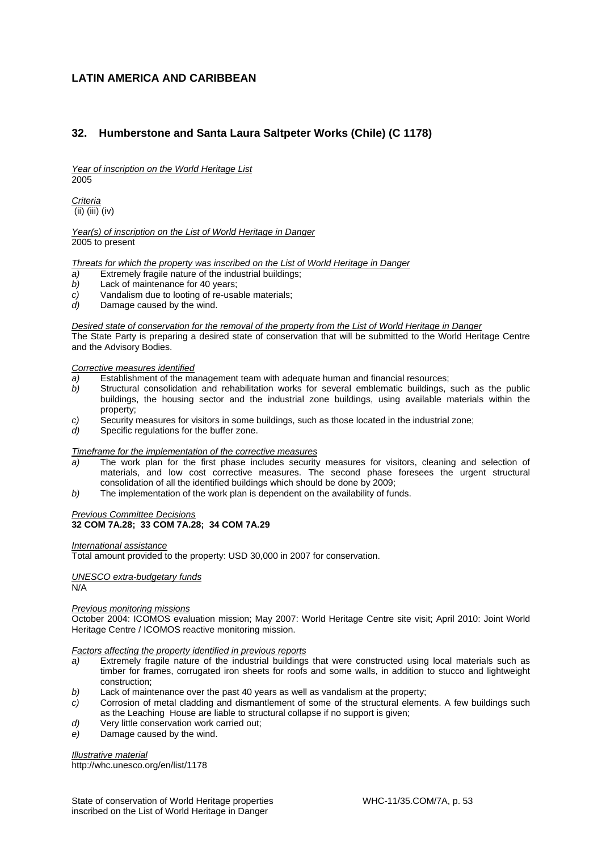# **LATIN AMERICA AND CARIBBEAN**

# **32. Humberstone and Santa Laura Saltpeter Works (Chile) (C 1178)**

*Year of inscription on the World Heritage List*  2005

*Criteria*  (ii) (iii) (iv)

*Year(s) of inscription on the List of World Heritage in Danger*  2005 to present

*Threats for which the property was inscribed on the List of World Heritage in Danger* 

- *a)* Extremely fragile nature of the industrial buildings;
- *b)* Lack of maintenance for 40 years;
- *c)* Vandalism due to looting of re-usable materials;
- *d)* Damage caused by the wind.

*Desired state of conservation for the removal of the property from the List of World Heritage in Danger* 

The State Party is preparing a desired state of conservation that will be submitted to the World Heritage Centre and the Advisory Bodies.

#### *Corrective measures identified*

- *a)* Establishment of the management team with adequate human and financial resources;
- *b)* Structural consolidation and rehabilitation works for several emblematic buildings, such as the public buildings, the housing sector and the industrial zone buildings, using available materials within the property;
- *c)* Security measures for visitors in some buildings, such as those located in the industrial zone;
- *d)* Specific regulations for the buffer zone.

#### *Timeframe for the implementation of the corrective measures*

- *a)* The work plan for the first phase includes security measures for visitors, cleaning and selection of materials, and low cost corrective measures. The second phase foresees the urgent structural consolidation of all the identified buildings which should be done by 2009;
- *b)* The implementation of the work plan is dependent on the availability of funds.

#### *Previous Committee Decisions*  **32 COM 7A.28; 33 COM 7A.28; 34 COM 7A.29**

#### *International assistance*

Total amount provided to the property: USD 30,000 in 2007 for conservation.

#### *UNESCO extra-budgetary funds*  N/A

#### *Previous monitoring missions*

October 2004: ICOMOS evaluation mission; May 2007: World Heritage Centre site visit; April 2010: Joint World Heritage Centre / ICOMOS reactive monitoring mission.

#### *Factors affecting the property identified in previous reports*

- *a)* Extremely fragile nature of the industrial buildings that were constructed using local materials such as timber for frames, corrugated iron sheets for roofs and some walls, in addition to stucco and lightweight construction;
- *b)* Lack of maintenance over the past 40 years as well as vandalism at the property;
- *c)* Corrosion of metal cladding and dismantlement of some of the structural elements. A few buildings such as the Leaching House are liable to structural collapse if no support is given;
- *d)* Very little conservation work carried out;
- *e)* Damage caused by the wind.

#### *Illustrative material*

http://whc.unesco.org/en/list/1178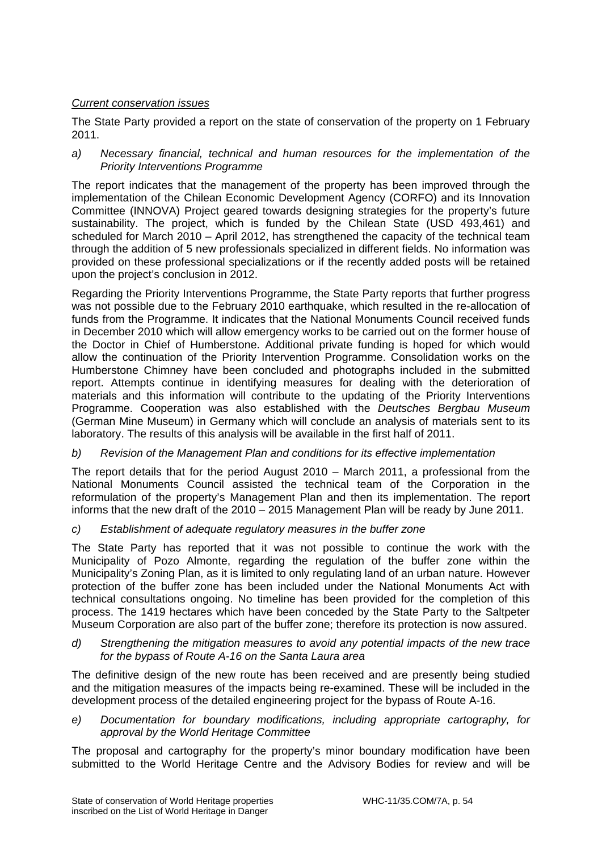# *Current conservation issues*

The State Party provided a report on the state of conservation of the property on 1 February 2011.

*a) Necessary financial, technical and human resources for the implementation of the Priority Interventions Programme* 

The report indicates that the management of the property has been improved through the implementation of the Chilean Economic Development Agency (CORFO) and its Innovation Committee (INNOVA) Project geared towards designing strategies for the property's future sustainability. The project, which is funded by the Chilean State (USD 493,461) and scheduled for March 2010 – April 2012, has strengthened the capacity of the technical team through the addition of 5 new professionals specialized in different fields. No information was provided on these professional specializations or if the recently added posts will be retained upon the project's conclusion in 2012.

Regarding the Priority Interventions Programme, the State Party reports that further progress was not possible due to the February 2010 earthquake, which resulted in the re-allocation of funds from the Programme. It indicates that the National Monuments Council received funds in December 2010 which will allow emergency works to be carried out on the former house of the Doctor in Chief of Humberstone. Additional private funding is hoped for which would allow the continuation of the Priority Intervention Programme. Consolidation works on the Humberstone Chimney have been concluded and photographs included in the submitted report. Attempts continue in identifying measures for dealing with the deterioration of materials and this information will contribute to the updating of the Priority Interventions Programme. Cooperation was also established with the *Deutsches Bergbau Museum*  (German Mine Museum) in Germany which will conclude an analysis of materials sent to its laboratory. The results of this analysis will be available in the first half of 2011.

# *b) Revision of the Management Plan and conditions for its effective implementation*

The report details that for the period August 2010 – March 2011, a professional from the National Monuments Council assisted the technical team of the Corporation in the reformulation of the property's Management Plan and then its implementation. The report informs that the new draft of the 2010 – 2015 Management Plan will be ready by June 2011.

*c) Establishment of adequate regulatory measures in the buffer zone* 

The State Party has reported that it was not possible to continue the work with the Municipality of Pozo Almonte, regarding the regulation of the buffer zone within the Municipality's Zoning Plan, as it is limited to only regulating land of an urban nature. However protection of the buffer zone has been included under the National Monuments Act with technical consultations ongoing. No timeline has been provided for the completion of this process. The 1419 hectares which have been conceded by the State Party to the Saltpeter Museum Corporation are also part of the buffer zone; therefore its protection is now assured.

*d) Strengthening the mitigation measures to avoid any potential impacts of the new trace for the bypass of Route A-16 on the Santa Laura area* 

The definitive design of the new route has been received and are presently being studied and the mitigation measures of the impacts being re-examined. These will be included in the development process of the detailed engineering project for the bypass of Route A-16.

*e) Documentation for boundary modifications, including appropriate cartography, for approval by the World Heritage Committee* 

The proposal and cartography for the property's minor boundary modification have been submitted to the World Heritage Centre and the Advisory Bodies for review and will be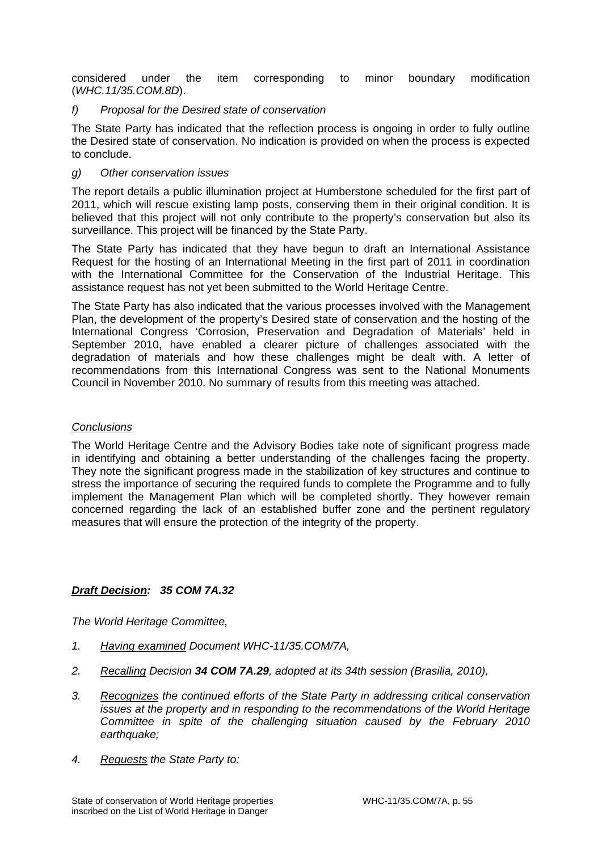considered under the item corresponding to minor boundary modification (*WHC.11/35.COM.8D*).

# *f) Proposal for the Desired state of conservation*

The State Party has indicated that the reflection process is ongoing in order to fully outline the Desired state of conservation. No indication is provided on when the process is expected to conclude.

# *g) Other conservation issues*

The report details a public illumination project at Humberstone scheduled for the first part of 2011, which will rescue existing lamp posts, conserving them in their original condition. It is believed that this project will not only contribute to the property's conservation but also its surveillance. This project will be financed by the State Party.

The State Party has indicated that they have begun to draft an International Assistance Request for the hosting of an International Meeting in the first part of 2011 in coordination with the International Committee for the Conservation of the Industrial Heritage. This assistance request has not yet been submitted to the World Heritage Centre.

The State Party has also indicated that the various processes involved with the Management Plan, the development of the property's Desired state of conservation and the hosting of the International Congress 'Corrosion, Preservation and Degradation of Materials' held in September 2010, have enabled a clearer picture of challenges associated with the degradation of materials and how these challenges might be dealt with. A letter of recommendations from this International Congress was sent to the National Monuments Council in November 2010. No summary of results from this meeting was attached.

### *Conclusions*

The World Heritage Centre and the Advisory Bodies take note of significant progress made in identifying and obtaining a better understanding of the challenges facing the property. They note the significant progress made in the stabilization of key structures and continue to stress the importance of securing the required funds to complete the Programme and to fully implement the Management Plan which will be completed shortly. They however remain concerned regarding the lack of an established buffer zone and the pertinent regulatory measures that will ensure the protection of the integrity of the property.

# *Draft Decision: 35 COM 7A.32*

*The World Heritage Committee,* 

- *1. Having examined Document WHC-11/35.COM/7A,*
- *2. Recalling Decision 34 COM 7A.29, adopted at its 34th session (Brasilia, 2010),*
- *3. Recognizes the continued efforts of the State Party in addressing critical conservation issues at the property and in responding to the recommendations of the World Heritage Committee in spite of the challenging situation caused by the February 2010 earthquake;*
- *4. Requests the State Party to:*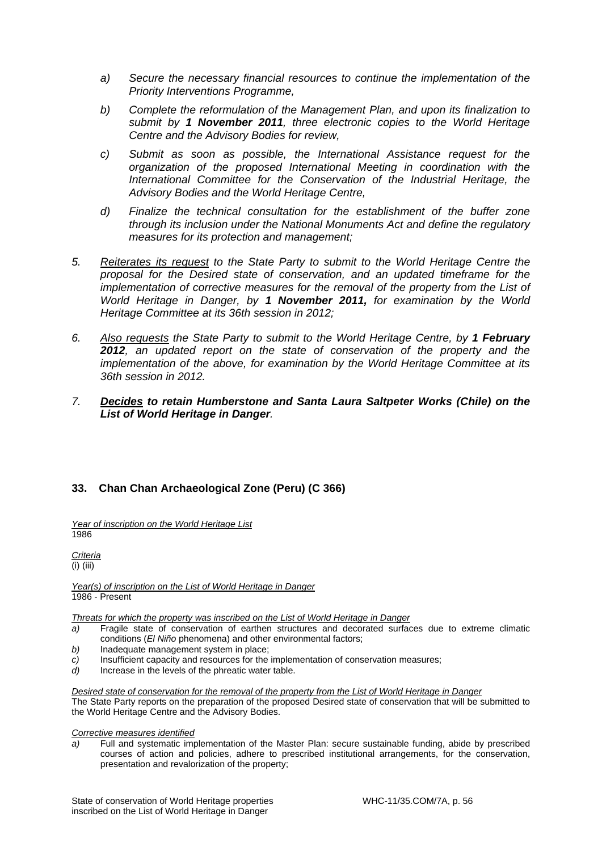- *a) Secure the necessary financial resources to continue the implementation of the Priority Interventions Programme,*
- *b) Complete the reformulation of the Management Plan, and upon its finalization to submit by 1 November 2011, three electronic copies to the World Heritage Centre and the Advisory Bodies for review,*
- *c) Submit as soon as possible, the International Assistance request for the organization of the proposed International Meeting in coordination with the International Committee for the Conservation of the Industrial Heritage, the Advisory Bodies and the World Heritage Centre,*
- *d) Finalize the technical consultation for the establishment of the buffer zone through its inclusion under the National Monuments Act and define the regulatory measures for its protection and management;*
- *5. Reiterates its request to the State Party to submit to the World Heritage Centre the proposal for the Desired state of conservation, and an updated timeframe for the implementation of corrective measures for the removal of the property from the List of World Heritage in Danger, by 1 November 2011, for examination by the World Heritage Committee at its 36th session in 2012;*
- *6. Also requests the State Party to submit to the World Heritage Centre, by 1 February 2012, an updated report on the state of conservation of the property and the implementation of the above, for examination by the World Heritage Committee at its 36th session in 2012.*
- *7. Decides to retain Humberstone and Santa Laura Saltpeter Works (Chile) on the List of World Heritage in Danger.*

# **33. Chan Chan Archaeological Zone (Peru) (C 366)**

*Year of inscription on the World Heritage List*  1986

*Criteria*  (i) (iii)

*Year(s) of inscription on the List of World Heritage in Danger*  1986 - Present

*Threats for which the property was inscribed on the List of World Heritage in Danger* 

- *a)* Fragile state of conservation of earthen structures and decorated surfaces due to extreme climatic conditions (*El Niño* phenomena) and other environmental factors;
- *b)* Inadequate management system in place;
- *c)* Insufficient capacity and resources for the implementation of conservation measures;
- *d)* Increase in the levels of the phreatic water table.

*Desired state of conservation for the removal of the property from the List of World Heritage in Danger*  The State Party reports on the preparation of the proposed Desired state of conservation that will be submitted to the World Heritage Centre and the Advisory Bodies.

#### *Corrective measures identified*

*a)* Full and systematic implementation of the Master Plan: secure sustainable funding, abide by prescribed courses of action and policies, adhere to prescribed institutional arrangements, for the conservation, presentation and revalorization of the property;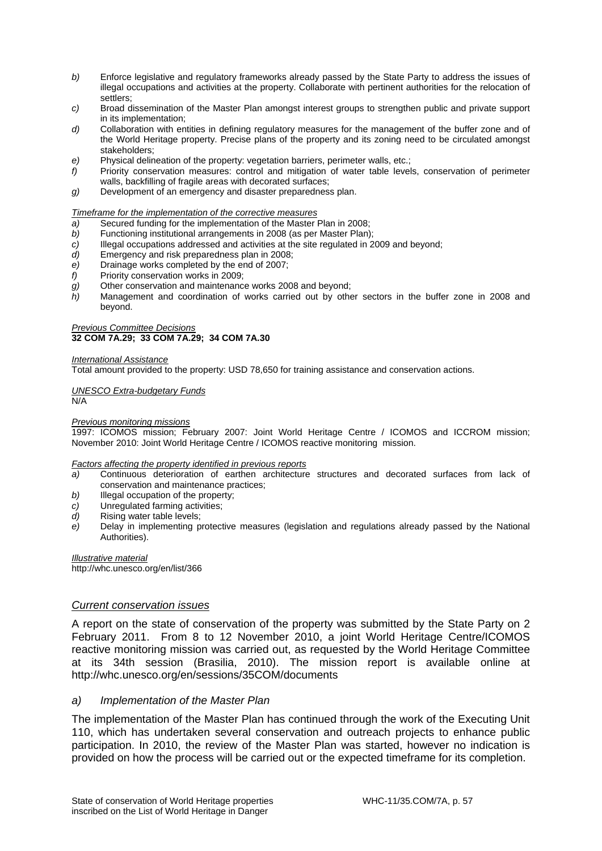- *b)* Enforce legislative and regulatory frameworks already passed by the State Party to address the issues of illegal occupations and activities at the property. Collaborate with pertinent authorities for the relocation of settlers;
- *c)* Broad dissemination of the Master Plan amongst interest groups to strengthen public and private support in its implementation;
- *d)* Collaboration with entities in defining regulatory measures for the management of the buffer zone and of the World Heritage property. Precise plans of the property and its zoning need to be circulated amongst stakeholders;
- *e)* Physical delineation of the property: vegetation barriers, perimeter walls, etc.;
- *f)* Priority conservation measures: control and mitigation of water table levels, conservation of perimeter walls, backfilling of fragile areas with decorated surfaces;
- *g)* Development of an emergency and disaster preparedness plan.

#### *Timeframe for the implementation of the corrective measures*

- *a)* Secured funding for the implementation of the Master Plan in 2008;
- *b)* Functioning institutional arrangements in 2008 (as per Master Plan);
- *c)* Illegal occupations addressed and activities at the site regulated in 2009 and beyond;
- *d)* Emergency and risk preparedness plan in 2008;
- *e)* Drainage works completed by the end of 2007;
- *f)* Priority conservation works in 2009;
- *g)* Other conservation and maintenance works 2008 and beyond;
- *h)* Management and coordination of works carried out by other sectors in the buffer zone in 2008 and beyond.

#### *Previous Committee Decisions*  **32 COM 7A.29; 33 COM 7A.29; 34 COM 7A.30**

#### *International Assistance*

Total amount provided to the property: USD 78,650 for training assistance and conservation actions.

#### *UNESCO Extra-budgetary Funds*

N/A

#### *Previous monitoring missions*

1997: ICOMOS mission; February 2007: Joint World Heritage Centre / ICOMOS and ICCROM mission; November 2010: Joint World Heritage Centre / ICOMOS reactive monitoring mission.

#### *Factors affecting the property identified in previous reports*

- *a)* Continuous deterioration of earthen architecture structures and decorated surfaces from lack of conservation and maintenance practices;
- *b)* Illegal occupation of the property;
- *c)* Unregulated farming activities;
- *d*) Rising water table levels:
- *e)* Delay in implementing protective measures (legislation and regulations already passed by the National Authorities).

*Illustrative material*  http://whc.unesco.org/en/list/366

### *Current conservation issues*

A report on the state of conservation of the property was submitted by the State Party on 2 February 2011. From 8 to 12 November 2010, a joint World Heritage Centre/ICOMOS reactive monitoring mission was carried out, as requested by the World Heritage Committee at its 34th session (Brasilia, 2010). The mission report is available online at http://whc.unesco.org/en/sessions/35COM/documents

#### *a) Implementation of the Master Plan*

The implementation of the Master Plan has continued through the work of the Executing Unit 110, which has undertaken several conservation and outreach projects to enhance public participation. In 2010, the review of the Master Plan was started, however no indication is provided on how the process will be carried out or the expected timeframe for its completion.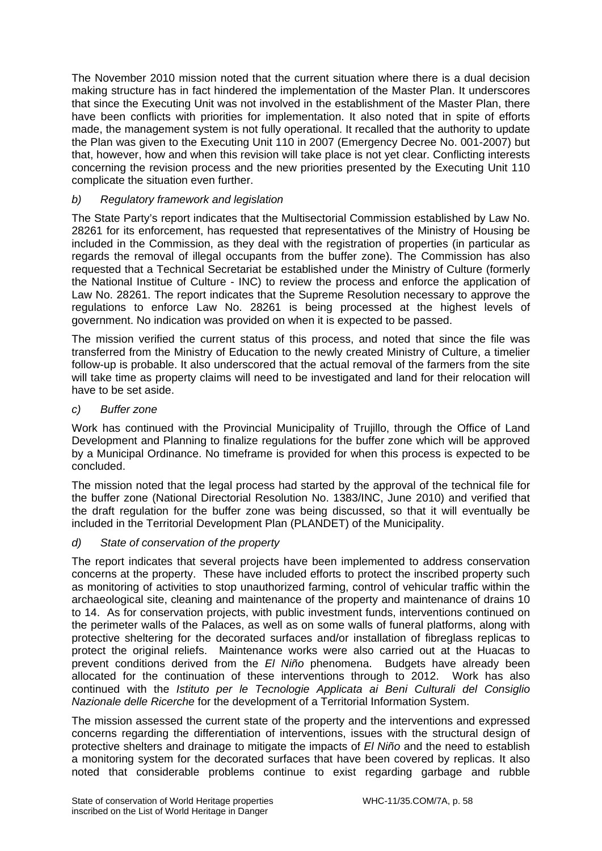The November 2010 mission noted that the current situation where there is a dual decision making structure has in fact hindered the implementation of the Master Plan. It underscores that since the Executing Unit was not involved in the establishment of the Master Plan, there have been conflicts with priorities for implementation. It also noted that in spite of efforts made, the management system is not fully operational. It recalled that the authority to update the Plan was given to the Executing Unit 110 in 2007 (Emergency Decree No. 001-2007) but that, however, how and when this revision will take place is not yet clear. Conflicting interests concerning the revision process and the new priorities presented by the Executing Unit 110 complicate the situation even further.

# *b) Regulatory framework and legislation*

The State Party's report indicates that the Multisectorial Commission established by Law No. 28261 for its enforcement, has requested that representatives of the Ministry of Housing be included in the Commission, as they deal with the registration of properties (in particular as regards the removal of illegal occupants from the buffer zone). The Commission has also requested that a Technical Secretariat be established under the Ministry of Culture (formerly the National Institue of Culture - INC) to review the process and enforce the application of Law No. 28261. The report indicates that the Supreme Resolution necessary to approve the regulations to enforce Law No. 28261 is being processed at the highest levels of government. No indication was provided on when it is expected to be passed.

The mission verified the current status of this process, and noted that since the file was transferred from the Ministry of Education to the newly created Ministry of Culture, a timelier follow-up is probable. It also underscored that the actual removal of the farmers from the site will take time as property claims will need to be investigated and land for their relocation will have to be set aside.

*c) Buffer zone* 

Work has continued with the Provincial Municipality of Trujillo, through the Office of Land Development and Planning to finalize regulations for the buffer zone which will be approved by a Municipal Ordinance. No timeframe is provided for when this process is expected to be concluded.

The mission noted that the legal process had started by the approval of the technical file for the buffer zone (National Directorial Resolution No. 1383/INC, June 2010) and verified that the draft regulation for the buffer zone was being discussed, so that it will eventually be included in the Territorial Development Plan (PLANDET) of the Municipality.

# *d) State of conservation of the property*

The report indicates that several projects have been implemented to address conservation concerns at the property. These have included efforts to protect the inscribed property such as monitoring of activities to stop unauthorized farming, control of vehicular traffic within the archaeological site, cleaning and maintenance of the property and maintenance of drains 10 to 14. As for conservation projects, with public investment funds, interventions continued on the perimeter walls of the Palaces, as well as on some walls of funeral platforms, along with protective sheltering for the decorated surfaces and/or installation of fibreglass replicas to protect the original reliefs. Maintenance works were also carried out at the Huacas to prevent conditions derived from the *El Niño* phenomena. Budgets have already been allocated for the continuation of these interventions through to 2012. Work has also continued with the *Istituto per le Tecnologie Applicata ai Beni Culturali del Consiglio Nazionale delle Ricerche* for the development of a Territorial Information System.

The mission assessed the current state of the property and the interventions and expressed concerns regarding the differentiation of interventions, issues with the structural design of protective shelters and drainage to mitigate the impacts of *El Niño* and the need to establish a monitoring system for the decorated surfaces that have been covered by replicas. It also noted that considerable problems continue to exist regarding garbage and rubble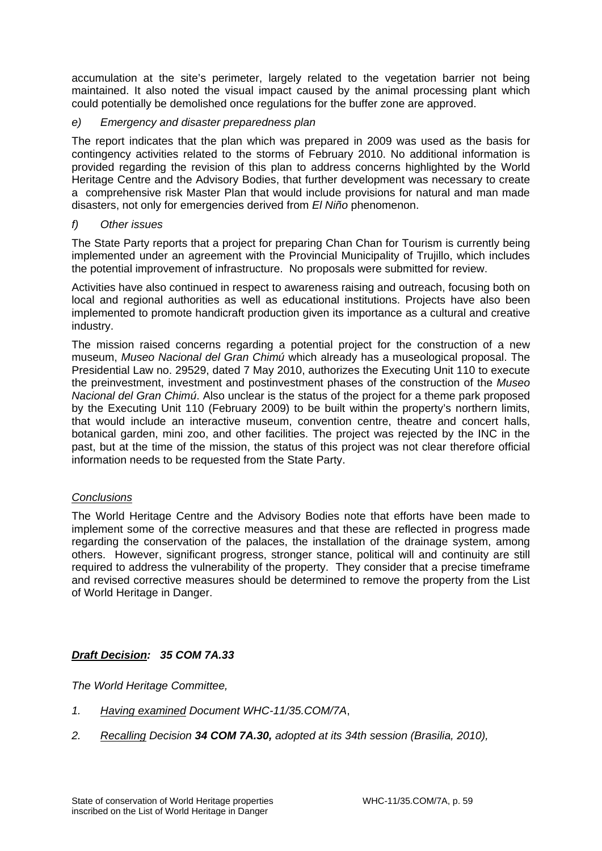accumulation at the site's perimeter, largely related to the vegetation barrier not being maintained. It also noted the visual impact caused by the animal processing plant which could potentially be demolished once regulations for the buffer zone are approved.

# *e) Emergency and disaster preparedness plan*

The report indicates that the plan which was prepared in 2009 was used as the basis for contingency activities related to the storms of February 2010. No additional information is provided regarding the revision of this plan to address concerns highlighted by the World Heritage Centre and the Advisory Bodies, that further development was necessary to create a comprehensive risk Master Plan that would include provisions for natural and man made disasters, not only for emergencies derived from *El Niño* phenomenon.

# *f) Other issues*

The State Party reports that a project for preparing Chan Chan for Tourism is currently being implemented under an agreement with the Provincial Municipality of Trujillo, which includes the potential improvement of infrastructure. No proposals were submitted for review.

Activities have also continued in respect to awareness raising and outreach, focusing both on local and regional authorities as well as educational institutions. Projects have also been implemented to promote handicraft production given its importance as a cultural and creative industry.

The mission raised concerns regarding a potential project for the construction of a new museum, *Museo Nacional del Gran Chimú* which already has a museological proposal. The Presidential Law no. 29529, dated 7 May 2010, authorizes the Executing Unit 110 to execute the preinvestment, investment and postinvestment phases of the construction of the *Museo Nacional del Gran Chimú*. Also unclear is the status of the project for a theme park proposed by the Executing Unit 110 (February 2009) to be built within the property's northern limits, that would include an interactive museum, convention centre, theatre and concert halls, botanical garden, mini zoo, and other facilities. The project was rejected by the INC in the past, but at the time of the mission, the status of this project was not clear therefore official information needs to be requested from the State Party.

# *Conclusions*

The World Heritage Centre and the Advisory Bodies note that efforts have been made to implement some of the corrective measures and that these are reflected in progress made regarding the conservation of the palaces, the installation of the drainage system, among others. However, significant progress, stronger stance, political will and continuity are still required to address the vulnerability of the property. They consider that a precise timeframe and revised corrective measures should be determined to remove the property from the List of World Heritage in Danger.

# *Draft Decision: 35 COM 7A.33*

*The World Heritage Committee,* 

- *1. Having examined Document WHC-11/35.COM/7A*,
- *2. Recalling Decision 34 COM 7A.30, adopted at its 34th session (Brasilia, 2010),*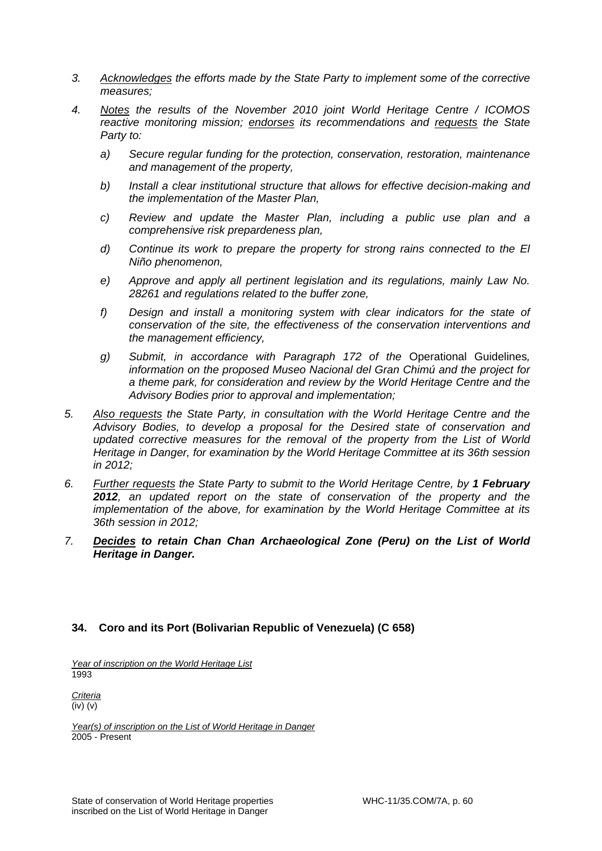- *3. Acknowledges the efforts made by the State Party to implement some of the corrective measures;*
- *4. Notes the results of the November 2010 joint World Heritage Centre / ICOMOS reactive monitoring mission; endorses its recommendations and requests the State Party to:* 
	- *a) Secure regular funding for the protection, conservation, restoration, maintenance and management of the property,*
	- *b) Install a clear institutional structure that allows for effective decision-making and the implementation of the Master Plan,*
	- *c) Review and update the Master Plan, including a public use plan and a comprehensive risk prepardeness plan,*
	- *d)* Continue its work to prepare the property for strong rains connected to the El *Niño phenomenon,*
	- *e) Approve and apply all pertinent legislation and its regulations, mainly Law No. 28261 and regulations related to the buffer zone,*
	- *f) Design and install a monitoring system with clear indicators for the state of conservation of the site, the effectiveness of the conservation interventions and the management efficiency,*
	- *g) Submit, in accordance with Paragraph 172 of the* Operational Guidelines*, information on the proposed Museo Nacional del Gran Chimú and the project for a theme park, for consideration and review by the World Heritage Centre and the Advisory Bodies prior to approval and implementation;*
- *5. Also requests the State Party, in consultation with the World Heritage Centre and the Advisory Bodies, to develop a proposal for the Desired state of conservation and updated corrective measures for the removal of the property from the List of World Heritage in Danger, for examination by the World Heritage Committee at its 36th session in 2012;*
- *6. Further requests the State Party to submit to the World Heritage Centre, by 1 February 2012, an updated report on the state of conservation of the property and the implementation of the above, for examination by the World Heritage Committee at its 36th session in 2012;*
- *7. Decides to retain Chan Chan Archaeological Zone (Peru) on the List of World Heritage in Danger.*

# **34. Coro and its Port (Bolivarian Republic of Venezuela) (C 658)**

*Year of inscription on the World Heritage List*  1993

*Criteria*  (iv) (v)

*Year(s) of inscription on the List of World Heritage in Danger*  2005 - Present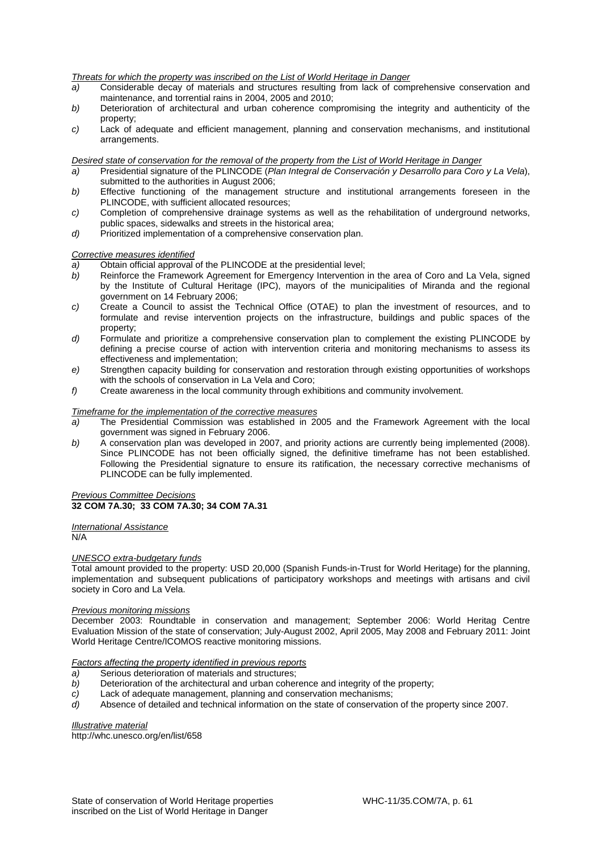#### *Threats for which the property was inscribed on the List of World Heritage in Danger*

- *a)* Considerable decay of materials and structures resulting from lack of comprehensive conservation and maintenance, and torrential rains in 2004, 2005 and 2010;
- *b)* Deterioration of architectural and urban coherence compromising the integrity and authenticity of the property;
- *c)* Lack of adequate and efficient management, planning and conservation mechanisms, and institutional arrangements.

#### *Desired state of conservation for the removal of the property from the List of World Heritage in Danger*

- *a)* Presidential signature of the PLINCODE (*Plan Integral de Conservación y Desarrollo para Coro y La Vela*), submitted to the authorities in August 2006;
- *b)* Effective functioning of the management structure and institutional arrangements foreseen in the PLINCODE, with sufficient allocated resources;
- *c)* Completion of comprehensive drainage systems as well as the rehabilitation of underground networks, public spaces, sidewalks and streets in the historical area;
- *d*) Prioritized implementation of a comprehensive conservation plan.

#### *Corrective measures identified*

- *a)* Obtain official approval of the PLINCODE at the presidential level;
- *b*) Reinforce the Framework Agreement for Emergency Intervention in the area of Coro and La Vela, signed by the Institute of Cultural Heritage (IPC), mayors of the municipalities of Miranda and the regional government on 14 February 2006;
- *c)* Create a Council to assist the Technical Office (OTAE) to plan the investment of resources, and to formulate and revise intervention projects on the infrastructure, buildings and public spaces of the property;
- *d)* Formulate and prioritize a comprehensive conservation plan to complement the existing PLINCODE by defining a precise course of action with intervention criteria and monitoring mechanisms to assess its effectiveness and implementation;
- *e)* Strengthen capacity building for conservation and restoration through existing opportunities of workshops with the schools of conservation in La Vela and Coro;
- *f)* Create awareness in the local community through exhibitions and community involvement.

#### *Timeframe for the implementation of the corrective measures*

- *a)* The Presidential Commission was established in 2005 and the Framework Agreement with the local government was signed in February 2006.
- *b)* A conservation plan was developed in 2007, and priority actions are currently being implemented (2008). Since PLINCODE has not been officially signed, the definitive timeframe has not been established. Following the Presidential signature to ensure its ratification, the necessary corrective mechanisms of PLINCODE can be fully implemented.

#### *Previous Committee Decisions*  **32 COM 7A.30; 33 COM 7A.30; 34 COM 7A.31**

# *International Assistance*

 $N/A$ 

#### *UNESCO extra-budgetary funds*

Total amount provided to the property: USD 20,000 (Spanish Funds-in*-*Trust for World Heritage) for the planning, implementation and subsequent publications of participatory workshops and meetings with artisans and civil society in Coro and La Vela.

#### *Previous monitoring missions*

December 2003: Roundtable in conservation and management; September 2006: World Heritag Centre Evaluation Mission of the state of conservation; July-August 2002, April 2005, May 2008 and February 2011: Joint World Heritage Centre/ICOMOS reactive monitoring missions.

#### *Factors affecting the property identified in previous reports*

- *a)* Serious deterioration of materials and structures;
- *b)* Deterioration of the architectural and urban coherence and integrity of the property;
- *c)* Lack of adequate management, planning and conservation mechanisms;
- *d)* Absence of detailed and technical information on the state of conservation of the property since 2007.

*Illustrative material*  http://whc.unesco.org/en/list/658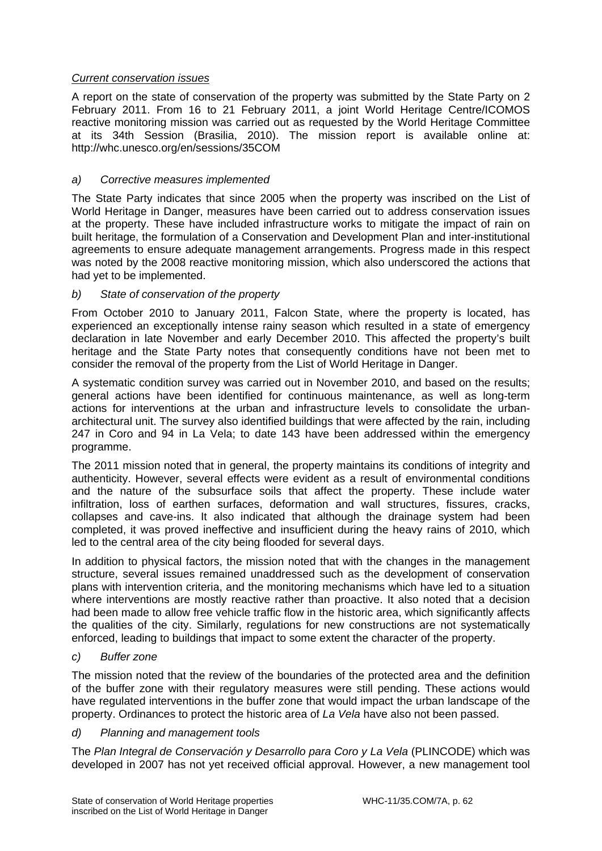# *Current conservation issues*

A report on the state of conservation of the property was submitted by the State Party on 2 February 2011. From 16 to 21 February 2011, a joint World Heritage Centre/ICOMOS reactive monitoring mission was carried out as requested by the World Heritage Committee at its 34th Session (Brasilia, 2010). The mission report is available online at: http://whc.unesco.org/en/sessions/35COM

# *a) Corrective measures implemented*

The State Party indicates that since 2005 when the property was inscribed on the List of World Heritage in Danger, measures have been carried out to address conservation issues at the property. These have included infrastructure works to mitigate the impact of rain on built heritage, the formulation of a Conservation and Development Plan and inter-institutional agreements to ensure adequate management arrangements. Progress made in this respect was noted by the 2008 reactive monitoring mission, which also underscored the actions that had yet to be implemented.

# *b) State of conservation of the property*

From October 2010 to January 2011, Falcon State, where the property is located, has experienced an exceptionally intense rainy season which resulted in a state of emergency declaration in late November and early December 2010. This affected the property's built heritage and the State Party notes that consequently conditions have not been met to consider the removal of the property from the List of World Heritage in Danger.

A systematic condition survey was carried out in November 2010, and based on the results; general actions have been identified for continuous maintenance, as well as long-term actions for interventions at the urban and infrastructure levels to consolidate the urbanarchitectural unit. The survey also identified buildings that were affected by the rain, including 247 in Coro and 94 in La Vela; to date 143 have been addressed within the emergency programme.

The 2011 mission noted that in general, the property maintains its conditions of integrity and authenticity. However, several effects were evident as a result of environmental conditions and the nature of the subsurface soils that affect the property. These include water infiltration, loss of earthen surfaces, deformation and wall structures, fissures, cracks, collapses and cave-ins. It also indicated that although the drainage system had been completed, it was proved ineffective and insufficient during the heavy rains of 2010, which led to the central area of the city being flooded for several days.

In addition to physical factors, the mission noted that with the changes in the management structure, several issues remained unaddressed such as the development of conservation plans with intervention criteria, and the monitoring mechanisms which have led to a situation where interventions are mostly reactive rather than proactive. It also noted that a decision had been made to allow free vehicle traffic flow in the historic area, which significantly affects the qualities of the city. Similarly, regulations for new constructions are not systematically enforced, leading to buildings that impact to some extent the character of the property.

# *c) Buffer zone*

The mission noted that the review of the boundaries of the protected area and the definition of the buffer zone with their regulatory measures were still pending. These actions would have regulated interventions in the buffer zone that would impact the urban landscape of the property. Ordinances to protect the historic area of *La Vela* have also not been passed.

# *d) Planning and management tools*

The *Plan Integral de Conservación y Desarrollo para Coro y La Vela* (PLINCODE) which was developed in 2007 has not yet received official approval. However, a new management tool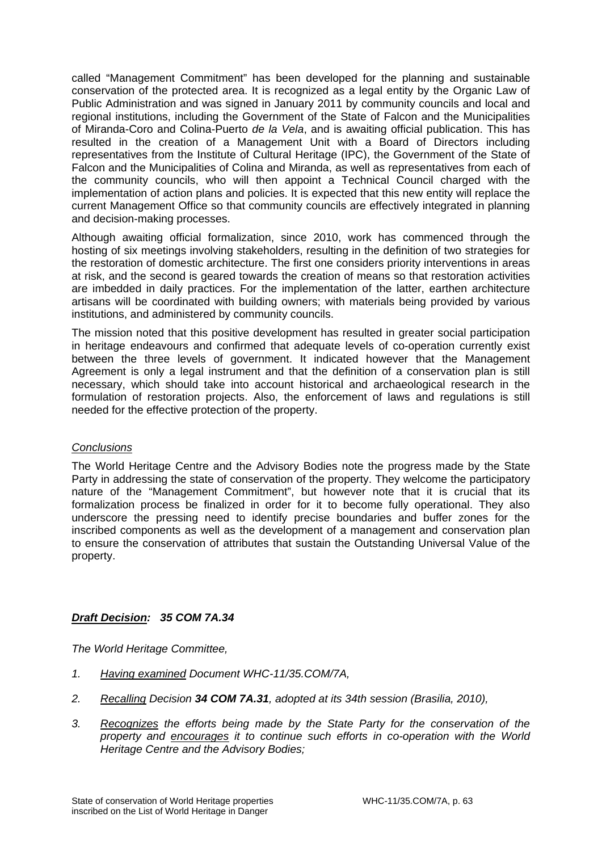called "Management Commitment" has been developed for the planning and sustainable conservation of the protected area. It is recognized as a legal entity by the Organic Law of Public Administration and was signed in January 2011 by community councils and local and regional institutions, including the Government of the State of Falcon and the Municipalities of Miranda-Coro and Colina-Puerto *de la Vela*, and is awaiting official publication. This has resulted in the creation of a Management Unit with a Board of Directors including representatives from the Institute of Cultural Heritage (IPC), the Government of the State of Falcon and the Municipalities of Colina and Miranda, as well as representatives from each of the community councils, who will then appoint a Technical Council charged with the implementation of action plans and policies. It is expected that this new entity will replace the current Management Office so that community councils are effectively integrated in planning and decision-making processes.

Although awaiting official formalization, since 2010, work has commenced through the hosting of six meetings involving stakeholders, resulting in the definition of two strategies for the restoration of domestic architecture. The first one considers priority interventions in areas at risk, and the second is geared towards the creation of means so that restoration activities are imbedded in daily practices. For the implementation of the latter, earthen architecture artisans will be coordinated with building owners; with materials being provided by various institutions, and administered by community councils.

The mission noted that this positive development has resulted in greater social participation in heritage endeavours and confirmed that adequate levels of co-operation currently exist between the three levels of government. It indicated however that the Management Agreement is only a legal instrument and that the definition of a conservation plan is still necessary, which should take into account historical and archaeological research in the formulation of restoration projects. Also, the enforcement of laws and regulations is still needed for the effective protection of the property.

# *Conclusions*

The World Heritage Centre and the Advisory Bodies note the progress made by the State Party in addressing the state of conservation of the property. They welcome the participatory nature of the "Management Commitment", but however note that it is crucial that its formalization process be finalized in order for it to become fully operational. They also underscore the pressing need to identify precise boundaries and buffer zones for the inscribed components as well as the development of a management and conservation plan to ensure the conservation of attributes that sustain the Outstanding Universal Value of the property.

# *Draft Decision: 35 COM 7A.34*

*The World Heritage Committee,* 

- *1. Having examined Document WHC-11/35.COM/7A,*
- *2. Recalling Decision 34 COM 7A.31, adopted at its 34th session (Brasilia, 2010),*
- *3. Recognizes the efforts being made by the State Party for the conservation of the property and encourages it to continue such efforts in co-operation with the World Heritage Centre and the Advisory Bodies;*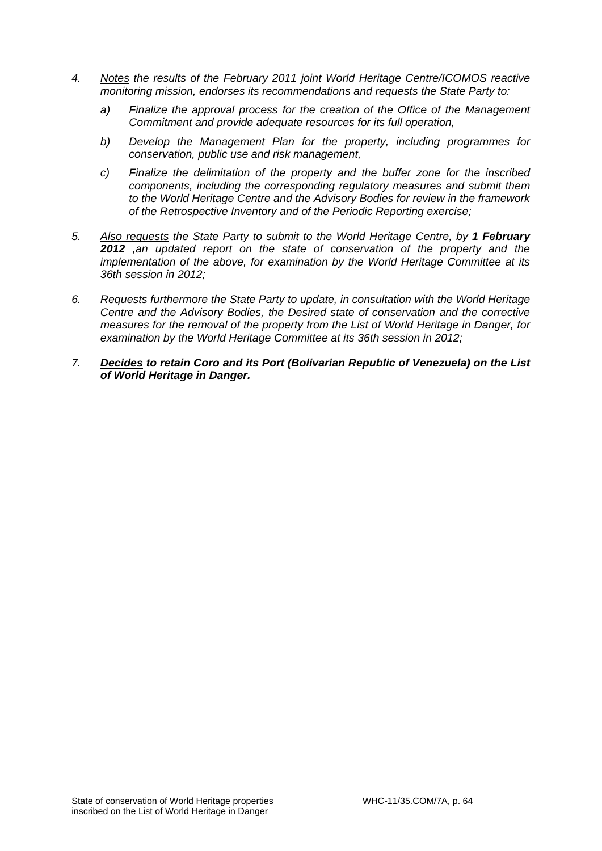- *4. Notes the results of the February 2011 joint World Heritage Centre/ICOMOS reactive monitoring mission, endorses its recommendations and requests the State Party to:* 
	- *a) Finalize the approval process for the creation of the Office of the Management Commitment and provide adequate resources for its full operation,*
	- *b) Develop the Management Plan for the property, including programmes for conservation, public use and risk management,*
	- *c) Finalize the delimitation of the property and the buffer zone for the inscribed components, including the corresponding regulatory measures and submit them to the World Heritage Centre and the Advisory Bodies for review in the framework of the Retrospective Inventory and of the Periodic Reporting exercise;*
- *5. Also requests the State Party to submit to the World Heritage Centre, by 1 February 2012 ,an updated report on the state of conservation of the property and the implementation of the above, for examination by the World Heritage Committee at its 36th session in 2012;*
- *6. Requests furthermore the State Party to update, in consultation with the World Heritage Centre and the Advisory Bodies, the Desired state of conservation and the corrective measures for the removal of the property from the List of World Heritage in Danger, for examination by the World Heritage Committee at its 36th session in 2012;*
- *7. Decides to retain Coro and its Port (Bolivarian Republic of Venezuela) on the List of World Heritage in Danger.*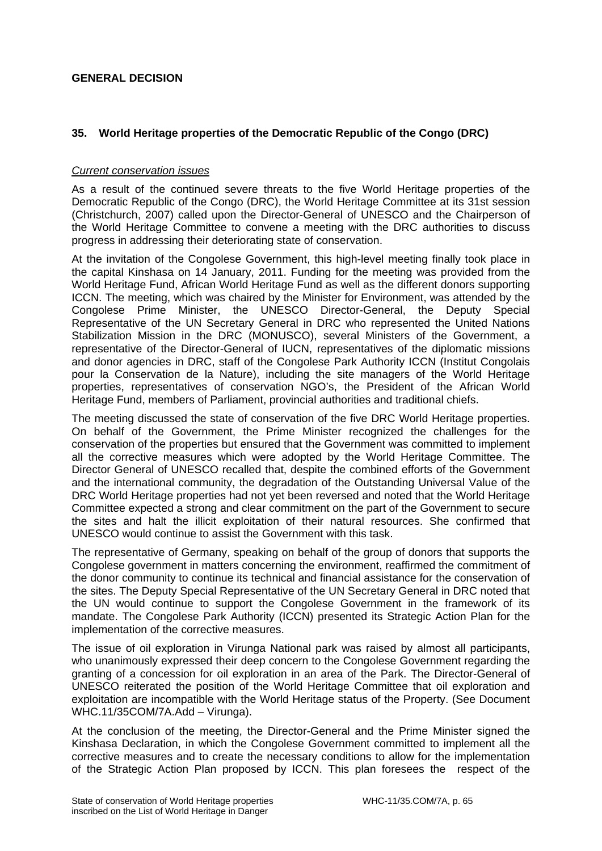# **GENERAL DECISION**

# **35. World Heritage properties of the Democratic Republic of the Congo (DRC)**

### *Current conservation issues*

As a result of the continued severe threats to the five World Heritage properties of the Democratic Republic of the Congo (DRC), the World Heritage Committee at its 31st session (Christchurch, 2007) called upon the Director-General of UNESCO and the Chairperson of the World Heritage Committee to convene a meeting with the DRC authorities to discuss progress in addressing their deteriorating state of conservation.

At the invitation of the Congolese Government, this high-level meeting finally took place in the capital Kinshasa on 14 January, 2011. Funding for the meeting was provided from the World Heritage Fund, African World Heritage Fund as well as the different donors supporting ICCN. The meeting, which was chaired by the Minister for Environment, was attended by the Congolese Prime Minister, the UNESCO Director-General, the Deputy Special Representative of the UN Secretary General in DRC who represented the United Nations Stabilization Mission in the DRC (MONUSCO), several Ministers of the Government, a representative of the Director-General of IUCN, representatives of the diplomatic missions and donor agencies in DRC, staff of the Congolese Park Authority ICCN (Institut Congolais pour la Conservation de la Nature), including the site managers of the World Heritage properties, representatives of conservation NGO's, the President of the African World Heritage Fund, members of Parliament, provincial authorities and traditional chiefs.

The meeting discussed the state of conservation of the five DRC World Heritage properties. On behalf of the Government, the Prime Minister recognized the challenges for the conservation of the properties but ensured that the Government was committed to implement all the corrective measures which were adopted by the World Heritage Committee. The Director General of UNESCO recalled that, despite the combined efforts of the Government and the international community, the degradation of the Outstanding Universal Value of the DRC World Heritage properties had not yet been reversed and noted that the World Heritage Committee expected a strong and clear commitment on the part of the Government to secure the sites and halt the illicit exploitation of their natural resources. She confirmed that UNESCO would continue to assist the Government with this task.

The representative of Germany, speaking on behalf of the group of donors that supports the Congolese government in matters concerning the environment, reaffirmed the commitment of the donor community to continue its technical and financial assistance for the conservation of the sites. The Deputy Special Representative of the UN Secretary General in DRC noted that the UN would continue to support the Congolese Government in the framework of its mandate. The Congolese Park Authority (ICCN) presented its Strategic Action Plan for the implementation of the corrective measures.

The issue of oil exploration in Virunga National park was raised by almost all participants, who unanimously expressed their deep concern to the Congolese Government regarding the granting of a concession for oil exploration in an area of the Park. The Director-General of UNESCO reiterated the position of the World Heritage Committee that oil exploration and exploitation are incompatible with the World Heritage status of the Property. (See Document WHC.11/35COM/7A.Add – Virunga).

At the conclusion of the meeting, the Director-General and the Prime Minister signed the Kinshasa Declaration, in which the Congolese Government committed to implement all the corrective measures and to create the necessary conditions to allow for the implementation of the Strategic Action Plan proposed by ICCN. This plan foresees the respect of the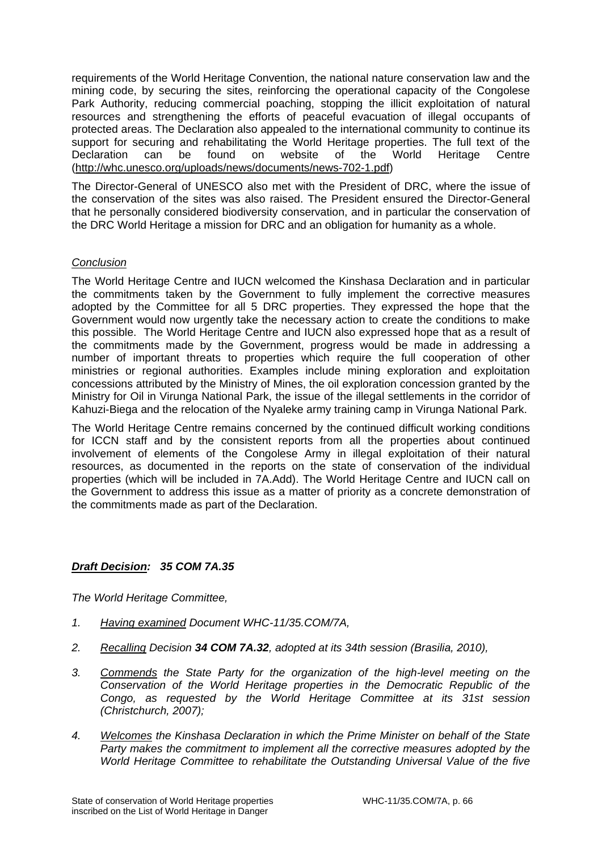requirements of the World Heritage Convention, the national nature conservation law and the mining code, by securing the sites, reinforcing the operational capacity of the Congolese Park Authority, reducing commercial poaching, stopping the illicit exploitation of natural resources and strengthening the efforts of peaceful evacuation of illegal occupants of protected areas. The Declaration also appealed to the international community to continue its support for securing and rehabilitating the World Heritage properties. The full text of the Declaration can be found on website of the World Heritage Centre (http://whc.unesco.org/uploads/news/documents/news-702-1.pdf)

The Director-General of UNESCO also met with the President of DRC, where the issue of the conservation of the sites was also raised. The President ensured the Director-General that he personally considered biodiversity conservation, and in particular the conservation of the DRC World Heritage a mission for DRC and an obligation for humanity as a whole.

# *Conclusion*

The World Heritage Centre and IUCN welcomed the Kinshasa Declaration and in particular the commitments taken by the Government to fully implement the corrective measures adopted by the Committee for all 5 DRC properties. They expressed the hope that the Government would now urgently take the necessary action to create the conditions to make this possible. The World Heritage Centre and IUCN also expressed hope that as a result of the commitments made by the Government, progress would be made in addressing a number of important threats to properties which require the full cooperation of other ministries or regional authorities. Examples include mining exploration and exploitation concessions attributed by the Ministry of Mines, the oil exploration concession granted by the Ministry for Oil in Virunga National Park, the issue of the illegal settlements in the corridor of Kahuzi-Biega and the relocation of the Nyaleke army training camp in Virunga National Park.

The World Heritage Centre remains concerned by the continued difficult working conditions for ICCN staff and by the consistent reports from all the properties about continued involvement of elements of the Congolese Army in illegal exploitation of their natural resources, as documented in the reports on the state of conservation of the individual properties (which will be included in 7A.Add). The World Heritage Centre and IUCN call on the Government to address this issue as a matter of priority as a concrete demonstration of the commitments made as part of the Declaration.

# *Draft Decision: 35 COM 7A.35*

*The World Heritage Committee,* 

- *1. Having examined Document WHC-11/35.COM/7A,*
- *2. Recalling Decision 34 COM 7A.32, adopted at its 34th session (Brasilia, 2010),*
- *3. Commends the State Party for the organization of the high-level meeting on the Conservation of the World Heritage properties in the Democratic Republic of the Congo, as requested by the World Heritage Committee at its 31st session (Christchurch, 2007);*
- *4. Welcomes the Kinshasa Declaration in which the Prime Minister on behalf of the State Party makes the commitment to implement all the corrective measures adopted by the World Heritage Committee to rehabilitate the Outstanding Universal Value of the five*